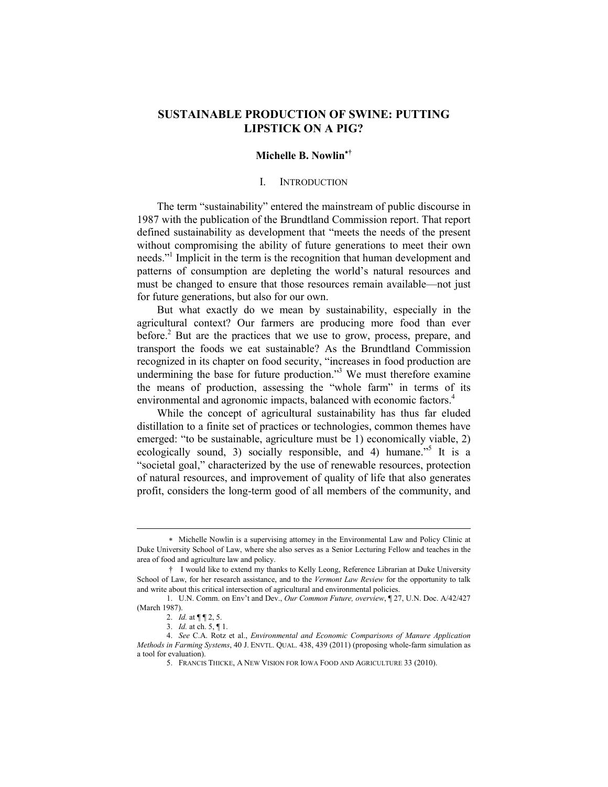# **SUSTAINABLE PRODUCTION OF SWINE: PUTTING LIPSTICK ON A PIG?**

## **Michelle B. Nowlin**<sup>∗</sup>**†**

### I. INTRODUCTION

 The term "sustainability" entered the mainstream of public discourse in 1987 with the publication of the Brundtland Commission report. That report defined sustainability as development that "meets the needs of the present without compromising the ability of future generations to meet their own needs."1 Implicit in the term is the recognition that human development and patterns of consumption are depleting the world's natural resources and must be changed to ensure that those resources remain available—not just for future generations, but also for our own.

 But what exactly do we mean by sustainability, especially in the agricultural context? Our farmers are producing more food than ever before.<sup>2</sup> But are the practices that we use to grow, process, prepare, and transport the foods we eat sustainable? As the Brundtland Commission recognized in its chapter on food security, "increases in food production are undermining the base for future production.<sup>33</sup> We must therefore examine the means of production, assessing the "whole farm" in terms of its environmental and agronomic impacts, balanced with economic factors.<sup>4</sup>

 While the concept of agricultural sustainability has thus far eluded distillation to a finite set of practices or technologies, common themes have emerged: "to be sustainable, agriculture must be 1) economically viable, 2) ecologically sound, 3) socially responsible, and 4) humane.<sup> $5$ </sup> It is a "societal goal," characterized by the use of renewable resources, protection of natural resources, and improvement of quality of life that also generates profit, considers the long-term good of all members of the community, and

<sup>∗</sup> Michelle Nowlin is a supervising attorney in the Environmental Law and Policy Clinic at Duke University School of Law, where she also serves as a Senior Lecturing Fellow and teaches in the area of food and agriculture law and policy.

<sup>†</sup> I would like to extend my thanks to Kelly Leong, Reference Librarian at Duke University School of Law, for her research assistance, and to the *Vermont Law Review* for the opportunity to talk and write about this critical intersection of agricultural and environmental policies.

 <sup>1.</sup> U.N. Comm. on Env't and Dev., *Our Common Future, overview*, ¶ 27, U.N. Doc. A/42/427 (March 1987).

 <sup>2.</sup> *Id.* at ¶ ¶ 2, 5.

 <sup>3.</sup> *Id.* at ch. 5, ¶ 1.

 <sup>4.</sup> *See* C.A. Rotz et al., *Environmental and Economic Comparisons of Manure Application Methods in Farming Systems*, 40 J. ENVTL. QUAL. 438, 439 (2011) (proposing whole-farm simulation as a tool for evaluation).

 <sup>5.</sup> FRANCIS THICKE, A NEW VISION FOR IOWA FOOD AND AGRICULTURE 33 (2010).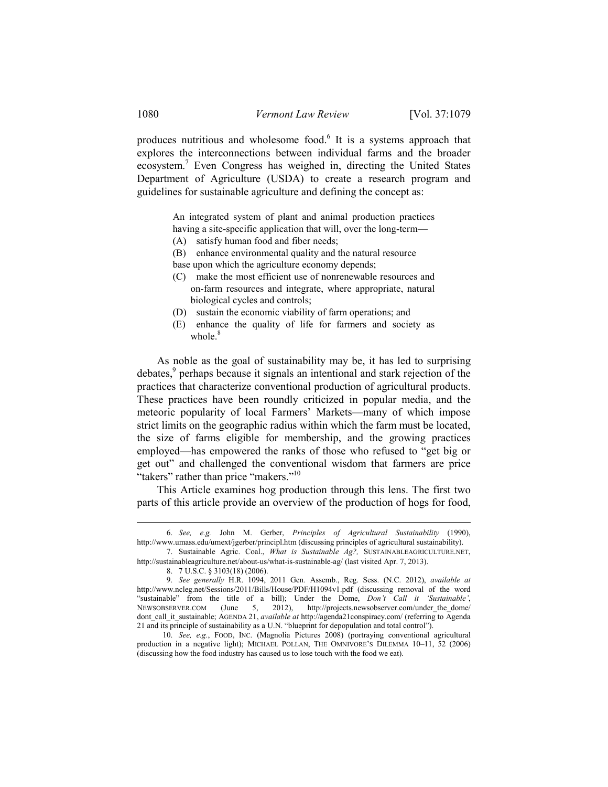produces nutritious and wholesome food.<sup>6</sup> It is a systems approach that explores the interconnections between individual farms and the broader ecosystem.<sup>7</sup> Even Congress has weighed in, directing the United States Department of Agriculture (USDA) to create a research program and guidelines for sustainable agriculture and defining the concept as:

> An integrated system of plant and animal production practices having a site-specific application that will, over the long-term—

- (A) satisfy human food and fiber needs;
- (B) enhance environmental quality and the natural resource

base upon which the agriculture economy depends;

- (C) make the most efficient use of nonrenewable resources and on-farm resources and integrate, where appropriate, natural biological cycles and controls;
- (D) sustain the economic viability of farm operations; and
- (E) enhance the quality of life for farmers and society as whole. $8$

 As noble as the goal of sustainability may be, it has led to surprising debates,<sup>9</sup> perhaps because it signals an intentional and stark rejection of the practices that characterize conventional production of agricultural products. These practices have been roundly criticized in popular media, and the meteoric popularity of local Farmers' Markets—many of which impose strict limits on the geographic radius within which the farm must be located, the size of farms eligible for membership, and the growing practices employed—has empowered the ranks of those who refused to "get big or get out" and challenged the conventional wisdom that farmers are price "takers" rather than price "makers."<sup>10</sup>

 This Article examines hog production through this lens. The first two parts of this article provide an overview of the production of hogs for food,

 <sup>6.</sup> *See, e.g.* John M. Gerber, *Principles of Agricultural Sustainability* (1990), http://www.umass.edu/umext/jgerber/principl.htm (discussing principles of agricultural sustainability).

 <sup>7.</sup> Sustainable Agric. Coal., *What is Sustainable Ag?,* SUSTAINABLEAGRICULTURE.NET, http://sustainableagriculture.net/about-us/what-is-sustainable-ag/ (last visited Apr. 7, 2013).

 <sup>8. 7</sup> U.S.C. § 3103(18) (2006).

 <sup>9.</sup> *See generally* H.R. 1094, 2011 Gen. Assemb., Reg. Sess. (N.C. 2012), *available at* http://www.ncleg.net/Sessions/2011/Bills/House/PDF/H1094v1.pdf (discussing removal of the word "sustainable" from the title of a bill); Under the Dome, *Don't Call it 'Sustainable'*, NEWSOBSERVER.COM (June 5, 2012), http://projects.newsobserver.com/under\_the\_dome/ dont\_call\_it\_sustainable; AGENDA 21, *available at http://agenda21conspiracy.com/* (referring to Agenda 21 and its principle of sustainability as a U.N. "blueprint for depopulation and total control").

 <sup>10.</sup> *See, e.g.*, FOOD, INC. (Magnolia Pictures 2008) (portraying conventional agricultural production in a negative light); MICHAEL POLLAN, THE OMNIVORE'S DILEMMA 10–11, 52 (2006) (discussing how the food industry has caused us to lose touch with the food we eat).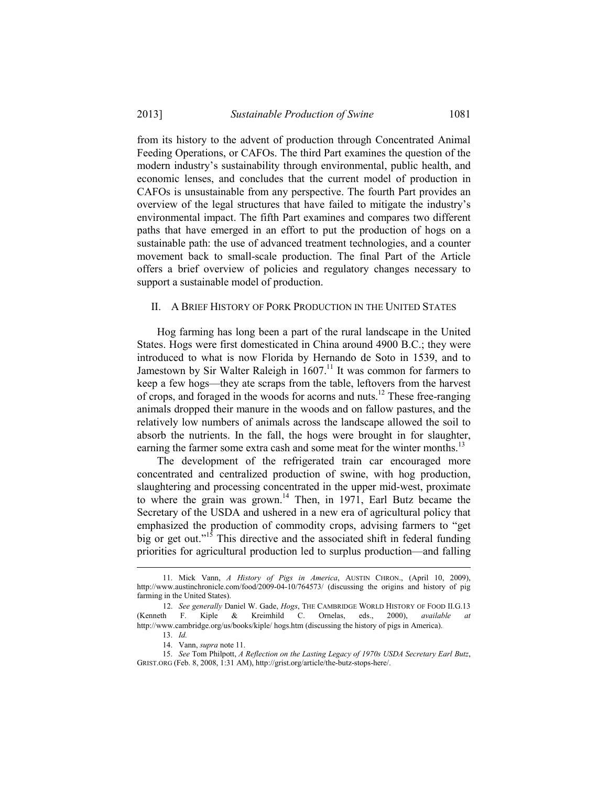from its history to the advent of production through Concentrated Animal Feeding Operations, or CAFOs. The third Part examines the question of the modern industry's sustainability through environmental, public health, and economic lenses, and concludes that the current model of production in CAFOs is unsustainable from any perspective. The fourth Part provides an overview of the legal structures that have failed to mitigate the industry's environmental impact. The fifth Part examines and compares two different paths that have emerged in an effort to put the production of hogs on a sustainable path: the use of advanced treatment technologies, and a counter movement back to small-scale production. The final Part of the Article offers a brief overview of policies and regulatory changes necessary to support a sustainable model of production.

## II. A BRIEF HISTORY OF PORK PRODUCTION IN THE UNITED STATES

 Hog farming has long been a part of the rural landscape in the United States. Hogs were first domesticated in China around 4900 B.C.; they were introduced to what is now Florida by Hernando de Soto in 1539, and to Jamestown by Sir Walter Raleigh in 1607.<sup>11</sup> It was common for farmers to keep a few hogs—they ate scraps from the table, leftovers from the harvest of crops, and foraged in the woods for acorns and nuts.<sup>12</sup> These free-ranging animals dropped their manure in the woods and on fallow pastures, and the relatively low numbers of animals across the landscape allowed the soil to absorb the nutrients. In the fall, the hogs were brought in for slaughter, earning the farmer some extra cash and some meat for the winter months.<sup>13</sup>

 The development of the refrigerated train car encouraged more concentrated and centralized production of swine, with hog production, slaughtering and processing concentrated in the upper mid-west, proximate to where the grain was grown.<sup>14</sup> Then, in 1971, Earl Butz became the Secretary of the USDA and ushered in a new era of agricultural policy that emphasized the production of commodity crops, advising farmers to "get big or get out."<sup>15</sup> This directive and the associated shift in federal funding priorities for agricultural production led to surplus production—and falling

 <sup>11.</sup> Mick Vann, *A History of Pigs in America*, AUSTIN CHRON., (April 10, 2009), http://www.austinchronicle.com/food/2009-04-10/764573/ (discussing the origins and history of pig farming in the United States).

 <sup>12.</sup> *See generally* Daniel W. Gade, *Hogs*, THE CAMBRIDGE WORLD HISTORY OF FOOD II.G.13 (Kenneth F. Kiple & Kreimhild C. Ornelas, eds., 2000), *available at* http://www.cambridge.org/us/books/kiple/ hogs.htm (discussing the history of pigs in America).

 <sup>13.</sup> *Id.*

 <sup>14.</sup> Vann, *supra* note 11.

 <sup>15.</sup> *See* Tom Philpott, *A Reflection on the Lasting Legacy of 1970s USDA Secretary Earl Butz*, GRIST.ORG (Feb. 8, 2008, 1:31 AM), http://grist.org/article/the-butz-stops-here/.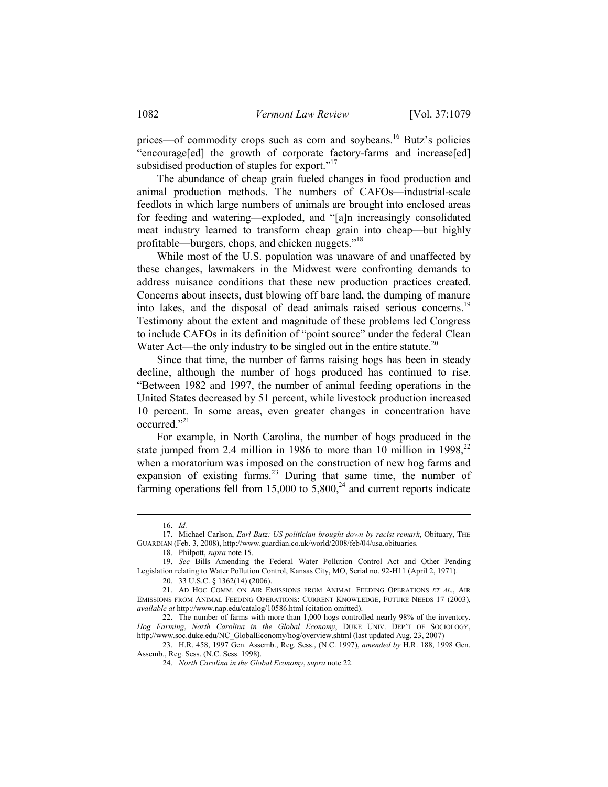prices—of commodity crops such as corn and soybeans.<sup>16</sup> Butz's policies "encourage[ed] the growth of corporate factory-farms and increase[ed] subsidised production of staples for export."<sup>17</sup>

 The abundance of cheap grain fueled changes in food production and animal production methods. The numbers of CAFOs—industrial-scale feedlots in which large numbers of animals are brought into enclosed areas for feeding and watering—exploded, and "[a]n increasingly consolidated meat industry learned to transform cheap grain into cheap—but highly profitable—burgers, chops, and chicken nuggets."18

 While most of the U.S. population was unaware of and unaffected by these changes, lawmakers in the Midwest were confronting demands to address nuisance conditions that these new production practices created. Concerns about insects, dust blowing off bare land, the dumping of manure into lakes, and the disposal of dead animals raised serious concerns.19 Testimony about the extent and magnitude of these problems led Congress to include CAFOs in its definition of "point source" under the federal Clean Water Act—the only industry to be singled out in the entire statute.<sup>20</sup>

 Since that time, the number of farms raising hogs has been in steady decline, although the number of hogs produced has continued to rise. "Between 1982 and 1997, the number of animal feeding operations in the United States decreased by 51 percent, while livestock production increased 10 percent. In some areas, even greater changes in concentration have occurred."21

 For example, in North Carolina, the number of hogs produced in the state jumped from 2.4 million in 1986 to more than 10 million in  $1998$ <sup>22</sup> when a moratorium was imposed on the construction of new hog farms and expansion of existing farms.<sup>23</sup> During that same time, the number of farming operations fell from 15,000 to  $5,800$ ,<sup>24</sup> and current reports indicate

 <sup>16.</sup> *Id.*

 <sup>17.</sup> Michael Carlson, *Earl Butz: US politician brought down by racist remark*, Obituary, THE GUARDIAN (Feb. 3, 2008), http://www.guardian.co.uk/world/2008/feb/04/usa.obituaries.

 <sup>18.</sup> Philpott, *supra* note 15.

 <sup>19.</sup> *See* Bills Amending the Federal Water Pollution Control Act and Other Pending Legislation relating to Water Pollution Control, Kansas City, MO, Serial no. 92-H11 (April 2, 1971).

 <sup>20. 33</sup> U.S.C. § 1362(14) (2006).

 <sup>21.</sup> AD HOC COMM. ON AIR EMISSIONS FROM ANIMAL FEEDING OPERATIONS *ET AL.*, AIR EMISSIONS FROM ANIMAL FEEDING OPERATIONS: CURRENT KNOWLEDGE, FUTURE NEEDS 17 (2003), *available at* http://www.nap.edu/catalog/10586.html (citation omitted).

 <sup>22.</sup> The number of farms with more than 1,000 hogs controlled nearly 98% of the inventory. *Hog Farming*, *North Carolina in the Global Economy*, DUKE UNIV. DEP'T OF SOCIOLOGY, http://www.soc.duke.edu/NC\_GlobalEconomy/hog/overview.shtml (last updated Aug. 23, 2007)

 <sup>23.</sup> H.R. 458, 1997 Gen. Assemb., Reg. Sess., (N.C. 1997), *amended by* H.R. 188, 1998 Gen. Assemb., Reg. Sess. (N.C. Sess. 1998).

 <sup>24.</sup> *North Carolina in the Global Economy*, *supra* note 22.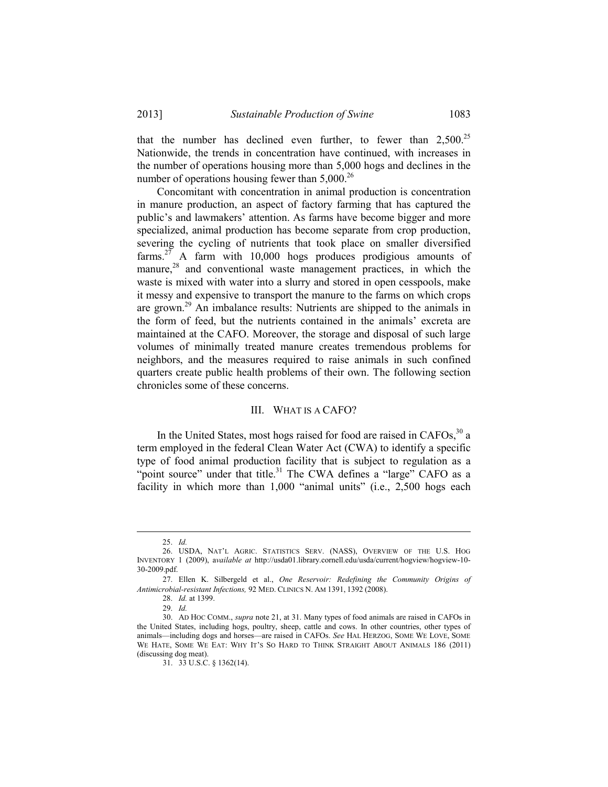that the number has declined even further, to fewer than  $2,500^{25}$ Nationwide, the trends in concentration have continued, with increases in the number of operations housing more than 5,000 hogs and declines in the number of operations housing fewer than  $5,000^{26}$ 

 Concomitant with concentration in animal production is concentration in manure production, an aspect of factory farming that has captured the public's and lawmakers' attention. As farms have become bigger and more specialized, animal production has become separate from crop production, severing the cycling of nutrients that took place on smaller diversified farms.<sup>27</sup> A farm with 10,000 hogs produces prodigious amounts of manure, $28$  and conventional waste management practices, in which the waste is mixed with water into a slurry and stored in open cesspools, make it messy and expensive to transport the manure to the farms on which crops are grown.29 An imbalance results: Nutrients are shipped to the animals in the form of feed, but the nutrients contained in the animals' excreta are maintained at the CAFO. Moreover, the storage and disposal of such large volumes of minimally treated manure creates tremendous problems for neighbors, and the measures required to raise animals in such confined quarters create public health problems of their own. The following section chronicles some of these concerns.

## III. WHAT IS A CAFO?

In the United States, most hogs raised for food are raised in  $CAFOs<sub>3</sub><sup>30</sup>$  a term employed in the federal Clean Water Act (CWA) to identify a specific type of food animal production facility that is subject to regulation as a "point source" under that title.<sup>31</sup> The CWA defines a "large" CAFO as a facility in which more than 1,000 "animal units" (i.e., 2,500 hogs each

 <sup>25.</sup> *Id.*

 <sup>26.</sup> USDA, NAT'L AGRIC. STATISTICS SERV. (NASS), OVERVIEW OF THE U.S. HOG INVENTORY 1 (2009), a*vailable at* http://usda01.library.cornell.edu/usda/current/hogview/hogview-10- 30-2009.pdf.

 <sup>27.</sup> Ellen K. Silbergeld et al., *One Reservoir: Redefining the Community Origins of Antimicrobial-resistant Infections,* 92 MED. CLINICS N. AM 1391, 1392 (2008).

 <sup>28.</sup> *Id.* at 1399.

 <sup>29.</sup> *Id.*

 <sup>30.</sup> AD HOC COMM., *supra* note 21, at 31. Many types of food animals are raised in CAFOs in the United States, including hogs, poultry, sheep, cattle and cows. In other countries, other types of animals—including dogs and horses—are raised in CAFOs. *See* HAL HERZOG, SOME WE LOVE, SOME WE HATE, SOME WE EAT: WHY IT'S SO HARD TO THINK STRAIGHT ABOUT ANIMALS 186 (2011) (discussing dog meat).

 <sup>31. 33</sup> U.S.C. § 1362(14).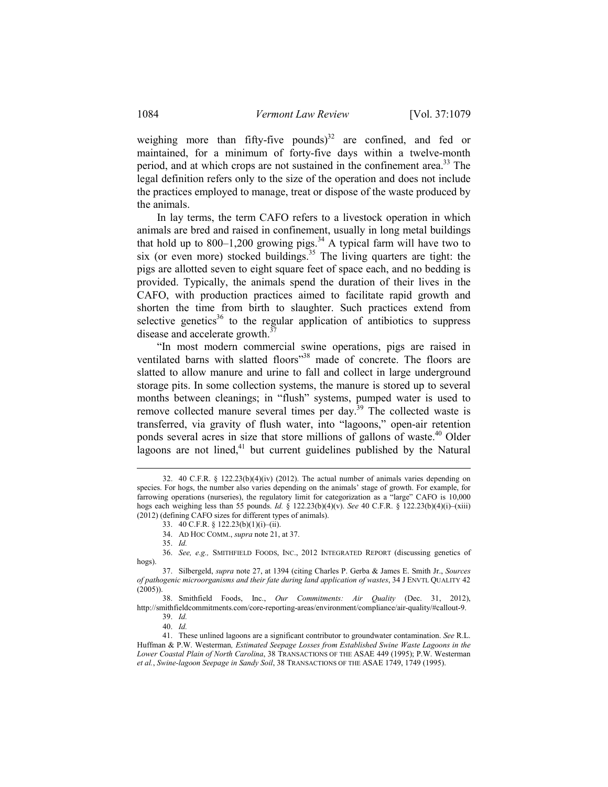weighing more than fifty-five pounds) $32$  are confined, and fed or maintained, for a minimum of forty-five days within a twelve-month period, and at which crops are not sustained in the confinement area.<sup>33</sup> The legal definition refers only to the size of the operation and does not include the practices employed to manage, treat or dispose of the waste produced by the animals.

 In lay terms, the term CAFO refers to a livestock operation in which animals are bred and raised in confinement, usually in long metal buildings that hold up to 800–1,200 growing pigs.<sup>34</sup> A typical farm will have two to six (or even more) stocked buildings.<sup>35</sup> The living quarters are tight: the pigs are allotted seven to eight square feet of space each, and no bedding is provided. Typically, the animals spend the duration of their lives in the CAFO, with production practices aimed to facilitate rapid growth and shorten the time from birth to slaughter. Such practices extend from selective genetics<sup>36</sup> to the regular application of antibiotics to suppress disease and accelerate growth. $37$ 

 "In most modern commercial swine operations, pigs are raised in ventilated barns with slatted floors<sup>38</sup> made of concrete. The floors are slatted to allow manure and urine to fall and collect in large underground storage pits. In some collection systems, the manure is stored up to several months between cleanings; in "flush" systems, pumped water is used to remove collected manure several times per day.<sup>39</sup> The collected waste is transferred, via gravity of flush water, into "lagoons," open-air retention ponds several acres in size that store millions of gallons of waste.<sup>40</sup> Older lagoons are not lined, $41$  but current guidelines published by the Natural

 <sup>32. 40</sup> C.F.R. § 122.23(b)(4)(iv) (2012). The actual number of animals varies depending on species. For hogs, the number also varies depending on the animals' stage of growth. For example, for farrowing operations (nurseries), the regulatory limit for categorization as a "large" CAFO is 10,000 hogs each weighing less than 55 pounds. *Id.* § 122.23(b)(4)(v). *See* 40 C.F.R. § 122.23(b)(4)(i)–(xiii) (2012) (defining CAFO sizes for different types of animals).

 <sup>33. 40</sup> C.F.R. § 122.23(b)(1)(i)–(ii).

 <sup>34.</sup> AD HOC COMM., *supra* note 21, at 37.

 <sup>35.</sup> *Id.*

 <sup>36.</sup> *See, e.g.,* SMITHFIELD FOODS, INC., 2012 INTEGRATED REPORT (discussing genetics of hogs).

 <sup>37.</sup> Silbergeld, *supra* note 27, at 1394 (citing Charles P. Gerba & James E. Smith Jr., *Sources of pathogenic microorganisms and their fate during land application of wastes*, 34 J ENVTL QUALITY 42 (2005)).

 <sup>38.</sup> Smithfield Foods, Inc., *Our Commitments: Air Quality* (Dec. 31, 2012), http://smithfieldcommitments.com/core-reporting-areas/environment/compliance/air-quality/#callout-9. 39. *Id.*

 <sup>40.</sup> *Id.*

 <sup>41.</sup> These unlined lagoons are a significant contributor to groundwater contamination. *See* R.L. Huffman & P.W. Westerman*, Estimated Seepage Losses from Established Swine Waste Lagoons in the Lower Coastal Plain of North Carolina*, 38 TRANSACTIONS OF THE ASAE 449 (1995); P.W. Westerman *et al.*, *Swine-lagoon Seepage in Sandy Soil*, 38 TRANSACTIONS OF THE ASAE 1749, 1749 (1995).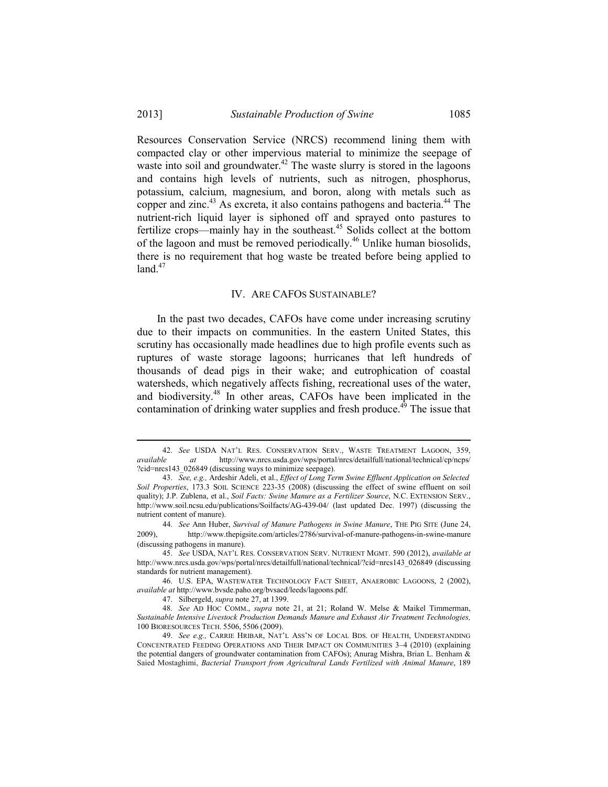Resources Conservation Service (NRCS) recommend lining them with compacted clay or other impervious material to minimize the seepage of waste into soil and groundwater.<sup>42</sup> The waste slurry is stored in the lagoons and contains high levels of nutrients, such as nitrogen, phosphorus, potassium, calcium, magnesium, and boron, along with metals such as copper and zinc.<sup>43</sup> As excreta, it also contains pathogens and bacteria.<sup>44</sup> The nutrient-rich liquid layer is siphoned off and sprayed onto pastures to fertilize crops—mainly hay in the southeast.45 Solids collect at the bottom of the lagoon and must be removed periodically.<sup>46</sup> Unlike human biosolids, there is no requirement that hog waste be treated before being applied to land. $47$ 

### IV. ARE CAFOS SUSTAINABLE?

 In the past two decades, CAFOs have come under increasing scrutiny due to their impacts on communities. In the eastern United States, this scrutiny has occasionally made headlines due to high profile events such as ruptures of waste storage lagoons; hurricanes that left hundreds of thousands of dead pigs in their wake; and eutrophication of coastal watersheds, which negatively affects fishing, recreational uses of the water, and biodiversity.48 In other areas, CAFOs have been implicated in the contamination of drinking water supplies and fresh produce.<sup>49</sup> The issue that

<sup>42.</sup> *See* USDA NAT'L RES. CONSERVATION SERV., WASTE TREATMENT LAGOON, 359, *available at* http://www.nrcs.usda.gov/wps/portal/nrcs/detailfull/national/technical/cp/ncps/ *available at* http://www.nrcs.usda.gov/wps/portal/nrcs/detailfull/national/technical/cp/ncps/ ?cid=nrcs143\_026849 (discussing ways to minimize seepage).

 <sup>43.</sup> *See, e.g.,* Ardeshir Adeli, et al., *Effect of Long Term Swine Effluent Application on Selected Soil Properties*, 173.3 SOIL SCIENCE 223-35 (2008) (discussing the effect of swine effluent on soil quality); J.P. Zublena, et al., *Soil Facts: Swine Manure as a Fertilizer Source*, N.C. EXTENSION SERV., http://www.soil.ncsu.edu/publications/Soilfacts/AG-439-04/ (last updated Dec. 1997) (discussing the nutrient content of manure).

 <sup>44.</sup> *See* Ann Huber, *Survival of Manure Pathogens in Swine Manure*, THE PIG SITE (June 24, 2009), http://www.thepigsite.com/articles/2786/survival-of-manure-pathogens-in-swine-manure (discussing pathogens in manure).

 <sup>45.</sup> *See* USDA, NAT'L RES. CONSERVATION SERV. NUTRIENT MGMT. 590 (2012), *available at* http://www.nrcs.usda.gov/wps/portal/nrcs/detailfull/national/technical/?cid=nrcs143\_026849 (discussing standards for nutrient management).

 <sup>46.</sup> U.S. EPA, WASTEWATER TECHNOLOGY FACT SHEET, ANAEROBIC LAGOONS, 2 (2002), *available at* http://www.bvsde.paho.org/bvsacd/leeds/lagoons.pdf.

 <sup>47.</sup> Silbergeld, *supra* note 27, at 1399.

48. *See* AD HOC COMM., *supra* note 21, at 21; Roland W. Melse & Maikel Timmerman, *Sustainable Intensive Livestock Production Demands Manure and Exhaust Air Treatment Technologies,*  100 BIORESOURCES TECH. 5506, 5506 (2009).

 <sup>49.</sup> *See e.g.,* CARRIE HRIBAR, NAT'L ASS'N OF LOCAL BDS. OF HEALTH, UNDERSTANDING CONCENTRATED FEEDING OPERATIONS AND THEIR IMPACT ON COMMUNITIES 3–4 (2010) (explaining the potential dangers of groundwater contamination from CAFOs); Anurag Mishra, Brian L. Benham & Saied Mostaghimi, *Bacterial Transport from Agricultural Lands Fertilized with Animal Manure*, 189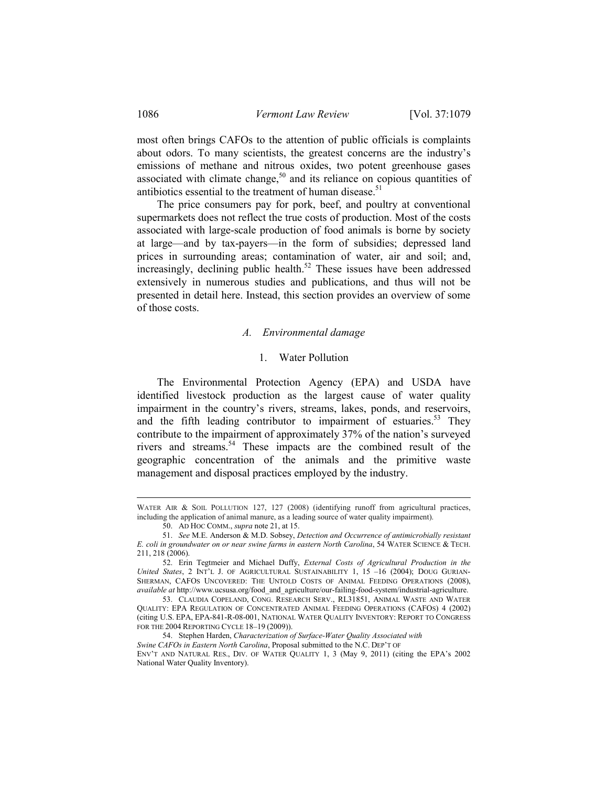most often brings CAFOs to the attention of public officials is complaints about odors. To many scientists, the greatest concerns are the industry's emissions of methane and nitrous oxides, two potent greenhouse gases associated with climate change, $50$  and its reliance on copious quantities of antibiotics essential to the treatment of human disease.<sup>51</sup>

 The price consumers pay for pork, beef, and poultry at conventional supermarkets does not reflect the true costs of production. Most of the costs associated with large-scale production of food animals is borne by society at large—and by tax-payers—in the form of subsidies; depressed land prices in surrounding areas; contamination of water, air and soil; and,  $\frac{1}{2}$  increasingly, declining public health.<sup>52</sup> These issues have been addressed extensively in numerous studies and publications, and thus will not be presented in detail here. Instead, this section provides an overview of some of those costs.

### *A. Environmental damage*

### 1. Water Pollution

 The Environmental Protection Agency (EPA) and USDA have identified livestock production as the largest cause of water quality impairment in the country's rivers, streams, lakes, ponds, and reservoirs, and the fifth leading contributor to impairment of estuaries.<sup>53</sup> They contribute to the impairment of approximately 37% of the nation's surveyed rivers and streams.54 These impacts are the combined result of the geographic concentration of the animals and the primitive waste management and disposal practices employed by the industry.

WATER AIR & SOIL POLLUTION 127, 127 (2008) (identifying runoff from agricultural practices, including the application of animal manure, as a leading source of water quality impairment).

 <sup>50.</sup> AD HOC COMM., *supra* note 21, at 15.

 <sup>51.</sup> *See* M.E. Anderson & M.D. Sobsey, *Detection and Occurrence of antimicrobially resistant E. coli in groundwater on or near swine farms in eastern North Carolina*, 54 WATER SCIENCE & TECH. 211, 218 (2006).

 <sup>52.</sup> Erin Tegtmeier and Michael Duffy, *External Costs of Agricultural Production in the United States*, 2 INT'L J. OF AGRICULTURAL SUSTAINABILITY 1, 15 –16 (2004); DOUG GURIAN-SHERMAN, CAFOS UNCOVERED: THE UNTOLD COSTS OF ANIMAL FEEDING OPERATIONS (2008), *available at* http://www.ucsusa.org/food\_and\_agriculture/our-failing-food-system/industrial-agriculture.

 <sup>53.</sup> CLAUDIA COPELAND, CONG. RESEARCH SERV., RL31851, ANIMAL WASTE AND WATER QUALITY: EPA REGULATION OF CONCENTRATED ANIMAL FEEDING OPERATIONS (CAFOS) 4 (2002) (citing U.S. EPA, EPA-841-R-08-001, NATIONAL WATER QUALITY INVENTORY: REPORT TO CONGRESS FOR THE 2004 REPORTING CYCLE 18–19 (2009)).

 <sup>54.</sup> Stephen Harden, *Characterization of Surface-Water Quality Associated with* 

*Swine CAFOs in Eastern North Carolina*, Proposal submitted to the N.C. DEP'T OF ENV'T AND NATURAL RES., DIV. OF WATER QUALITY 1, 3 (May 9, 2011) (citing the EPA's 2002 National Water Quality Inventory).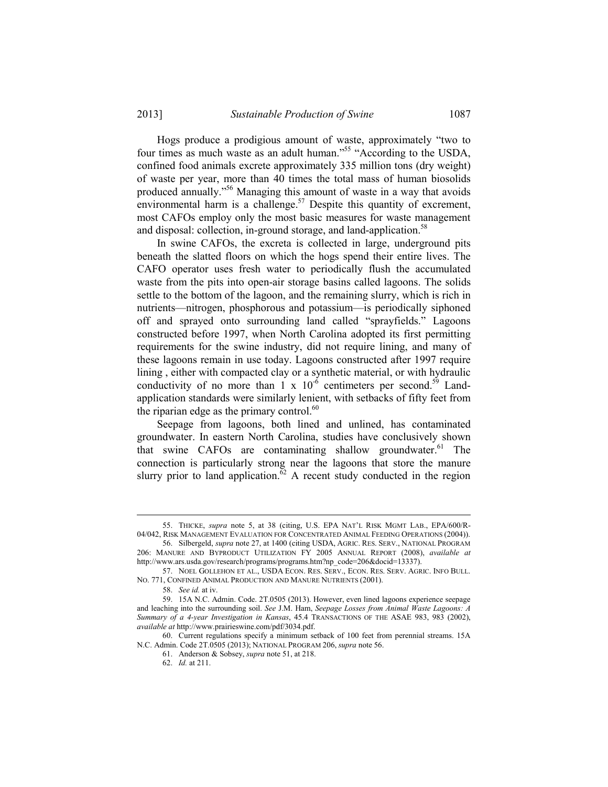Hogs produce a prodigious amount of waste, approximately "two to four times as much waste as an adult human."55 "According to the USDA, confined food animals excrete approximately 335 million tons (dry weight) of waste per year, more than 40 times the total mass of human biosolids produced annually."56 Managing this amount of waste in a way that avoids environmental harm is a challenge.<sup>57</sup> Despite this quantity of excrement, most CAFOs employ only the most basic measures for waste management and disposal: collection, in-ground storage, and land-application.<sup>58</sup>

 In swine CAFOs, the excreta is collected in large, underground pits beneath the slatted floors on which the hogs spend their entire lives. The CAFO operator uses fresh water to periodically flush the accumulated waste from the pits into open-air storage basins called lagoons. The solids settle to the bottom of the lagoon, and the remaining slurry, which is rich in nutrients—nitrogen, phosphorous and potassium—is periodically siphoned off and sprayed onto surrounding land called "sprayfields." Lagoons constructed before 1997, when North Carolina adopted its first permitting requirements for the swine industry, did not require lining, and many of these lagoons remain in use today. Lagoons constructed after 1997 require lining , either with compacted clay or a synthetic material, or with hydraulic conductivity of no more than  $1 \times 10^{-6}$  centimeters per second.<sup>59</sup> Landapplication standards were similarly lenient, with setbacks of fifty feet from the riparian edge as the primary control. $60$ 

 Seepage from lagoons, both lined and unlined, has contaminated groundwater. In eastern North Carolina, studies have conclusively shown that swine CAFOs are contaminating shallow groundwater. $61$  The connection is particularly strong near the lagoons that store the manure slurry prior to land application.<sup> $\delta$ 2</sup> A recent study conducted in the region

 <sup>55.</sup> THICKE, *supra* note 5, at 38 (citing, U.S. EPA NAT'L RISK MGMT LAB., EPA/600/R-04/042, RISK MANAGEMENT EVALUATION FOR CONCENTRATED ANIMAL FEEDING OPERATIONS (2004)).

 <sup>56.</sup> Silbergeld, *supra* note 27, at 1400 (citing USDA, AGRIC. RES. SERV., NATIONAL PROGRAM 206: MANURE AND BYPRODUCT UTILIZATION FY 2005 ANNUAL REPORT (2008), *available at* http://www.ars.usda.gov/research/programs/programs.htm?np\_code=206&docid=13337).

 <sup>57.</sup> NOEL GOLLEHON ET AL., USDA ECON. RES. SERV., ECON. RES. SERV. AGRIC. INFO BULL. NO. 771, CONFINED ANIMAL PRODUCTION AND MANURE NUTRIENTS (2001).

 <sup>58.</sup> *See id.* at iv.

 <sup>59. 15</sup>A N.C. Admin. Code. 2T.0505 (2013). However, even lined lagoons experience seepage and leaching into the surrounding soil. *See* J.M. Ham, *Seepage Losses from Animal Waste Lagoons: A Summary of a 4-year Investigation in Kansas*, 45.4 TRANSACTIONS OF THE ASAE 983, 983 (2002), *available at* http://www.prairieswine.com/pdf/3034.pdf.

 <sup>60.</sup> Current regulations specify a minimum setback of 100 feet from perennial streams. 15A N.C. Admin. Code 2T.0505 (2013); NATIONAL PROGRAM 206, *supra* note 56.

 <sup>61.</sup> Anderson & Sobsey, *supra* note 51, at 218.

 <sup>62.</sup> *Id.* at 211.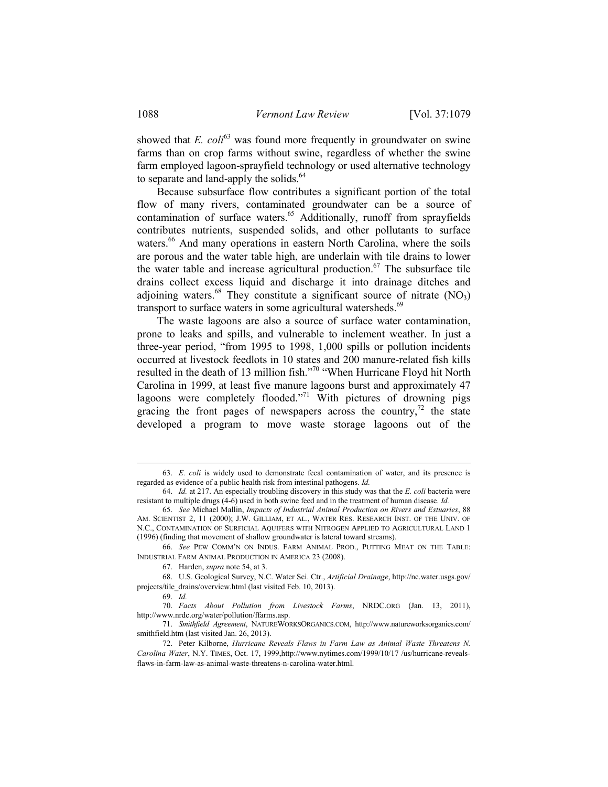showed that  $E.$   $coli<sup>63</sup>$  was found more frequently in groundwater on swine farms than on crop farms without swine, regardless of whether the swine farm employed lagoon-sprayfield technology or used alternative technology to separate and land-apply the solids.<sup>64</sup>

 Because subsurface flow contributes a significant portion of the total flow of many rivers, contaminated groundwater can be a source of contamination of surface waters.<sup>65</sup> Additionally, runoff from sprayfields contributes nutrients, suspended solids, and other pollutants to surface waters.<sup>66</sup> And many operations in eastern North Carolina, where the soils are porous and the water table high, are underlain with tile drains to lower the water table and increase agricultural production.<sup>67</sup> The subsurface tile drains collect excess liquid and discharge it into drainage ditches and adjoining waters.<sup>68</sup> They constitute a significant source of nitrate  $(NO<sub>3</sub>)$ transport to surface waters in some agricultural watersheds.<sup>69</sup>

 The waste lagoons are also a source of surface water contamination, prone to leaks and spills, and vulnerable to inclement weather. In just a three-year period, "from 1995 to 1998, 1,000 spills or pollution incidents occurred at livestock feedlots in 10 states and 200 manure-related fish kills resulted in the death of 13 million fish."70 "When Hurricane Floyd hit North Carolina in 1999, at least five manure lagoons burst and approximately 47 lagoons were completely flooded."<sup>71</sup> With pictures of drowning pigs gracing the front pages of newspapers across the country,<sup>72</sup> the state developed a program to move waste storage lagoons out of the

 <sup>63.</sup> *E. coli* is widely used to demonstrate fecal contamination of water, and its presence is regarded as evidence of a public health risk from intestinal pathogens. *Id.*

 <sup>64.</sup> *Id.* at 217. An especially troubling discovery in this study was that the *E. coli* bacteria were resistant to multiple drugs (4-6) used in both swine feed and in the treatment of human disease. *Id.*

 <sup>65.</sup> *See* Michael Mallin, *Impacts of Industrial Animal Production on Rivers and Estuaries*, 88 AM. SCIENTIST 2, 11 (2000); J.W. GILLIAM, ET AL*.*, WATER RES. RESEARCH INST. OF THE UNIV. OF N.C., CONTAMINATION OF SURFICIAL AQUIFERS WITH NITROGEN APPLIED TO AGRICULTURAL LAND 1 (1996) (finding that movement of shallow groundwater is lateral toward streams).

 <sup>66.</sup> *See* PEW COMM'N ON INDUS. FARM ANIMAL PROD., PUTTING MEAT ON THE TABLE: INDUSTRIAL FARM ANIMAL PRODUCTION IN AMERICA 23 (2008).

 <sup>67.</sup> Harden, *supra* note 54, at 3.

 <sup>68.</sup> U.S. Geological Survey, N.C. Water Sci. Ctr., *Artificial Drainage*, http://nc.water.usgs.gov/ projects/tile\_drains/overview.html (last visited Feb. 10, 2013).

 <sup>69.</sup> *Id.*

 <sup>70.</sup> *Facts About Pollution from Livestock Farms*, NRDC.ORG (Jan. 13, 2011), http://www.nrdc.org/water/pollution/ffarms.asp.

 <sup>71.</sup> *Smithfield Agreement*, NATUREWORKSORGANICS.COM, http://www.natureworksorganics.com/ smithfield.htm (last visited Jan. 26, 2013).

 <sup>72.</sup> Peter Kilborne, *Hurricane Reveals Flaws in Farm Law as Animal Waste Threatens N. Carolina Water*, N.Y. TIMES, Oct. 17, 1999,http://www.nytimes.com/1999/10/17 /us/hurricane-revealsflaws-in-farm-law-as-animal-waste-threatens-n-carolina-water.html.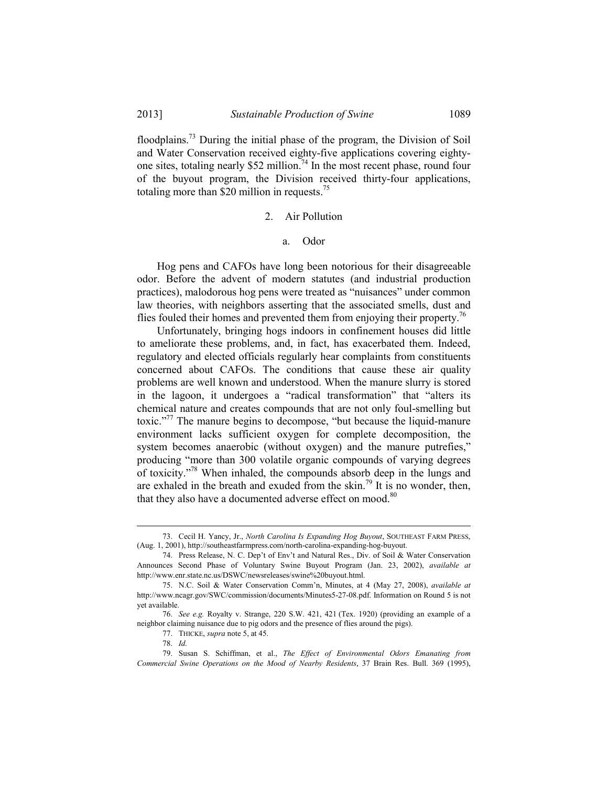floodplains.73 During the initial phase of the program, the Division of Soil and Water Conservation received eighty-five applications covering eightyone sites, totaling nearly \$52 million.<sup>74</sup> In the most recent phase, round four of the buyout program, the Division received thirty-four applications, totaling more than \$20 million in requests.<sup>75</sup>

### 2. Air Pollution

### a. Odor

 Hog pens and CAFOs have long been notorious for their disagreeable odor. Before the advent of modern statutes (and industrial production practices), malodorous hog pens were treated as "nuisances" under common law theories, with neighbors asserting that the associated smells, dust and flies fouled their homes and prevented them from enjoying their property.<sup>76</sup>

 Unfortunately, bringing hogs indoors in confinement houses did little to ameliorate these problems, and, in fact, has exacerbated them. Indeed, regulatory and elected officials regularly hear complaints from constituents concerned about CAFOs. The conditions that cause these air quality problems are well known and understood. When the manure slurry is stored in the lagoon, it undergoes a "radical transformation" that "alters its chemical nature and creates compounds that are not only foul-smelling but toxic."77 The manure begins to decompose, "but because the liquid-manure environment lacks sufficient oxygen for complete decomposition, the system becomes anaerobic (without oxygen) and the manure putrefies," producing "more than 300 volatile organic compounds of varying degrees of toxicity."78 When inhaled, the compounds absorb deep in the lungs and are exhaled in the breath and exuded from the skin.<sup>79</sup> It is no wonder, then, that they also have a documented adverse effect on mood.<sup>80</sup>

 <sup>73.</sup> Cecil H. Yancy, Jr., *North Carolina Is Expanding Hog Buyout*, SOUTHEAST FARM PRESS, (Aug. 1, 2001), http://southeastfarmpress.com/north-carolina-expanding-hog-buyout.

 <sup>74.</sup> Press Release, N. C. Dep't of Env't and Natural Res., Div. of Soil & Water Conservation Announces Second Phase of Voluntary Swine Buyout Program (Jan. 23, 2002), *available at* http://www.enr.state.nc.us/DSWC/newsreleases/swine%20buyout.html.

 <sup>75.</sup> N.C. Soil & Water Conservation Comm'n, Minutes, at 4 (May 27, 2008), *available at*  http://www.ncagr.gov/SWC/commission/documents/Minutes5-27-08.pdf. Information on Round 5 is not yet available.

 <sup>76.</sup> *See e.g.* Royalty v. Strange, 220 S.W. 421, 421 (Tex. 1920) (providing an example of a neighbor claiming nuisance due to pig odors and the presence of flies around the pigs).

 <sup>77.</sup> THICKE, *supra* note 5, at 45.

 <sup>78.</sup> *Id.*

 <sup>79.</sup> Susan S. Schiffman, et al., *The Effect of Environmental Odors Emanating from Commercial Swine Operations on the Mood of Nearby Residents*, 37 Brain Res. Bull. 369 (1995),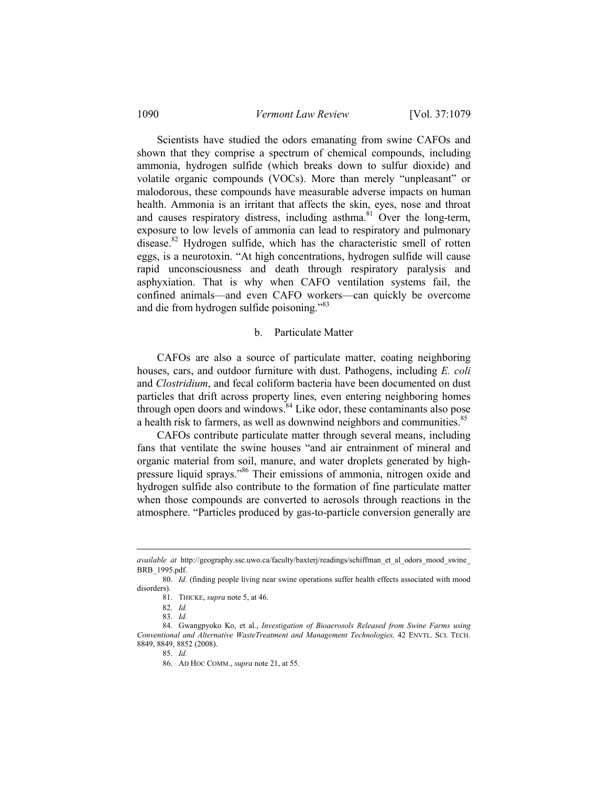### 1090 *Vermont Law Review* [Vol. 37:1079

 Scientists have studied the odors emanating from swine CAFOs and shown that they comprise a spectrum of chemical compounds, including ammonia, hydrogen sulfide (which breaks down to sulfur dioxide) and volatile organic compounds (VOCs). More than merely "unpleasant" or malodorous, these compounds have measurable adverse impacts on human health. Ammonia is an irritant that affects the skin, eyes, nose and throat and causes respiratory distress, including asthma. $81$  Over the long-term, exposure to low levels of ammonia can lead to respiratory and pulmonary disease.<sup>82</sup> Hydrogen sulfide, which has the characteristic smell of rotten eggs, is a neurotoxin. "At high concentrations, hydrogen sulfide will cause rapid unconsciousness and death through respiratory paralysis and asphyxiation. That is why when CAFO ventilation systems fail, the confined animals—and even CAFO workers—can quickly be overcome and die from hydrogen sulfide poisoning."<sup>83</sup>

### b. Particulate Matter

 CAFOs are also a source of particulate matter, coating neighboring houses, cars, and outdoor furniture with dust. Pathogens, including *E. coli* and *Clostridium*, and fecal coliform bacteria have been documented on dust particles that drift across property lines, even entering neighboring homes through open doors and windows.<sup>84</sup> Like odor, these contaminants also pose a health risk to farmers, as well as downwind neighbors and communities.<sup>85</sup>

 CAFOs contribute particulate matter through several means, including fans that ventilate the swine houses "and air entrainment of mineral and organic material from soil, manure, and water droplets generated by highpressure liquid sprays."86 Their emissions of ammonia, nitrogen oxide and hydrogen sulfide also contribute to the formation of fine particulate matter when those compounds are converted to aerosols through reactions in the atmosphere. "Particles produced by gas-to-particle conversion generally are

*available at* http://geography.ssc.uwo.ca/faculty/baxterj/readings/schiffman\_et\_al\_odors\_mood\_swine\_ BRB\_1995.pdf.

<sup>80.</sup> *Id.* (finding people living near swine operations suffer health effects associated with mood disorders).

 <sup>81.</sup> THICKE, *supra* note 5, at 46.

 <sup>82.</sup> *Id.* 

 <sup>83.</sup> *Id.*

 <sup>84.</sup> Gwangpyoko Ko, et al., *Investigation of Bioaerosols Released from Swine Farms using Conventional and Alternative WasteTreatment and Management Technologies,* 42 ENVTL. SCI. TECH. 8849, 8849, 8852 (2008).

 <sup>85.</sup> *Id.*

 <sup>86.</sup> AD HOC COMM., *supra* note 21, at 55.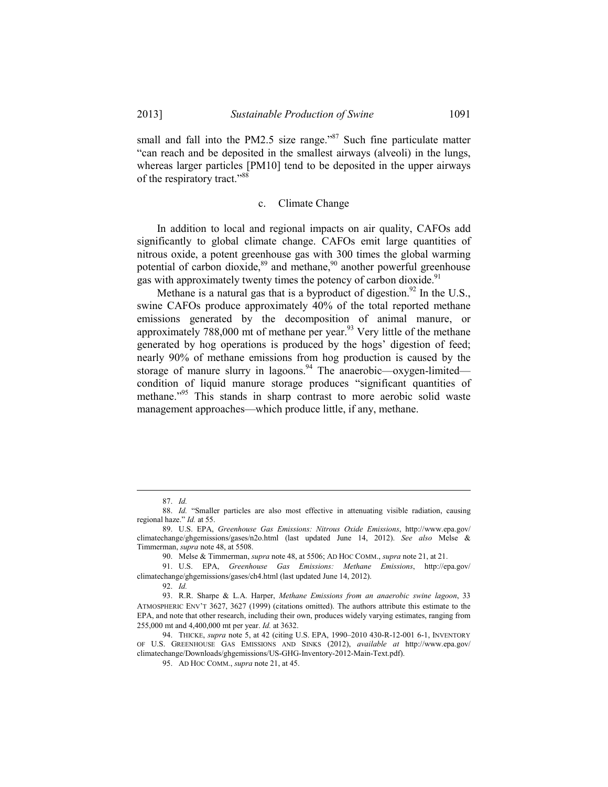small and fall into the PM2.5 size range."<sup>87</sup> Such fine particulate matter "can reach and be deposited in the smallest airways (alveoli) in the lungs, whereas larger particles [PM10] tend to be deposited in the upper airways of the respiratory tract."88

### c. Climate Change

 In addition to local and regional impacts on air quality, CAFOs add significantly to global climate change. CAFOs emit large quantities of nitrous oxide, a potent greenhouse gas with 300 times the global warming potential of carbon dioxide, $89$  and methane, $90$  another powerful greenhouse gas with approximately twenty times the potency of carbon dioxide.<sup>91</sup>

Methane is a natural gas that is a byproduct of digestion.<sup>92</sup> In the U.S., swine CAFOs produce approximately 40% of the total reported methane emissions generated by the decomposition of animal manure, or approximately  $788,000$  mt of methane per year.<sup>93</sup> Very little of the methane generated by hog operations is produced by the hogs' digestion of feed; nearly 90% of methane emissions from hog production is caused by the storage of manure slurry in lagoons.<sup>94</sup> The anaerobic—oxygen-limited condition of liquid manure storage produces "significant quantities of methane.<sup>"95</sup> This stands in sharp contrast to more aerobic solid waste management approaches—which produce little, if any, methane.

 <sup>87.</sup> *Id.*

 <sup>88.</sup> *Id.* "Smaller particles are also most effective in attenuating visible radiation, causing regional haze." *Id.* at 55.

 <sup>89.</sup> U.S. EPA, *Greenhouse Gas Emissions: Nitrous Oxide Emissions*, http://www.epa.gov/ climatechange/ghgemissions/gases/n2o.html (last updated June 14, 2012). *See also* Melse & Timmerman, *supra* note 48, at 5508.

 <sup>90.</sup> Melse & Timmerman, *supra* note 48, at 5506; AD HOC COMM., *supra* note 21, at 21.

 <sup>91.</sup> U.S. EPA, *Greenhouse Gas Emissions: Methane Emissions*, http://epa.gov/ climatechange/ghgemissions/gases/ch4.html (last updated June 14, 2012).

 <sup>92.</sup> *Id.*

 <sup>93.</sup> R.R. Sharpe & L.A. Harper, *Methane Emissions from an anaerobic swine lagoon*, 33 ATMOSPHERIC ENV'T 3627, 3627 (1999) (citations omitted). The authors attribute this estimate to the EPA, and note that other research, including their own, produces widely varying estimates, ranging from 255,000 mt and 4,400,000 mt per year. *Id.* at 3632.

 <sup>94.</sup> THICKE, *supra* note 5, at 42 (citing U.S. EPA, 1990–2010 430-R-12-001 6-1, INVENTORY OF U.S. GREENHOUSE GAS EMISSIONS AND SINKS (2012), *available at* http://www.epa.gov/ climatechange/Downloads/ghgemissions/US-GHG-Inventory-2012-Main-Text.pdf).

 <sup>95.</sup> AD HOC COMM., *supra* note 21, at 45.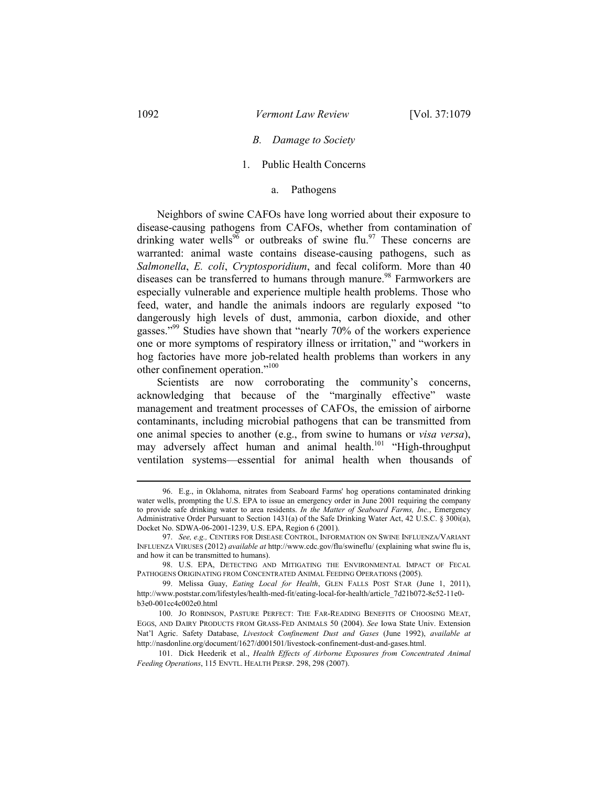### *B. Damage to Society*

### 1. Public Health Concerns

#### a. Pathogens

 Neighbors of swine CAFOs have long worried about their exposure to disease-causing pathogens from CAFOs, whether from contamination of drinking water wells<sup>96</sup> or outbreaks of swine flu.<sup>97</sup> These concerns are warranted: animal waste contains disease-causing pathogens, such as *Salmonella*, *E. coli*, *Cryptosporidium*, and fecal coliform. More than 40 diseases can be transferred to humans through manure.<sup>98</sup> Farmworkers are especially vulnerable and experience multiple health problems. Those who feed, water, and handle the animals indoors are regularly exposed "to dangerously high levels of dust, ammonia, carbon dioxide, and other gasses."99 Studies have shown that "nearly 70% of the workers experience one or more symptoms of respiratory illness or irritation," and "workers in hog factories have more job-related health problems than workers in any other confinement operation."100

 Scientists are now corroborating the community's concerns, acknowledging that because of the "marginally effective" waste management and treatment processes of CAFOs, the emission of airborne contaminants, including microbial pathogens that can be transmitted from one animal species to another (e.g., from swine to humans or *visa versa*), may adversely affect human and animal health.<sup>101</sup> "High-throughput ventilation systems—essential for animal health when thousands of

 <sup>96.</sup> E.g., in Oklahoma, nitrates from Seaboard Farms' hog operations contaminated drinking water wells, prompting the U.S. EPA to issue an emergency order in June 2001 requiring the company to provide safe drinking water to area residents. *In the Matter of Seaboard Farms, Inc.*, Emergency Administrative Order Pursuant to Section 1431(a) of the Safe Drinking Water Act, 42 U.S.C. § 300i(a), Docket No. SDWA-06-2001-1239, U.S. EPA, Region 6 (2001).

 <sup>97.</sup> *See, e.g.,* CENTERS FOR DISEASE CONTROL, INFORMATION ON SWINE INFLUENZA/VARIANT INFLUENZA VIRUSES (2012) *available at* http://www.cdc.gov/flu/swineflu/ (explaining what swine flu is, and how it can be transmitted to humans).

 <sup>98.</sup> U.S. EPA, DETECTING AND MITIGATING THE ENVIRONMENTAL IMPACT OF FECAL PATHOGENS ORIGINATING FROM CONCENTRATED ANIMAL FEEDING OPERATIONS (2005).

 <sup>99.</sup> Melissa Guay, *Eating Local for Health*, GLEN FALLS POST STAR (June 1, 2011), http://www.poststar.com/lifestyles/health-med-fit/eating-local-for-health/article\_7d21b072-8c52-11e0 b3e0-001cc4c002e0.html

 <sup>100.</sup> JO ROBINSON, PASTURE PERFECT: THE FAR-READING BENEFITS OF CHOOSING MEAT, EGGS, AND DAIRY PRODUCTS FROM GRASS-FED ANIMALS 50 (2004). *See* Iowa State Univ. Extension Nat'l Agric. Safety Database, *Livestock Confinement Dust and Gases* (June 1992), *available at* http://nasdonline.org/document/1627/d001501/livestock-confinement-dust-and-gases.html.

 <sup>101.</sup> Dick Heederik et al., *Health Effects of Airborne Exposures from Concentrated Animal Feeding Operations*, 115 ENVTL. HEALTH PERSP. 298, 298 (2007).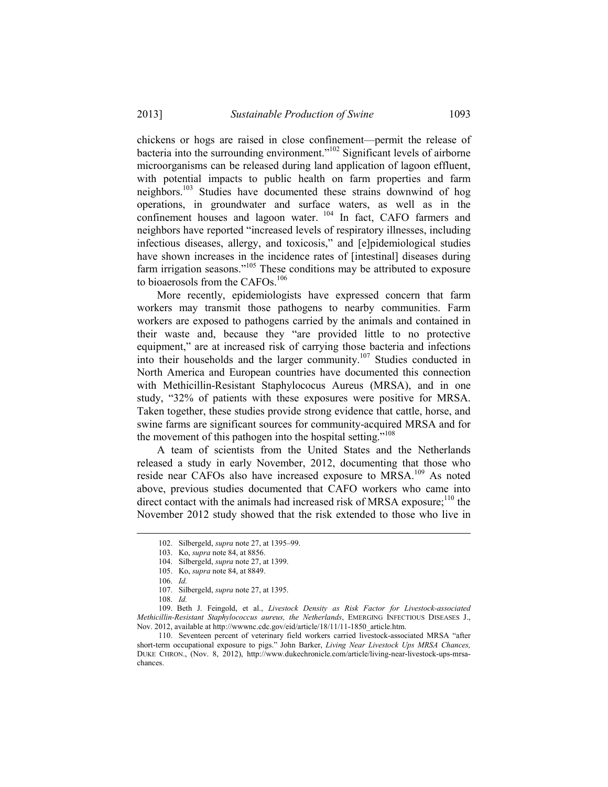chickens or hogs are raised in close confinement—permit the release of bacteria into the surrounding environment."102 Significant levels of airborne microorganisms can be released during land application of lagoon effluent, with potential impacts to public health on farm properties and farm neighbors.<sup>103</sup> Studies have documented these strains downwind of hog operations, in groundwater and surface waters, as well as in the confinement houses and lagoon water. <sup>104</sup> In fact, CAFO farmers and neighbors have reported "increased levels of respiratory illnesses, including infectious diseases, allergy, and toxicosis," and [e]pidemiological studies have shown increases in the incidence rates of [intestinal] diseases during farm irrigation seasons."<sup>105</sup> These conditions may be attributed to exposure to bioaerosols from the CAFOs.<sup>106</sup>

 More recently, epidemiologists have expressed concern that farm workers may transmit those pathogens to nearby communities. Farm workers are exposed to pathogens carried by the animals and contained in their waste and, because they "are provided little to no protective equipment," are at increased risk of carrying those bacteria and infections into their households and the larger community.<sup>107</sup> Studies conducted in North America and European countries have documented this connection with Methicillin-Resistant Staphylococus Aureus (MRSA), and in one study, "32% of patients with these exposures were positive for MRSA. Taken together, these studies provide strong evidence that cattle, horse, and swine farms are significant sources for community-acquired MRSA and for the movement of this pathogen into the hospital setting."<sup>108</sup>

 A team of scientists from the United States and the Netherlands released a study in early November, 2012, documenting that those who reside near CAFOs also have increased exposure to MRSA.<sup>109</sup> As noted above, previous studies documented that CAFO workers who came into direct contact with the animals had increased risk of MRSA exposure; $^{110}$  the November 2012 study showed that the risk extended to those who live in

1

 110. Seventeen percent of veterinary field workers carried livestock-associated MRSA "after short-term occupational exposure to pigs." John Barker, *Living Near Livestock Ups MRSA Chances,*  DUKE CHRON., (Nov. 8, 2012), http://www.dukechronicle.com/article/living-near-livestock-ups-mrsachances.

 <sup>102.</sup> Silbergeld, *supra* note 27, at 1395–99.

 <sup>103.</sup> Ko, *supra* note 84, at 8856.

 <sup>104.</sup> Silbergeld, *supra* note 27, at 1399.

 <sup>105.</sup> Ko, *supra* note 84, at 8849.

 <sup>106.</sup> *Id.*

 <sup>107.</sup> Silbergeld, *supra* note 27, at 1395.

 <sup>108.</sup> *Id.*

 <sup>109.</sup> Beth J. Feingold, et al., *Livestock Density as Risk Factor for Livestock-associated Methicillin-Resistant Staphylococcus aureus, the Netherlands*, EMERGING INFECTIOUS DISEASES J., Nov. 2012, available at http://wwwnc.cdc.gov/eid/article/18/11/11-1850\_article.htm.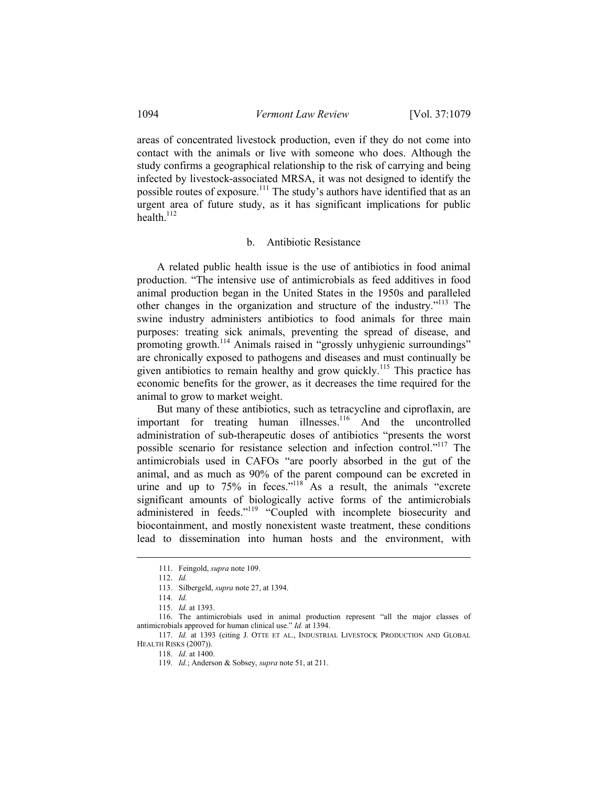areas of concentrated livestock production, even if they do not come into contact with the animals or live with someone who does. Although the study confirms a geographical relationship to the risk of carrying and being infected by livestock-associated MRSA, it was not designed to identify the possible routes of exposure.<sup>111</sup> The study's authors have identified that as an urgent area of future study, as it has significant implications for public health. $^{112}$ 

#### b. Antibiotic Resistance

 A related public health issue is the use of antibiotics in food animal production. "The intensive use of antimicrobials as feed additives in food animal production began in the United States in the 1950s and paralleled other changes in the organization and structure of the industry."113 The swine industry administers antibiotics to food animals for three main purposes: treating sick animals, preventing the spread of disease, and promoting growth.<sup>114</sup> Animals raised in "grossly unhygienic surroundings" are chronically exposed to pathogens and diseases and must continually be given antibiotics to remain healthy and grow quickly.<sup>115</sup> This practice has economic benefits for the grower, as it decreases the time required for the animal to grow to market weight.

 But many of these antibiotics, such as tetracycline and ciproflaxin, are important for treating human illnesses.<sup>116</sup> And the uncontrolled administration of sub-therapeutic doses of antibiotics "presents the worst possible scenario for resistance selection and infection control."117 The antimicrobials used in CAFOs "are poorly absorbed in the gut of the animal, and as much as 90% of the parent compound can be excreted in urine and up to  $75\%$  in feces."<sup>118</sup> As a result, the animals "excrete significant amounts of biologically active forms of the antimicrobials administered in feeds."<sup>119</sup> "Coupled with incomplete biosecurity and biocontainment, and mostly nonexistent waste treatment, these conditions lead to dissemination into human hosts and the environment, with

 <sup>111.</sup> Feingold, *supra* note 109.

 <sup>112.</sup> *Id.*

 <sup>113.</sup> Silbergeld, *supra* note 27, at 1394.

 <sup>114.</sup> *Id.*

 <sup>115.</sup> *Id.* at 1393.

 <sup>116.</sup> The antimicrobials used in animal production represent "all the major classes of antimicrobials approved for human clinical use." *Id.* at 1394.

 <sup>117.</sup> *Id.* at 1393 (citing J. OTTE ET AL., INDUSTRIAL LIVESTOCK PRODUCTION AND GLOBAL HEALTH RISKS (2007)).

 <sup>118.</sup> *Id.* at 1400.

 <sup>119.</sup> *Id.*; Anderson & Sobsey, *supra* note 51, at 211.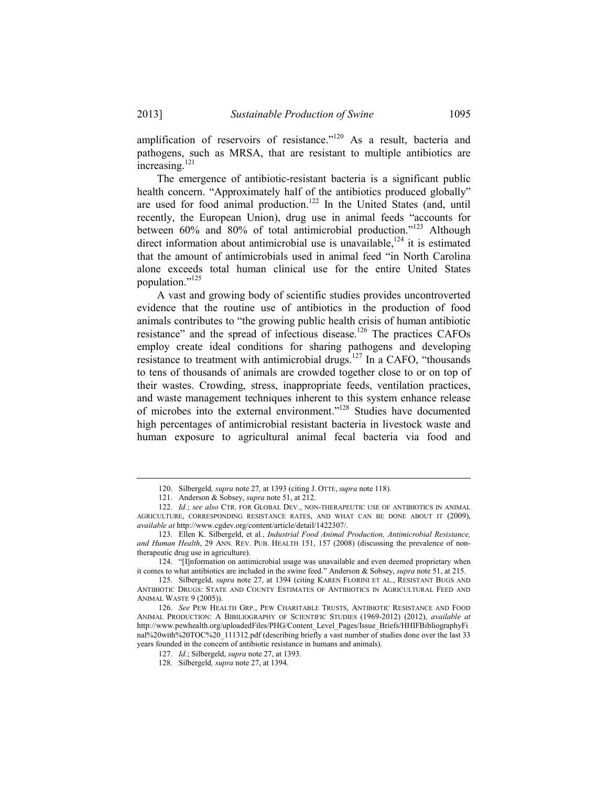amplification of reservoirs of resistance."<sup>120</sup> As a result, bacteria and pathogens, such as MRSA, that are resistant to multiple antibiotics are increasing.121

 The emergence of antibiotic-resistant bacteria is a significant public health concern. "Approximately half of the antibiotics produced globally" are used for food animal production.<sup>122</sup> In the United States (and, until recently, the European Union), drug use in animal feeds "accounts for between 60% and 80% of total antimicrobial production."<sup>123</sup> Although direct information about antimicrobial use is unavailable,<sup>124</sup> it is estimated that the amount of antimicrobials used in animal feed "in North Carolina alone exceeds total human clinical use for the entire United States population."125

 A vast and growing body of scientific studies provides uncontroverted evidence that the routine use of antibiotics in the production of food animals contributes to "the growing public health crisis of human antibiotic resistance" and the spread of infectious disease.<sup>126</sup> The practices CAFOs employ create ideal conditions for sharing pathogens and developing resistance to treatment with antimicrobial drugs.<sup>127</sup> In a CAFO, "thousands" to tens of thousands of animals are crowded together close to or on top of their wastes. Crowding, stress, inappropriate feeds, ventilation practices, and waste management techniques inherent to this system enhance release of microbes into the external environment."128 Studies have documented high percentages of antimicrobial resistant bacteria in livestock waste and human exposure to agricultural animal fecal bacteria via food and

 <sup>120.</sup> Silbergeld*, supra* note 27*,* at 1393 (citing J. OTTE, *supra* note 118).

 <sup>121.</sup> Anderson & Sobsey, *supra* note 51, at 212.

 <sup>122.</sup> *Id.*; *see also* CTR. FOR GLOBAL DEV., NON-THERAPEUTIC USE OF ANTIBIOTICS IN ANIMAL AGRICULTURE, CORRESPONDING RESISTANCE RATES, AND WHAT CAN BE DONE ABOUT IT (2009), *available at* http://www.cgdev.org/content/article/detail/1422307/.

 <sup>123.</sup> Ellen K. Silbergeld, et al*.*, *Industrial Food Animal Production, Antimicrobial Resistance, and Human Health*, 29 ANN. REV. PUB. HEALTH 151, 157 (2008) (discussing the prevalence of nontherapeutic drug use in agriculture).

 <sup>124. &</sup>quot;[I]nformation on antimicrobial usage was unavailable and even deemed proprietary when it comes to what antibiotics are included in the swine feed." Anderson & Sobsey, *supra* note 51, at 215.

 <sup>125.</sup> Silbergeld, *supra* note 27, at 1394 (citing KAREN FLORINI ET AL., RESISTANT BUGS AND ANTIBIOTIC DRUGS: STATE AND COUNTY ESTIMATES OF ANTIBIOTICS IN AGRICULTURAL FEED AND ANIMAL WASTE 9 (2005)).

 <sup>126.</sup> *See* PEW HEALTH GRP., PEW CHARITABLE TRUSTS, ANTIBIOTIC RESISTANCE AND FOOD ANIMAL PRODUCTION: A BIBILIOGRAPHY OF SCIENTIFIC STUDIES (1969-2012) (2012), *available at* http://www.pewhealth.org/uploadedFiles/PHG/Content\_Level\_Pages/Issue\_Briefs/HHIFBibliographyFi nal%20with%20TOC%20\_111312.pdf (describing briefly a vast number of studies done over the last 33 years founded in the concern of antibiotic resistance in humans and animals).

 <sup>127.</sup> *Id.*; Silbergeld, *supra* note 27, at 1393.

 <sup>128.</sup> Silbergeld*, supra* note 27, at 1394.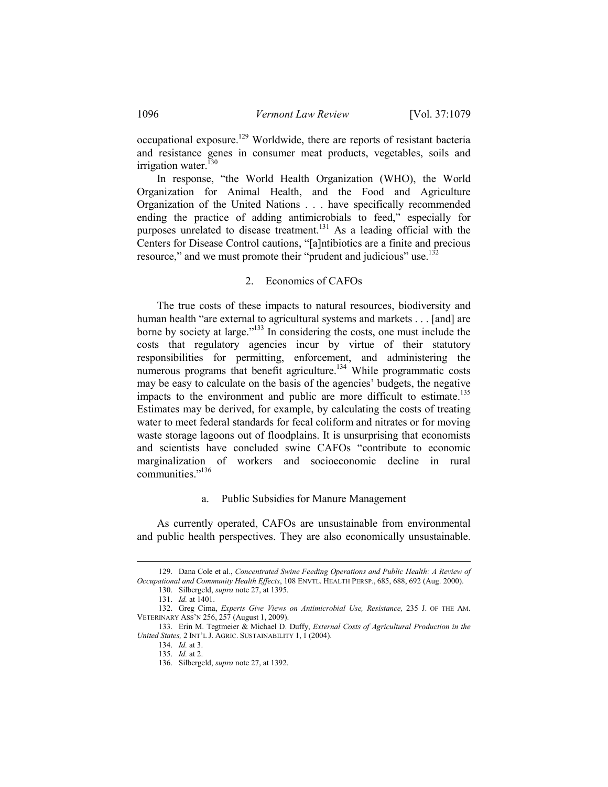occupational exposure.<sup>129</sup> Worldwide, there are reports of resistant bacteria and resistance genes in consumer meat products, vegetables, soils and irrigation water. $^{130}$ 

 In response, "the World Health Organization (WHO), the World Organization for Animal Health, and the Food and Agriculture Organization of the United Nations . . . have specifically recommended ending the practice of adding antimicrobials to feed," especially for purposes unrelated to disease treatment.<sup>131</sup> As a leading official with the Centers for Disease Control cautions, "[a]ntibiotics are a finite and precious resource," and we must promote their "prudent and judicious" use.<sup>132</sup>

### 2. Economics of CAFOs

 The true costs of these impacts to natural resources, biodiversity and human health "are external to agricultural systems and markets . . . [and] are borne by society at large."133 In considering the costs, one must include the costs that regulatory agencies incur by virtue of their statutory responsibilities for permitting, enforcement, and administering the numerous programs that benefit agriculture.<sup>134</sup> While programmatic costs may be easy to calculate on the basis of the agencies' budgets, the negative impacts to the environment and public are more difficult to estimate.<sup>135</sup> Estimates may be derived, for example, by calculating the costs of treating water to meet federal standards for fecal coliform and nitrates or for moving waste storage lagoons out of floodplains. It is unsurprising that economists and scientists have concluded swine CAFOs "contribute to economic marginalization of workers and socioeconomic decline in rural communities."<sup>136</sup>

### a. Public Subsidies for Manure Management

 As currently operated, CAFOs are unsustainable from environmental and public health perspectives. They are also economically unsustainable.

 <sup>129.</sup> Dana Cole et al., *Concentrated Swine Feeding Operations and Public Health: A Review of Occupational and Community Health Effects*, 108 ENVTL. HEALTH PERSP., 685, 688, 692 (Aug. 2000).

 <sup>130.</sup> Silbergeld, *supra* note 27, at 1395.

 <sup>131.</sup> *Id.* at 1401.

 <sup>132.</sup> Greg Cima, *Experts Give Views on Antimicrobial Use, Resistance,* 235 J. OF THE AM. VETERINARY ASS'N 256, 257 (August 1, 2009).

 <sup>133.</sup> Erin M. Tegtmeier & Michael D. Duffy, *External Costs of Agricultural Production in the United States,* 2 INT'L J. AGRIC. SUSTAINABILITY 1, 1 (2004).

 <sup>134.</sup> *Id.* at 3.

 <sup>135.</sup> *Id.* at 2.

 <sup>136.</sup> Silbergeld, *supra* note 27, at 1392.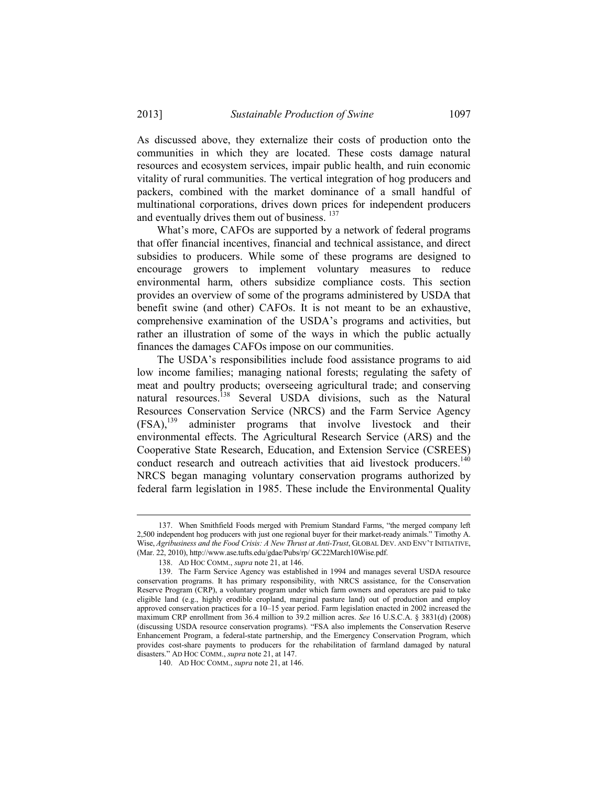As discussed above, they externalize their costs of production onto the communities in which they are located. These costs damage natural resources and ecosystem services, impair public health, and ruin economic vitality of rural communities. The vertical integration of hog producers and packers, combined with the market dominance of a small handful of multinational corporations, drives down prices for independent producers and eventually drives them out of business. <sup>137</sup>

 What's more, CAFOs are supported by a network of federal programs that offer financial incentives, financial and technical assistance, and direct subsidies to producers. While some of these programs are designed to encourage growers to implement voluntary measures to reduce environmental harm, others subsidize compliance costs. This section provides an overview of some of the programs administered by USDA that benefit swine (and other) CAFOs. It is not meant to be an exhaustive, comprehensive examination of the USDA's programs and activities, but rather an illustration of some of the ways in which the public actually finances the damages CAFOs impose on our communities.

 The USDA's responsibilities include food assistance programs to aid low income families; managing national forests; regulating the safety of meat and poultry products; overseeing agricultural trade; and conserving natural resources.<sup>138</sup> Several USDA divisions, such as the Natural Resources Conservation Service (NRCS) and the Farm Service Agency (FSA),139 administer programs that involve livestock and their environmental effects. The Agricultural Research Service (ARS) and the Cooperative State Research, Education, and Extension Service (CSREES) conduct research and outreach activities that aid livestock producers.<sup>140</sup> NRCS began managing voluntary conservation programs authorized by federal farm legislation in 1985. These include the Environmental Quality

 <sup>137.</sup> When Smithfield Foods merged with Premium Standard Farms, "the merged company left 2,500 independent hog producers with just one regional buyer for their market-ready animals." Timothy A. Wise, *Agribusiness and the Food Crisis: A New Thrust at Anti-Trust*, GLOBAL DEV. AND ENV'T INITIATIVE, (Mar. 22, 2010), http://www.ase.tufts.edu/gdae/Pubs/rp/ GC22March10Wise.pdf.

 <sup>138.</sup> AD HOC COMM., *supra* note 21, at 146.

 <sup>139.</sup> The Farm Service Agency was established in 1994 and manages several USDA resource conservation programs. It has primary responsibility, with NRCS assistance, for the Conservation Reserve Program (CRP), a voluntary program under which farm owners and operators are paid to take eligible land (e.g., highly erodible cropland, marginal pasture land) out of production and employ approved conservation practices for a 10–15 year period. Farm legislation enacted in 2002 increased the maximum CRP enrollment from 36.4 million to 39.2 million acres. *See* 16 U.S.C.A. § 3831(d) (2008) (discussing USDA resource conservation programs). "FSA also implements the Conservation Reserve Enhancement Program, a federal-state partnership, and the Emergency Conservation Program, which provides cost-share payments to producers for the rehabilitation of farmland damaged by natural disasters." AD HOC COMM., *supra* note 21, at 147.

 <sup>140.</sup> AD HOC COMM., *supra* note 21, at 146.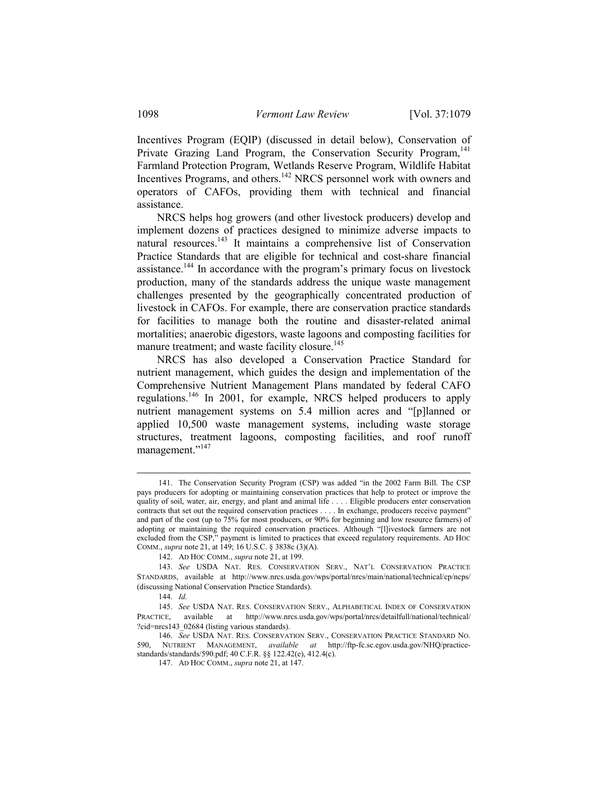Incentives Program (EQIP) (discussed in detail below), Conservation of Private Grazing Land Program, the Conservation Security Program,<sup>141</sup> Farmland Protection Program, Wetlands Reserve Program, Wildlife Habitat Incentives Programs, and others.<sup>142</sup> NRCS personnel work with owners and operators of CAFOs, providing them with technical and financial assistance.

 NRCS helps hog growers (and other livestock producers) develop and implement dozens of practices designed to minimize adverse impacts to natural resources.<sup>143</sup> It maintains a comprehensive list of Conservation Practice Standards that are eligible for technical and cost-share financial assistance.144 In accordance with the program's primary focus on livestock production, many of the standards address the unique waste management challenges presented by the geographically concentrated production of livestock in CAFOs. For example, there are conservation practice standards for facilities to manage both the routine and disaster-related animal mortalities; anaerobic digestors, waste lagoons and composting facilities for manure treatment; and waste facility closure.<sup>145</sup>

 NRCS has also developed a Conservation Practice Standard for nutrient management, which guides the design and implementation of the Comprehensive Nutrient Management Plans mandated by federal CAFO regulations.146 In 2001, for example, NRCS helped producers to apply nutrient management systems on 5.4 million acres and "[p]lanned or applied 10,500 waste management systems, including waste storage structures, treatment lagoons, composting facilities, and roof runoff management."<sup>147</sup>

 <sup>141.</sup> The Conservation Security Program (CSP) was added "in the 2002 Farm Bill. The CSP pays producers for adopting or maintaining conservation practices that help to protect or improve the quality of soil, water, air, energy, and plant and animal life . . . . Eligible producers enter conservation contracts that set out the required conservation practices . . . . In exchange, producers receive payment" and part of the cost (up to 75% for most producers, or 90% for beginning and low resource farmers) of adopting or maintaining the required conservation practices. Although "[l]ivestock farmers are not excluded from the CSP," payment is limited to practices that exceed regulatory requirements. AD HOC COMM., *supra* note 21, at 149; 16 U.S.C. § 3838c (3)(A).

 <sup>142.</sup> AD HOC COMM., *supra* note 21, at 199.

 <sup>143.</sup> *See* USDA NAT. RES. CONSERVATION SERV., NAT'L CONSERVATION PRACTICE STANDARDS, available at http://www.nrcs.usda.gov/wps/portal/nrcs/main/national/technical/cp/ncps/ (discussing National Conservation Practice Standards).

 <sup>144.</sup> *Id.*

 <sup>145.</sup> *See* USDA NAT. RES. CONSERVATION SERV., ALPHABETICAL INDEX OF CONSERVATION PRACTICE, available at http://www.nrcs.usda.gov/wps/portal/nrcs/detailfull/national/technical/ ?cid=nrcs143\_02684 (listing various standards).

 <sup>146.</sup> *See* USDA NAT. RES. CONSERVATION SERV., CONSERVATION PRACTICE STANDARD NO. 590, NUTRIENT MANAGEMENT, *available at* http://ftp-fc.sc.egov.usda.gov/NHQ/practicestandards/standards/590.pdf; 40 C.F.R. §§ 122.42(e), 412.4(c).

 <sup>147.</sup> AD HOC COMM., *supra* note 21, at 147.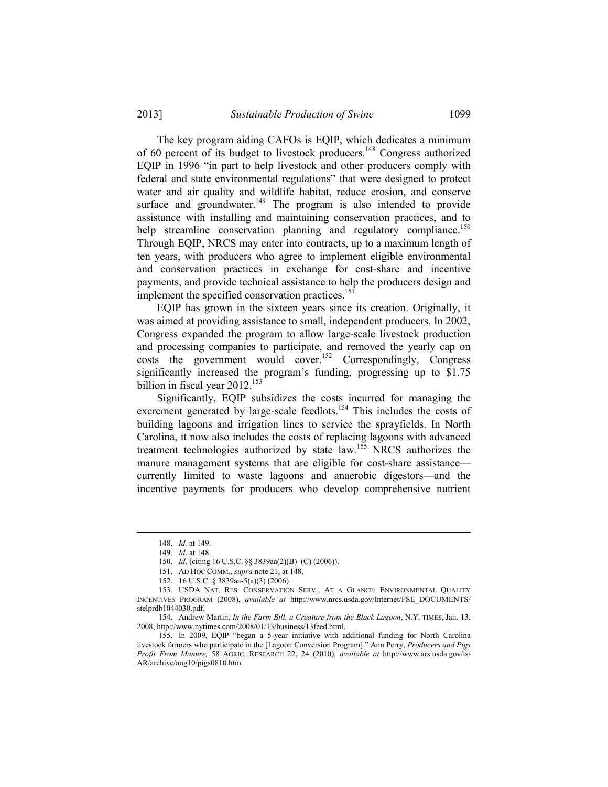The key program aiding CAFOs is EQIP, which dedicates a minimum of 60 percent of its budget to livestock producers.148 Congress authorized EQIP in 1996 "in part to help livestock and other producers comply with federal and state environmental regulations" that were designed to protect water and air quality and wildlife habitat, reduce erosion, and conserve surface and groundwater. $149$  The program is also intended to provide assistance with installing and maintaining conservation practices, and to help streamline conservation planning and regulatory compliance.<sup>150</sup> Through EQIP, NRCS may enter into contracts, up to a maximum length of ten years, with producers who agree to implement eligible environmental and conservation practices in exchange for cost-share and incentive payments, and provide technical assistance to help the producers design and implement the specified conservation practices.<sup>151</sup>

 EQIP has grown in the sixteen years since its creation. Originally, it was aimed at providing assistance to small, independent producers. In 2002, Congress expanded the program to allow large-scale livestock production and processing companies to participate, and removed the yearly cap on costs the government would cover.<sup>152</sup> Correspondingly, Congress significantly increased the program's funding, progressing up to \$1.75 billion in fiscal year  $2012$ <sup>153</sup>

 Significantly, EQIP subsidizes the costs incurred for managing the excrement generated by large-scale feedlots.<sup>154</sup> This includes the costs of building lagoons and irrigation lines to service the sprayfields. In North Carolina, it now also includes the costs of replacing lagoons with advanced treatment technologies authorized by state law.155 NRCS authorizes the manure management systems that are eligible for cost-share assistance currently limited to waste lagoons and anaerobic digestors—and the incentive payments for producers who develop comprehensive nutrient

 <sup>148.</sup> *Id.* at 149.

 <sup>149.</sup> *Id*. at 148.

 <sup>150.</sup> *Id*. (citing 16 U.S.C. §§ 3839aa(2)(B)–(C) (2006)).

 <sup>151.</sup> AD HOC COMM., *supra* note 21, at 148.

 <sup>152. 16</sup> U.S.C. § 3839aa-5(a)(3) (2006).

 <sup>153.</sup> USDA NAT. RES. CONSERVATION SERV., AT A GLANCE: ENVIRONMENTAL QUALITY INCENTIVES PROGRAM (2008), *available at* http://www.nrcs.usda.gov/Internet/FSE\_DOCUMENTS/ stelprdb1044030.pdf.

 <sup>154.</sup> Andrew Martin, *In the Farm Bill, a Creature from the Black Lagoon*, N.Y. TIMES, Jan. 13, 2008, http://www.nytimes.com/2008/01/13/business/13feed.html.

 <sup>155.</sup> In 2009, EQIP "began a 5-year initiative with additional funding for North Carolina livestock farmers who participate in the [Lagoon Conversion Program]." Ann Perry, *Producers and Pigs Profit From Manure,* 58 AGRIC. RESEARCH 22, 24 (2010), *available at* http://www.ars.usda.gov/is/ AR/archive/aug10/pigs0810.htm.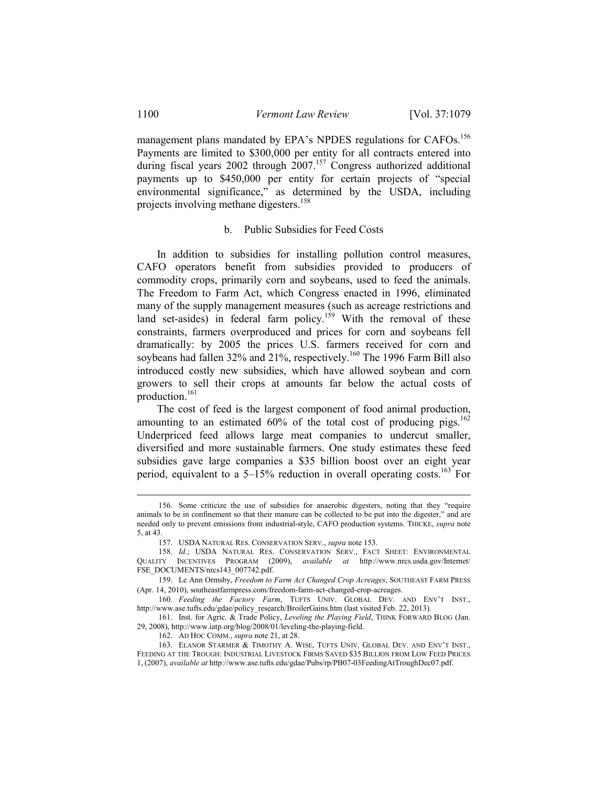management plans mandated by EPA's NPDES regulations for CAFOs.<sup>156</sup> Payments are limited to \$300,000 per entity for all contracts entered into during fiscal years 2002 through 2007.<sup>157</sup> Congress authorized additional payments up to \$450,000 per entity for certain projects of "special environmental significance," as determined by the USDA, including projects involving methane digesters.<sup>158</sup>

## b. Public Subsidies for Feed Costs

 In addition to subsidies for installing pollution control measures, CAFO operators benefit from subsidies provided to producers of commodity crops, primarily corn and soybeans, used to feed the animals. The Freedom to Farm Act, which Congress enacted in 1996, eliminated many of the supply management measures (such as acreage restrictions and land set-asides) in federal farm policy.<sup>159</sup> With the removal of these constraints, farmers overproduced and prices for corn and soybeans fell dramatically: by 2005 the prices U.S. farmers received for corn and soybeans had fallen 32% and 21%, respectively.<sup>160</sup> The 1996 Farm Bill also introduced costly new subsidies, which have allowed soybean and corn growers to sell their crops at amounts far below the actual costs of production.<sup>161</sup>

 The cost of feed is the largest component of food animal production, amounting to an estimated  $60\%$  of the total cost of producing pigs.<sup>162</sup> Underpriced feed allows large meat companies to undercut smaller, diversified and more sustainable farmers. One study estimates these feed subsidies gave large companies a \$35 billion boost over an eight year period, equivalent to a  $5-15\%$  reduction in overall operating costs.<sup>163</sup> For

162. AD HOC COMM., *supra* note 21, at 28.

 <sup>156.</sup> Some criticize the use of subsidies for anaerobic digesters, noting that they "require animals to be in confinement so that their manure can be collected to be put into the digester," and are needed only to prevent emissions from industrial-style, CAFO production systems. THICKE, *supra* note 5, at 43.

 <sup>157.</sup> USDA NATURAL RES. CONSERVATION SERV., *supra* note 153.

 <sup>158.</sup> *Id.*; USDA NATURAL RES. CONSERVATION SERV., FACT SHEET: ENVIRONMENTAL QUALITY INCENTIVES PROGRAM (2009), *available at* http://www.nrcs.usda.gov/Internet/ FSE\_DOCUMENTS/nrcs143\_007742.pdf.

 <sup>159.</sup> Le Ann Ormsby, *Freedom to Farm Act Changed Crop Acreages*, SOUTHEAST FARM PRESS (Apr. 14, 2010), southeastfarmpress.com/freedom-farm-act-changed-crop-acreages.

 <sup>160.</sup> *Feeding the Factory Farm*, TUFTS UNIV. GLOBAL DEV. AND ENV'T INST., http://www.ase.tufts.edu/gdae/policy\_research/BroilerGains.htm (last visited Feb. 22, 2013).

 <sup>161.</sup> Inst. for Agric. & Trade Policy, *Leveling the Playing Field*, THINK FORWARD BLOG (Jan. 29, 2008), http://www.iatp.org/blog/2008/01/leveling-the-playing-field.

 <sup>163.</sup> ELANOR STARMER & TIMOTHY A. WISE, TUFTS UNIV. GLOBAL DEV. AND ENV'T INST., FEEDING AT THE TROUGH: INDUSTRIAL LIVESTOCK FIRMS SAVED \$35 BILLION FROM LOW FEED PRICES 1, (2007), *available at* http://www.ase.tufts.edu/gdae/Pubs/rp/PB07-03FeedingAtTroughDec07.pdf.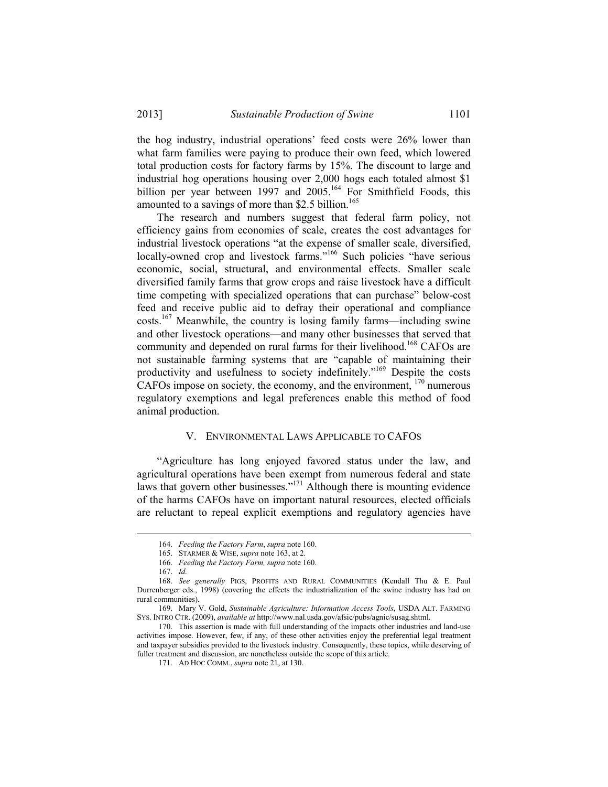the hog industry, industrial operations' feed costs were 26% lower than what farm families were paying to produce their own feed, which lowered total production costs for factory farms by 15%. The discount to large and industrial hog operations housing over 2,000 hogs each totaled almost \$1 billion per year between 1997 and  $2005$ .<sup>164</sup> For Smithfield Foods, this amounted to a savings of more than \$2.5 billion.<sup>165</sup>

 The research and numbers suggest that federal farm policy, not efficiency gains from economies of scale, creates the cost advantages for industrial livestock operations "at the expense of smaller scale, diversified, locally-owned crop and livestock farms."<sup>166</sup> Such policies "have serious economic, social, structural, and environmental effects. Smaller scale diversified family farms that grow crops and raise livestock have a difficult time competing with specialized operations that can purchase" below-cost feed and receive public aid to defray their operational and compliance costs.167 Meanwhile, the country is losing family farms—including swine and other livestock operations—and many other businesses that served that community and depended on rural farms for their livelihood.<sup>168</sup> CAFOs are not sustainable farming systems that are "capable of maintaining their productivity and usefulness to society indefinitely."<sup>169</sup> Despite the costs CAFOs impose on society, the economy, and the environment, 170 numerous regulatory exemptions and legal preferences enable this method of food animal production.

### V. ENVIRONMENTAL LAWS APPLICABLE TO CAFOS

 "Agriculture has long enjoyed favored status under the law, and agricultural operations have been exempt from numerous federal and state laws that govern other businesses."<sup>171</sup> Although there is mounting evidence of the harms CAFOs have on important natural resources, elected officials are reluctant to repeal explicit exemptions and regulatory agencies have

 <sup>164.</sup> *Feeding the Factory Farm*, *supra* note 160.

 <sup>165.</sup> STARMER & WISE, *supra* note 163, at 2.

 <sup>166.</sup> *Feeding the Factory Farm, supra* note 160*.* 

 <sup>167.</sup> *Id.*

 <sup>168.</sup> *See generally* PIGS, PROFITS AND RURAL COMMUNITIES (Kendall Thu & E. Paul Durrenberger eds., 1998) (covering the effects the industrialization of the swine industry has had on rural communities).

 <sup>169.</sup> Mary V. Gold, *Sustainable Agriculture: Information Access Tools*, USDA ALT. FARMING SYS. INTRO CTR. (2009), *available at* http://www.nal.usda.gov/afsic/pubs/agnic/susag.shtml.

 <sup>170.</sup> This assertion is made with full understanding of the impacts other industries and land-use activities impose. However, few, if any, of these other activities enjoy the preferential legal treatment and taxpayer subsidies provided to the livestock industry. Consequently, these topics, while deserving of fuller treatment and discussion, are nonetheless outside the scope of this article.

 <sup>171.</sup> AD HOC COMM., *supra* note 21, at 130.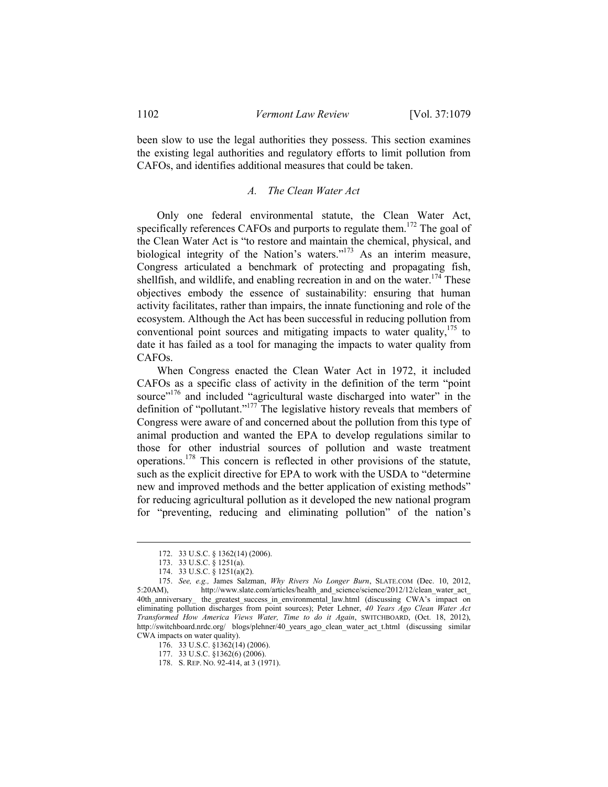been slow to use the legal authorities they possess. This section examines the existing legal authorities and regulatory efforts to limit pollution from CAFOs, and identifies additional measures that could be taken.

## *A. The Clean Water Act*

 Only one federal environmental statute, the Clean Water Act, specifically references CAFOs and purports to regulate them.<sup>172</sup> The goal of the Clean Water Act is "to restore and maintain the chemical, physical, and biological integrity of the Nation's waters."<sup>173</sup> As an interim measure, Congress articulated a benchmark of protecting and propagating fish, shellfish, and wildlife, and enabling recreation in and on the water.<sup>174</sup> These objectives embody the essence of sustainability: ensuring that human activity facilitates, rather than impairs, the innate functioning and role of the ecosystem. Although the Act has been successful in reducing pollution from conventional point sources and mitigating impacts to water quality, $175$  to date it has failed as a tool for managing the impacts to water quality from CAFOs.

 When Congress enacted the Clean Water Act in 1972, it included CAFOs as a specific class of activity in the definition of the term "point source"<sup>176</sup> and included "agricultural waste discharged into water" in the definition of "pollutant."177 The legislative history reveals that members of Congress were aware of and concerned about the pollution from this type of animal production and wanted the EPA to develop regulations similar to those for other industrial sources of pollution and waste treatment operations.178 This concern is reflected in other provisions of the statute, such as the explicit directive for EPA to work with the USDA to "determine new and improved methods and the better application of existing methods" for reducing agricultural pollution as it developed the new national program for "preventing, reducing and eliminating pollution" of the nation's

 <sup>172. 33</sup> U.S.C. § 1362(14) (2006).

 <sup>173. 33</sup> U.S.C. § 1251(a).

 <sup>174. 33</sup> U.S.C. § 1251(a)(2).

175. *See, e.g.,* James Salzman, *Why Rivers No Longer Burn*, SLATE.COM (Dec. 10, 2012, http://www.slate.com/articles/health\_and\_science/science/2012/12/clean\_water\_act 40th\_anniversary\_ the\_greatest\_success\_in\_environmental\_law.html (discussing CWA's impact on eliminating pollution discharges from point sources); Peter Lehner, *40 Years Ago Clean Water Act Transformed How America Views Water, Time to do it Again*, SWITCHBOARD, (Oct. 18, 2012), http://switchboard.nrdc.org/ blogs/plehner/40 years ago clean water act t.html (discussing similar CWA impacts on water quality).

 <sup>176. 33</sup> U.S.C. §1362(14) (2006).

 <sup>177. 33</sup> U.S.C. §1362(6) (2006).

 <sup>178.</sup> S. REP. NO. 92-414, at 3 (1971).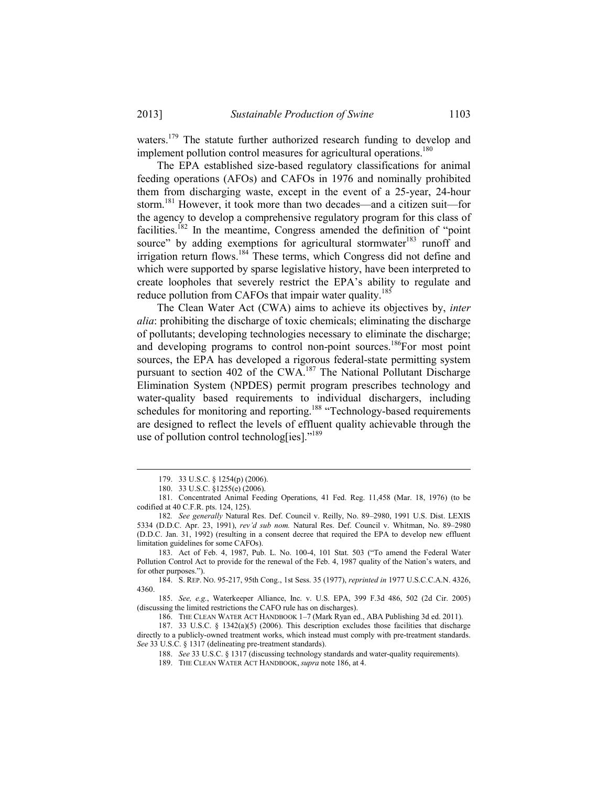waters.<sup>179</sup> The statute further authorized research funding to develop and implement pollution control measures for agricultural operations.<sup>180</sup>

 The EPA established size-based regulatory classifications for animal feeding operations (AFOs) and CAFOs in 1976 and nominally prohibited them from discharging waste, except in the event of a 25-year, 24-hour storm.181 However, it took more than two decades—and a citizen suit—for the agency to develop a comprehensive regulatory program for this class of facilities.<sup>182</sup> In the meantime, Congress amended the definition of "point" source" by adding exemptions for agricultural stormwater<sup>183</sup> runoff and irrigation return flows.184 These terms, which Congress did not define and which were supported by sparse legislative history, have been interpreted to create loopholes that severely restrict the EPA's ability to regulate and reduce pollution from CAFOs that impair water quality.<sup>185</sup>

 The Clean Water Act (CWA) aims to achieve its objectives by, *inter alia*: prohibiting the discharge of toxic chemicals; eliminating the discharge of pollutants; developing technologies necessary to eliminate the discharge; and developing programs to control non-point sources.<sup>186</sup>For most point sources, the EPA has developed a rigorous federal-state permitting system pursuant to section 402 of the CWA.<sup>187</sup> The National Pollutant Discharge Elimination System (NPDES) permit program prescribes technology and water-quality based requirements to individual dischargers, including schedules for monitoring and reporting.<sup>188</sup> "Technology-based requirements are designed to reflect the levels of effluent quality achievable through the use of pollution control technolog[ies]."<sup>189</sup>

1

 183. Act of Feb. 4, 1987, Pub. L. No. 100-4, 101 Stat. 503 ("To amend the Federal Water Pollution Control Act to provide for the renewal of the Feb. 4, 1987 quality of the Nation's waters, and for other purposes.").

 184. S. REP. NO. 95-217, 95th Cong., 1st Sess. 35 (1977), *reprinted in* 1977 U.S.C.C.A.N. 4326, 4360.

 185. *See, e.g.*, Waterkeeper Alliance, Inc. v. U.S. EPA, 399 F.3d 486, 502 (2d Cir. 2005) (discussing the limited restrictions the CAFO rule has on discharges).

186. THE CLEAN WATER ACT HANDBOOK 1–7 (Mark Ryan ed., ABA Publishing 3d ed. 2011).

 187. 33 U.S.C. § 1342(a)(5) (2006). This description excludes those facilities that discharge directly to a publicly-owned treatment works, which instead must comply with pre-treatment standards. *See* 33 U.S.C. § 1317 (delineating pre-treatment standards).

 <sup>179. 33</sup> U.S.C. § 1254(p) (2006).

 <sup>180. 33</sup> U.S.C. §1255(e) (2006).

 <sup>181.</sup> Concentrated Animal Feeding Operations, 41 Fed. Reg. 11,458 (Mar. 18, 1976) (to be codified at 40 C.F.R. pts. 124, 125).

182*. See generally* Natural Res. Def. Council v. Reilly, No. 89–2980, 1991 U.S. Dist. LEXIS 5334 (D.D.C. Apr. 23, 1991), *rev'd sub nom.* Natural Res. Def. Council v. Whitman, No. 89–2980 (D.D.C. Jan. 31, 1992) (resulting in a consent decree that required the EPA to develop new effluent limitation guidelines for some CAFOs).

 <sup>188.</sup> *See* 33 U.S.C. § 1317 (discussing technology standards and water-quality requirements).

 <sup>189.</sup> THE CLEAN WATER ACT HANDBOOK, *supra* note 186, at 4.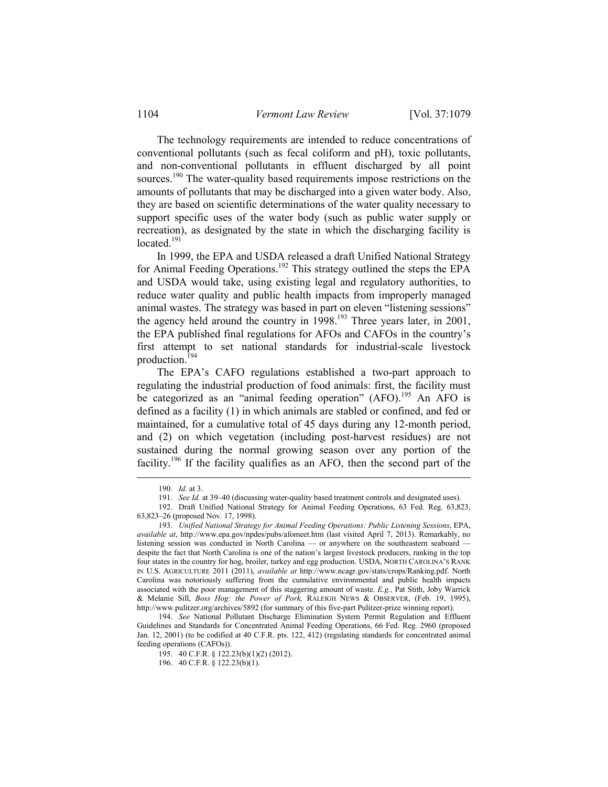The technology requirements are intended to reduce concentrations of conventional pollutants (such as fecal coliform and pH), toxic pollutants, and non-conventional pollutants in effluent discharged by all point sources.<sup>190</sup> The water-quality based requirements impose restrictions on the amounts of pollutants that may be discharged into a given water body. Also, they are based on scientific determinations of the water quality necessary to support specific uses of the water body (such as public water supply or recreation), as designated by the state in which the discharging facility is located $191$ 

 In 1999, the EPA and USDA released a draft Unified National Strategy for Animal Feeding Operations.192 This strategy outlined the steps the EPA and USDA would take, using existing legal and regulatory authorities, to reduce water quality and public health impacts from improperly managed animal wastes. The strategy was based in part on eleven "listening sessions" the agency held around the country in  $1998$ <sup>193</sup>. Three years later, in 2001, the EPA published final regulations for AFOs and CAFOs in the country's first attempt to set national standards for industrial-scale livestock production.194

 The EPA's CAFO regulations established a two-part approach to regulating the industrial production of food animals: first, the facility must be categorized as an "animal feeding operation" (AFO).<sup>195</sup> An AFO is defined as a facility (1) in which animals are stabled or confined, and fed or maintained, for a cumulative total of 45 days during any 12-month period, and (2) on which vegetation (including post-harvest residues) are not sustained during the normal growing season over any portion of the facility.<sup>196</sup> If the facility qualifies as an AFO, then the second part of the

 <sup>190.</sup> *Id.* at 3.

 <sup>191.</sup> *See Id.* at 39–40 (discussing water-quality based treatment controls and designated uses).

 <sup>192.</sup> Draft Unified National Strategy for Animal Feeding Operations, 63 Fed. Reg. 63,823, 63,823–26 (proposed Nov. 17, 1998).

 <sup>193.</sup> *Unified National Strategy for Animal Feeding Operations: Public Listening Sessions*, EPA, *available at*, http://www.epa.gov/npdes/pubs/afomeet.htm (last visited April 7, 2013). Remarkably, no listening session was conducted in North Carolina — or anywhere on the southeastern seaboard despite the fact that North Carolina is one of the nation's largest livestock producers, ranking in the top four states in the country for hog, broiler, turkey and egg production. USDA, NORTH CAROLINA'S RANK IN U.S. AGRICULTURE 2011 (2011), *available at* http://www.ncagr.gov/stats/crops/Ranking.pdf. North Carolina was notoriously suffering from the cumulative environmental and public health impacts associated with the poor management of this staggering amount of waste. *E.g.,* Pat Stith, Joby Warrick & Melanie Sill, *Boss Hog: the Power of Pork,* RALEIGH NEWS & OBSERVER, (Feb. 19, 1995), http://www.pulitzer.org/archives/5892 (for summary of this five-part Pulitzer-prize winning report).

 <sup>194.</sup> *See* National Pollutant Discharge Elimination System Permit Regulation and Effluent Guidelines and Standards for Concentrated Animal Feeding Operations, 66 Fed. Reg. 2960 (proposed Jan. 12, 2001) (to be codified at 40 C.F.R. pts. 122, 412) (regulating standards for concentrated animal feeding operations (CAFOs)).

 <sup>195. 40</sup> C.F.R. § 122.23(b)(1)(2) (2012).

 <sup>196. 40</sup> C.F.R. § 122.23(b)(1).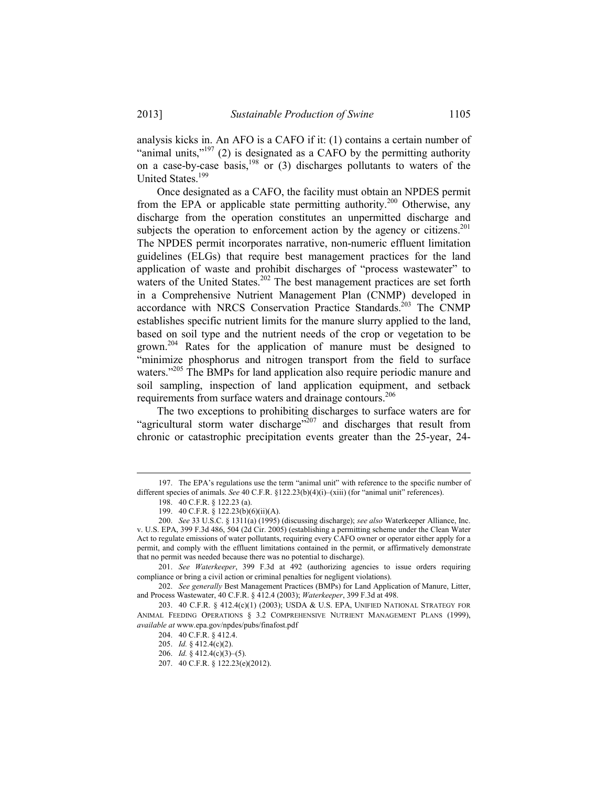analysis kicks in. An AFO is a CAFO if it: (1) contains a certain number of "animal units," $197$  (2) is designated as a CAFO by the permitting authority on a case-by-case basis,<sup>198</sup> or (3) discharges pollutants to waters of the United States.199

 Once designated as a CAFO, the facility must obtain an NPDES permit from the EPA or applicable state permitting authority.<sup>200</sup> Otherwise, any discharge from the operation constitutes an unpermitted discharge and subjects the operation to enforcement action by the agency or citizens.<sup>201</sup> The NPDES permit incorporates narrative, non-numeric effluent limitation guidelines (ELGs) that require best management practices for the land application of waste and prohibit discharges of "process wastewater" to waters of the United States.<sup>202</sup> The best management practices are set forth in a Comprehensive Nutrient Management Plan (CNMP) developed in accordance with NRCS Conservation Practice Standards.<sup>203</sup> The CNMP establishes specific nutrient limits for the manure slurry applied to the land, based on soil type and the nutrient needs of the crop or vegetation to be grown.204 Rates for the application of manure must be designed to "minimize phosphorus and nitrogen transport from the field to surface waters."<sup>205</sup> The BMPs for land application also require periodic manure and soil sampling, inspection of land application equipment, and setback requirements from surface waters and drainage contours.<sup>206</sup>

 The two exceptions to prohibiting discharges to surface waters are for "agricultural storm water discharge"<sup>207</sup> and discharges that result from chronic or catastrophic precipitation events greater than the 25-year, 24-

 <sup>197.</sup> The EPA's regulations use the term "animal unit" with reference to the specific number of different species of animals. *See* 40 C.F.R. §122.23(b)(4)(i)–(xiii) (for "animal unit" references).

 <sup>198. 40</sup> C.F.R. § 122.23 (a).

 <sup>199. 40</sup> C.F.R. § 122.23(b)(6)(ii)(A).

 <sup>200.</sup> *See* 33 U.S.C. § 1311(a) (1995) (discussing discharge); *see also* Waterkeeper Alliance, Inc. v. U.S. EPA, 399 F.3d 486, 504 (2d Cir. 2005) (establishing a permitting scheme under the Clean Water Act to regulate emissions of water pollutants, requiring every CAFO owner or operator either apply for a permit, and comply with the effluent limitations contained in the permit, or affirmatively demonstrate that no permit was needed because there was no potential to discharge).

 <sup>201.</sup> *See Waterkeeper*, 399 F.3d at 492 (authorizing agencies to issue orders requiring compliance or bring a civil action or criminal penalties for negligent violations).

 <sup>202.</sup> *See generally* Best Management Practices (BMPs) for Land Application of Manure, Litter, and Process Wastewater, 40 C.F.R. § 412.4 (2003); *Waterkeeper*, 399 F.3d at 498.

 <sup>203. 40</sup> C.F.R. § 412.4(c)(1) (2003); USDA & U.S. EPA, UNIFIED NATIONAL STRATEGY FOR ANIMAL FEEDING OPERATIONS § 3.2 COMPREHENSIVE NUTRIENT MANAGEMENT PLANS (1999), *available at* www.epa.gov/npdes/pubs/finafost.pdf

 <sup>204. 40</sup> C.F.R. § 412.4.

 <sup>205.</sup> *Id.* § 412.4(c)(2).

 <sup>206.</sup> *Id.* § 412.4(c)(3)–(5).

 <sup>207. 40</sup> C.F.R. § 122.23(e)(2012).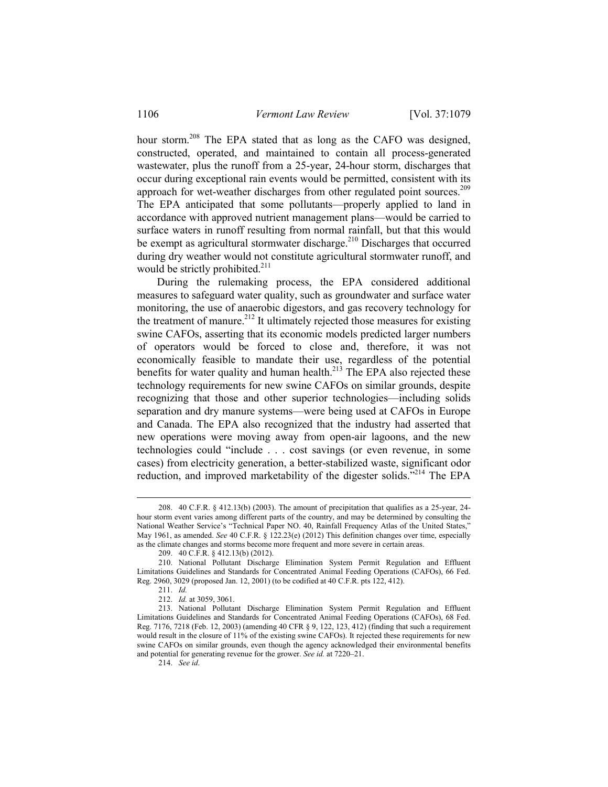hour storm.208 The EPA stated that as long as the CAFO was designed, constructed, operated, and maintained to contain all process-generated wastewater, plus the runoff from a 25-year, 24-hour storm, discharges that occur during exceptional rain events would be permitted, consistent with its approach for wet-weather discharges from other regulated point sources.<sup>209</sup> The EPA anticipated that some pollutants—properly applied to land in accordance with approved nutrient management plans—would be carried to surface waters in runoff resulting from normal rainfall, but that this would be exempt as agricultural stormwater discharge.<sup>210</sup> Discharges that occurred during dry weather would not constitute agricultural stormwater runoff, and would be strictly prohibited. $2^{11}$ 

 During the rulemaking process, the EPA considered additional measures to safeguard water quality, such as groundwater and surface water monitoring, the use of anaerobic digestors, and gas recovery technology for the treatment of manure.<sup>212</sup> It ultimately rejected those measures for existing swine CAFOs, asserting that its economic models predicted larger numbers of operators would be forced to close and, therefore, it was not economically feasible to mandate their use, regardless of the potential benefits for water quality and human health. $213$  The EPA also rejected these technology requirements for new swine CAFOs on similar grounds, despite recognizing that those and other superior technologies—including solids separation and dry manure systems—were being used at CAFOs in Europe and Canada. The EPA also recognized that the industry had asserted that new operations were moving away from open-air lagoons, and the new technologies could "include . . . cost savings (or even revenue, in some cases) from electricity generation, a better-stabilized waste, significant odor reduction, and improved marketability of the digester solids.<sup> $5214$ </sup> The EPA

1

214. *See id*.

 <sup>208. 40</sup> C.F.R. § 412.13(b) (2003). The amount of precipitation that qualifies as a 25-year, 24 hour storm event varies among different parts of the country, and may be determined by consulting the National Weather Service's "Technical Paper NO. 40, Rainfall Frequency Atlas of the United States," May 1961, as amended. *See* 40 C.F.R. § 122.23(e) (2012) This definition changes over time, especially as the climate changes and storms become more frequent and more severe in certain areas.

 <sup>209. 40</sup> C.F.R. § 412.13(b) (2012).

 <sup>210.</sup> National Pollutant Discharge Elimination System Permit Regulation and Effluent Limitations Guidelines and Standards for Concentrated Animal Feeding Operations (CAFOs), 66 Fed. Reg. 2960, 3029 (proposed Jan. 12, 2001) (to be codified at 40 C.F.R. pts 122, 412).

 <sup>211.</sup> *Id.* 

 <sup>212.</sup> *Id.* at 3059, 3061.

 <sup>213.</sup> National Pollutant Discharge Elimination System Permit Regulation and Effluent Limitations Guidelines and Standards for Concentrated Animal Feeding Operations (CAFOs), 68 Fed. Reg. 7176, 7218 (Feb. 12, 2003) (amending 40 CFR § 9, 122, 123, 412) (finding that such a requirement would result in the closure of 11% of the existing swine CAFOs). It rejected these requirements for new swine CAFOs on similar grounds, even though the agency acknowledged their environmental benefits and potential for generating revenue for the grower. *See id.* at 7220–21.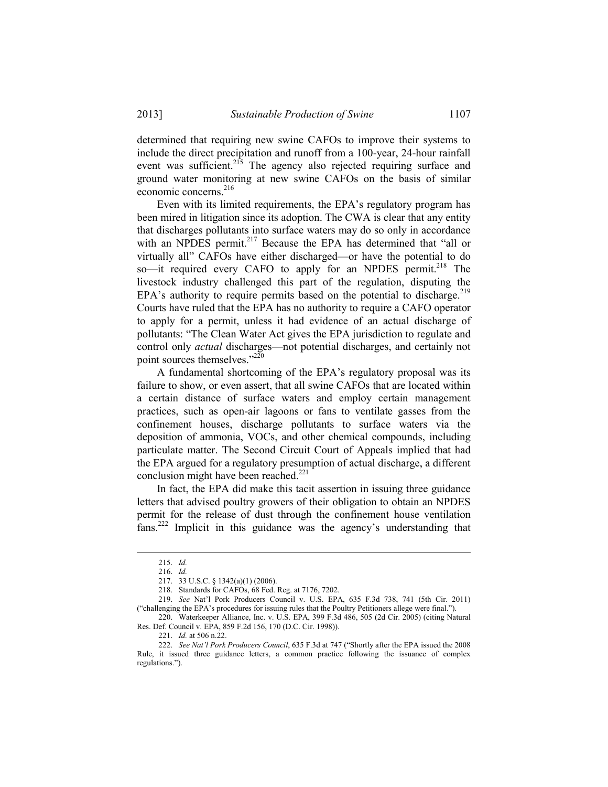determined that requiring new swine CAFOs to improve their systems to include the direct precipitation and runoff from a 100-year, 24-hour rainfall event was sufficient.<sup>215</sup> The agency also rejected requiring surface and ground water monitoring at new swine CAFOs on the basis of similar economic concerns.<sup>216</sup>

 Even with its limited requirements, the EPA's regulatory program has been mired in litigation since its adoption. The CWA is clear that any entity that discharges pollutants into surface waters may do so only in accordance with an NPDES permit.<sup>217</sup> Because the EPA has determined that "all or virtually all" CAFOs have either discharged—or have the potential to do so—it required every CAFO to apply for an NPDES permit.<sup>218</sup> The livestock industry challenged this part of the regulation, disputing the EPA's authority to require permits based on the potential to discharge.<sup>219</sup> Courts have ruled that the EPA has no authority to require a CAFO operator to apply for a permit, unless it had evidence of an actual discharge of pollutants: "The Clean Water Act gives the EPA jurisdiction to regulate and control only *actual* discharges—not potential discharges, and certainly not point sources themselves."<sup>220</sup>

 A fundamental shortcoming of the EPA's regulatory proposal was its failure to show, or even assert, that all swine CAFOs that are located within a certain distance of surface waters and employ certain management practices, such as open-air lagoons or fans to ventilate gasses from the confinement houses, discharge pollutants to surface waters via the deposition of ammonia, VOCs, and other chemical compounds, including particulate matter. The Second Circuit Court of Appeals implied that had the EPA argued for a regulatory presumption of actual discharge, a different conclusion might have been reached.<sup>221</sup>

 In fact, the EPA did make this tacit assertion in issuing three guidance letters that advised poultry growers of their obligation to obtain an NPDES permit for the release of dust through the confinement house ventilation fans.222 Implicit in this guidance was the agency's understanding that

 <sup>215.</sup> *Id.*

 <sup>216.</sup> *Id.*

 <sup>217. 33</sup> U.S.C. § 1342(a)(1) (2006).

 <sup>218.</sup> Standards for CAFOs, 68 Fed. Reg. at 7176, 7202.

 <sup>219.</sup> *See* Nat'l Pork Producers Council v. U.S. EPA, 635 F.3d 738, 741 (5th Cir. 2011) ("challenging the EPA's procedures for issuing rules that the Poultry Petitioners allege were final.").

 <sup>220.</sup>Waterkeeper Alliance, Inc. v. U.S. EPA, 399 F.3d 486, 505 (2d Cir. 2005) (citing Natural Res. Def. Council v. EPA, 859 F.2d 156, 170 (D.C. Cir. 1998)).

 <sup>221.</sup> *Id.* at 506 n.22.

 <sup>222.</sup> *See Nat'l Pork Producers Council*, 635 F.3d at 747 ("Shortly after the EPA issued the 2008 Rule, it issued three guidance letters, a common practice following the issuance of complex regulations.").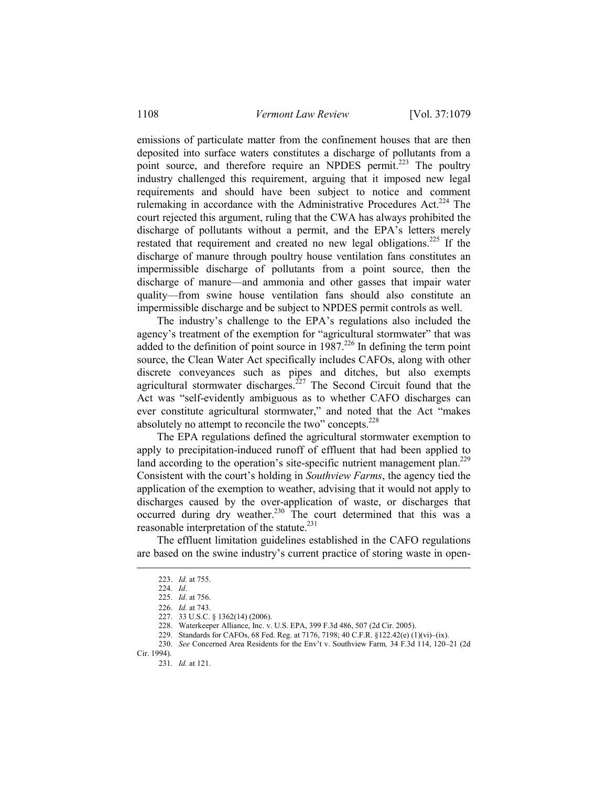emissions of particulate matter from the confinement houses that are then deposited into surface waters constitutes a discharge of pollutants from a point source, and therefore require an NPDES permit.<sup>223</sup> The poultry industry challenged this requirement, arguing that it imposed new legal requirements and should have been subject to notice and comment rulemaking in accordance with the Administrative Procedures Act.<sup>224</sup> The court rejected this argument, ruling that the CWA has always prohibited the discharge of pollutants without a permit, and the EPA's letters merely restated that requirement and created no new legal obligations.<sup>225</sup> If the discharge of manure through poultry house ventilation fans constitutes an impermissible discharge of pollutants from a point source, then the discharge of manure—and ammonia and other gasses that impair water quality—from swine house ventilation fans should also constitute an impermissible discharge and be subject to NPDES permit controls as well.

 The industry's challenge to the EPA's regulations also included the agency's treatment of the exemption for "agricultural stormwater" that was added to the definition of point source in  $1987$ .<sup>226</sup> In defining the term point source, the Clean Water Act specifically includes CAFOs, along with other discrete conveyances such as pipes and ditches, but also exempts agricultural stormwater discharges.<sup>227</sup> The Second Circuit found that the Act was "self-evidently ambiguous as to whether CAFO discharges can ever constitute agricultural stormwater," and noted that the Act "makes absolutely no attempt to reconcile the two" concepts. $228$ 

 The EPA regulations defined the agricultural stormwater exemption to apply to precipitation-induced runoff of effluent that had been applied to land according to the operation's site-specific nutrient management plan.<sup>229</sup> Consistent with the court's holding in *Southview Farms*, the agency tied the application of the exemption to weather, advising that it would not apply to discharges caused by the over-application of waste, or discharges that occurred during dry weather.<sup>230</sup> The court determined that this was a reasonable interpretation of the statute.<sup>231</sup>

 The effluent limitation guidelines established in the CAFO regulations are based on the swine industry's current practice of storing waste in open-

 <sup>223.</sup> *Id.* at 755.

 <sup>224.</sup> *Id*.

 <sup>225.</sup> *Id*. at 756.

 <sup>226.</sup> *Id.* at 743.

 <sup>227. 33</sup> U.S.C. § 1362(14) (2006).

 <sup>228.</sup> Waterkeeper Alliance, Inc. v. U.S. EPA, 399 F.3d 486, 507 (2d Cir. 2005).

 <sup>229.</sup> Standards for CAFOs, 68 Fed. Reg. at 7176, 7198; 40 C.F.R. §122.42(e) (1)(vi)–(ix).

 <sup>230.</sup> *See* Concerned Area Residents for the Env't v. Southview Farm*,* 34 F.3d 114, 120–21 (2d Cir. 1994).

 <sup>231.</sup> *Id.* at 121.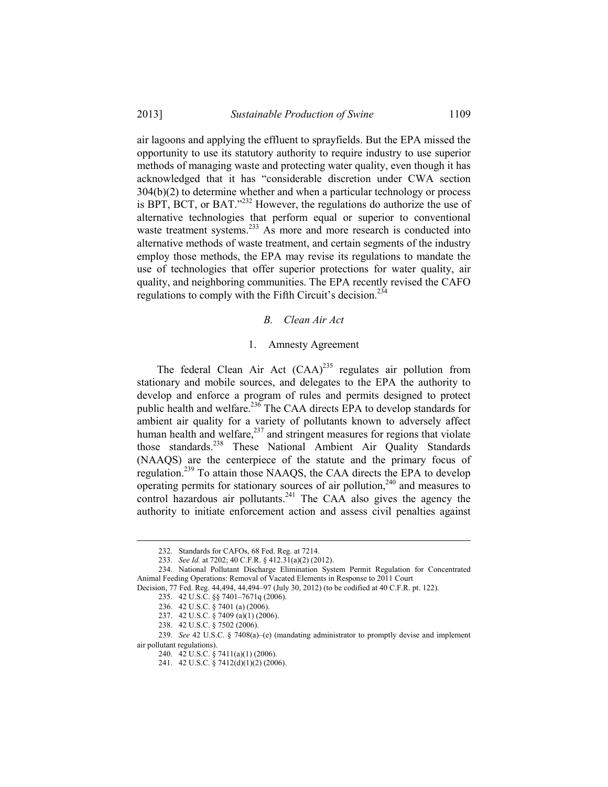## 2013] *Sustainable Production of Swine* 1109

air lagoons and applying the effluent to sprayfields. But the EPA missed the opportunity to use its statutory authority to require industry to use superior methods of managing waste and protecting water quality, even though it has acknowledged that it has "considerable discretion under CWA section 304(b)(2) to determine whether and when a particular technology or process is BPT, BCT, or BAT."232 However, the regulations do authorize the use of alternative technologies that perform equal or superior to conventional waste treatment systems.<sup>233</sup> As more and more research is conducted into alternative methods of waste treatment, and certain segments of the industry employ those methods, the EPA may revise its regulations to mandate the use of technologies that offer superior protections for water quality, air quality, and neighboring communities. The EPA recently revised the CAFO regulations to comply with the Fifth Circuit's decision.<sup>234</sup>

#### *B. Clean Air Act*

## 1. Amnesty Agreement

The federal Clean Air Act  $(CAA)^{235}$  regulates air pollution from stationary and mobile sources, and delegates to the EPA the authority to develop and enforce a program of rules and permits designed to protect public health and welfare.<sup>236</sup> The CAA directs EPA to develop standards for ambient air quality for a variety of pollutants known to adversely affect human health and welfare, $237$  and stringent measures for regions that violate those standards.<sup>238</sup> These National Ambient Air Quality Standards (NAAQS) are the centerpiece of the statute and the primary focus of regulation.239 To attain those NAAQS, the CAA directs the EPA to develop operating permits for stationary sources of air pollution, $240$  and measures to control hazardous air pollutants.<sup>241</sup> The CAA also gives the agency the authority to initiate enforcement action and assess civil penalties against

 <sup>232.</sup> Standards for CAFOs, 68 Fed. Reg. at 7214.

 <sup>233.</sup> *See Id.* at 7202; 40 C.F.R. § 412.31(a)(2) (2012).

 <sup>234.</sup> National Pollutant Discharge Elimination System Permit Regulation for Concentrated Animal Feeding Operations: Removal of Vacated Elements in Response to 2011 Court

Decision, 77 Fed. Reg. 44,494, 44,494–97 (July 30, 2012) (to be codified at 40 C.F.R. pt. 122).

 <sup>235. 42</sup> U.S.C. §§ 7401–7671q (2006).

 <sup>236. 42</sup> U.S.C. § 7401 (a) (2006).

 <sup>237. 42</sup> U.S.C. § 7409 (a)(1) (2006).

 <sup>238. 42</sup> U.S.C. § 7502 (2006).

 <sup>239.</sup> *See* 42 U.S.C. § 7408(a)–(e) (mandating administrator to promptly devise and implement air pollutant regulations).

 <sup>240. 42</sup> U.S.C. § 7411(a)(1) (2006).

 <sup>241. 42</sup> U.S.C. § 7412(d)(1)(2) (2006).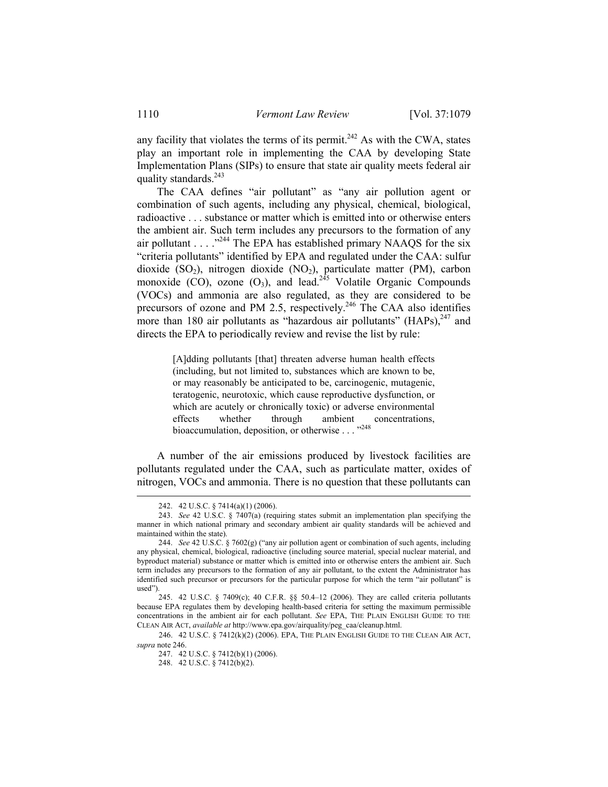any facility that violates the terms of its permit.<sup>242</sup> As with the CWA, states play an important role in implementing the CAA by developing State Implementation Plans (SIPs) to ensure that state air quality meets federal air quality standards.<sup>243</sup>

 The CAA defines "air pollutant" as "any air pollution agent or combination of such agents, including any physical, chemical, biological, radioactive . . . substance or matter which is emitted into or otherwise enters the ambient air. Such term includes any precursors to the formation of any air pollutant  $\ldots$  . . .<sup>3244</sup> The EPA has established primary NAAOS for the six "criteria pollutants" identified by EPA and regulated under the CAA: sulfur dioxide  $(SO_2)$ , nitrogen dioxide  $(NO_2)$ , particulate matter (PM), carbon monoxide (CO), ozone (O<sub>3</sub>), and lead.<sup>245</sup> Volatile Organic Compounds (VOCs) and ammonia are also regulated, as they are considered to be precursors of ozone and PM 2.5, respectively.<sup>246</sup> The CAA also identifies more than 180 air pollutants as "hazardous air pollutants"  $(HAPs)$ ,  $^{247}$  and directs the EPA to periodically review and revise the list by rule:

> [A]dding pollutants [that] threaten adverse human health effects (including, but not limited to, substances which are known to be, or may reasonably be anticipated to be, carcinogenic, mutagenic, teratogenic, neurotoxic, which cause reproductive dysfunction, or which are acutely or chronically toxic) or adverse environmental effects whether through ambient concentrations, bioaccumulation, deposition, or otherwise  $\ldots$ <sup>248</sup>

 A number of the air emissions produced by livestock facilities are pollutants regulated under the CAA, such as particulate matter, oxides of nitrogen, VOCs and ammonia. There is no question that these pollutants can

1

 246. 42 U.S.C. § 7412(k)(2) (2006). EPA, THE PLAIN ENGLISH GUIDE TO THE CLEAN AIR ACT, *supra* note 246.

 <sup>242. 42</sup> U.S.C. § 7414(a)(1) (2006).

 <sup>243.</sup> *See* 42 U.S.C. § 7407(a) (requiring states submit an implementation plan specifying the manner in which national primary and secondary ambient air quality standards will be achieved and maintained within the state).

 <sup>244.</sup> *See* 42 U.S.C. § 7602(g) ("any air pollution agent or combination of such agents, including any physical, chemical, biological, radioactive (including source material, special nuclear material, and byproduct material) substance or matter which is emitted into or otherwise enters the ambient air. Such term includes any precursors to the formation of any air pollutant, to the extent the Administrator has identified such precursor or precursors for the particular purpose for which the term "air pollutant" is used").

 <sup>245. 42</sup> U.S.C. § 7409(c); 40 C.F.R. §§ 50.4–12 (2006). They are called criteria pollutants because EPA regulates them by developing health-based criteria for setting the maximum permissible concentrations in the ambient air for each pollutant. *See* EPA, THE PLAIN ENGLISH GUIDE TO THE CLEAN AIR ACT, *available at* http://www.epa.gov/airquality/peg\_caa/cleanup.html.

 <sup>247. 42</sup> U.S.C. § 7412(b)(1) (2006).

 <sup>248. 42</sup> U.S.C. § 7412(b)(2).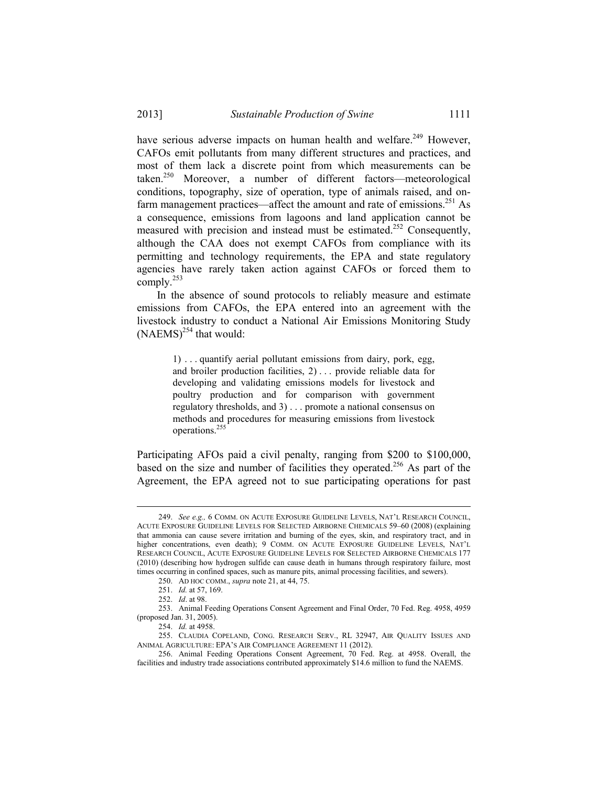have serious adverse impacts on human health and welfare.<sup>249</sup> However, CAFOs emit pollutants from many different structures and practices, and most of them lack a discrete point from which measurements can be taken.250 Moreover, a number of different factors—meteorological conditions, topography, size of operation, type of animals raised, and onfarm management practices—affect the amount and rate of emissions.<sup>251</sup> As a consequence, emissions from lagoons and land application cannot be measured with precision and instead must be estimated.<sup>252</sup> Consequently, although the CAA does not exempt CAFOs from compliance with its permitting and technology requirements, the EPA and state regulatory agencies have rarely taken action against CAFOs or forced them to comply. $^{253}$ 

 In the absence of sound protocols to reliably measure and estimate emissions from CAFOs, the EPA entered into an agreement with the livestock industry to conduct a National Air Emissions Monitoring Study  $(NAEMS)^{254}$  that would:

> 1) . . . quantify aerial pollutant emissions from dairy, pork, egg, and broiler production facilities, 2) . . . provide reliable data for developing and validating emissions models for livestock and poultry production and for comparison with government regulatory thresholds, and 3) . . . promote a national consensus on methods and procedures for measuring emissions from livestock operations.255

Participating AFOs paid a civil penalty, ranging from \$200 to \$100,000, based on the size and number of facilities they operated.<sup>256</sup> As part of the Agreement, the EPA agreed not to sue participating operations for past

 <sup>249.</sup> *See e.g.,* 6 COMM. ON ACUTE EXPOSURE GUIDELINE LEVELS, NAT'L RESEARCH COUNCIL, ACUTE EXPOSURE GUIDELINE LEVELS FOR SELECTED AIRBORNE CHEMICALS 59–60 (2008) (explaining that ammonia can cause severe irritation and burning of the eyes, skin, and respiratory tract, and in higher concentrations, even death); 9 COMM. ON ACUTE EXPOSURE GUIDELINE LEVELS, NAT'L RESEARCH COUNCIL, ACUTE EXPOSURE GUIDELINE LEVELS FOR SELECTED AIRBORNE CHEMICALS 177 (2010) (describing how hydrogen sulfide can cause death in humans through respiratory failure, most times occurring in confined spaces, such as manure pits, animal processing facilities, and sewers).

 <sup>250.</sup> AD HOC COMM., *supra* note 21, at 44, 75.

 <sup>251.</sup> *Id.* at 57, 169.

 <sup>252.</sup> *Id*. at 98.

 <sup>253.</sup> Animal Feeding Operations Consent Agreement and Final Order, 70 Fed. Reg. 4958, 4959 (proposed Jan. 31, 2005).

 <sup>254.</sup> *Id.* at 4958.

 <sup>255.</sup> CLAUDIA COPELAND, CONG. RESEARCH SERV., RL 32947, AIR QUALITY ISSUES AND ANIMAL AGRICULTURE: EPA'S AIR COMPLIANCE AGREEMENT 11 (2012).

 <sup>256.</sup> Animal Feeding Operations Consent Agreement, 70 Fed. Reg. at 4958. Overall, the facilities and industry trade associations contributed approximately \$14.6 million to fund the NAEMS.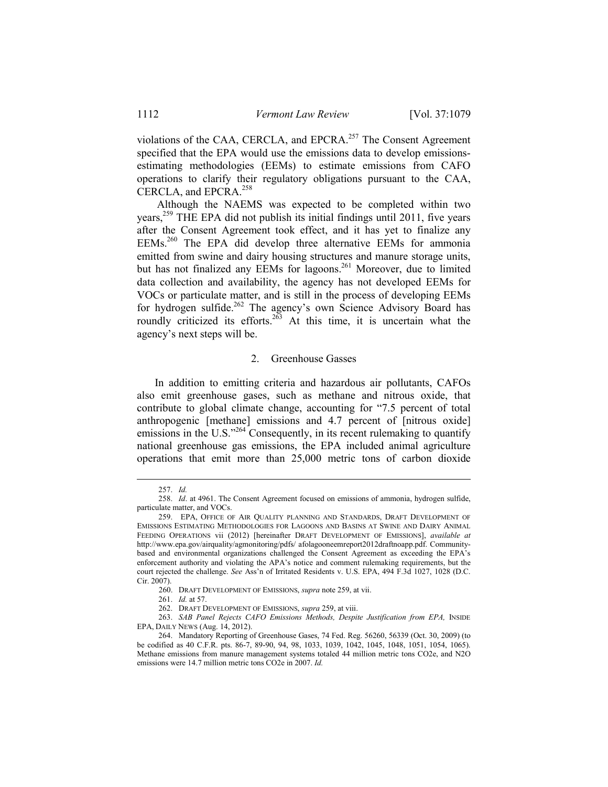violations of the CAA, CERCLA, and EPCRA.<sup>257</sup> The Consent Agreement specified that the EPA would use the emissions data to develop emissionsestimating methodologies (EEMs) to estimate emissions from CAFO operations to clarify their regulatory obligations pursuant to the CAA, CERCLA, and EPCRA.<sup>258</sup>

 Although the NAEMS was expected to be completed within two years,<sup>259</sup> THE EPA did not publish its initial findings until 2011, five years after the Consent Agreement took effect, and it has yet to finalize any EEMs.260 The EPA did develop three alternative EEMs for ammonia emitted from swine and dairy housing structures and manure storage units, but has not finalized any EEMs for lagoons.<sup>261</sup> Moreover, due to limited data collection and availability, the agency has not developed EEMs for VOCs or particulate matter, and is still in the process of developing EEMs for hydrogen sulfide.<sup>262</sup> The agency's own Science Advisory Board has roundly criticized its efforts.<sup>263</sup> At this time, it is uncertain what the agency's next steps will be.

### 2. Greenhouse Gasses

In addition to emitting criteria and hazardous air pollutants, CAFOs also emit greenhouse gases, such as methane and nitrous oxide, that contribute to global climate change, accounting for "7.5 percent of total anthropogenic [methane] emissions and 4.7 percent of [nitrous oxide] emissions in the U.S."<sup>264</sup> Consequently, in its recent rulemaking to quantify national greenhouse gas emissions, the EPA included animal agriculture operations that emit more than 25,000 metric tons of carbon dioxide

 <sup>257.</sup> *Id.* 

 <sup>258.</sup> *Id*. at 4961. The Consent Agreement focused on emissions of ammonia, hydrogen sulfide, particulate matter, and VOCs.

 <sup>259.</sup> EPA, OFFICE OF AIR QUALITY PLANNING AND STANDARDS, DRAFT DEVELOPMENT OF EMISSIONS ESTIMATING METHODOLOGIES FOR LAGOONS AND BASINS AT SWINE AND DAIRY ANIMAL FEEDING OPERATIONS vii (2012) [hereinafter DRAFT DEVELOPMENT OF EMISSIONS], *available at*  http://www.epa.gov/airquality/agmonitoring/pdfs/ afolagooneemreport2012draftnoapp.pdf. Communitybased and environmental organizations challenged the Consent Agreement as exceeding the EPA's enforcement authority and violating the APA's notice and comment rulemaking requirements, but the court rejected the challenge. *See* Ass'n of Irritated Residents v. U.S. EPA, 494 F.3d 1027, 1028 (D.C. Cir. 2007).

 <sup>260.</sup> DRAFT DEVELOPMENT OF EMISSIONS, *supra* note 259, at vii.

 <sup>261.</sup> *Id.* at 57.

 <sup>262.</sup>DRAFT DEVELOPMENT OF EMISSIONS, *supra* 259, at viii.

 <sup>263.</sup> *SAB Panel Rejects CAFO Emissions Methods, Despite Justification from EPA,* INSIDE EPA, DAILY NEWS (Aug. 14, 2012).

 <sup>264.</sup> Mandatory Reporting of Greenhouse Gases, 74 Fed. Reg. 56260, 56339 (Oct. 30, 2009) (to be codified as 40 C.F.R. pts. 86-7, 89-90, 94, 98, 1033, 1039, 1042, 1045, 1048, 1051, 1054, 1065). Methane emissions from manure management systems totaled 44 million metric tons CO2e, and N2O emissions were 14.7 million metric tons CO2e in 2007. *Id.*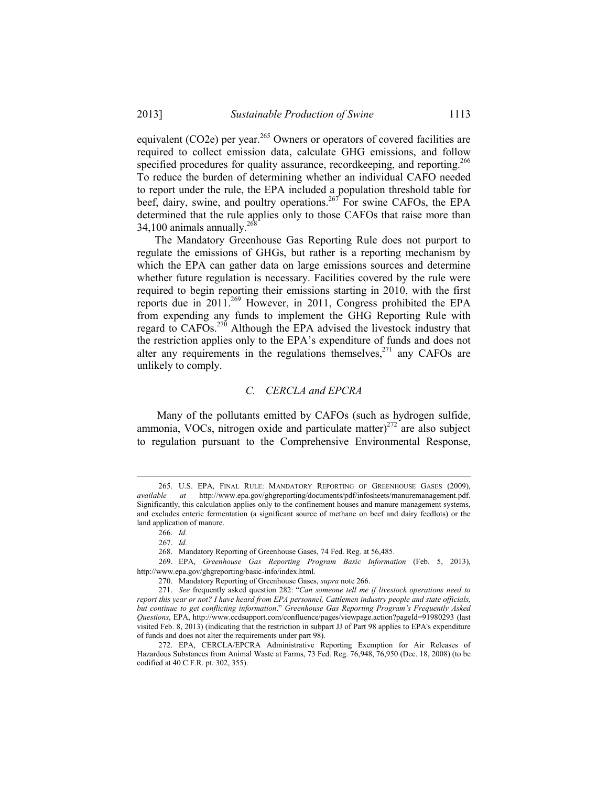equivalent (CO2e) per year.<sup>265</sup> Owners or operators of covered facilities are required to collect emission data, calculate GHG emissions, and follow specified procedures for quality assurance, recordkeeping, and reporting.<sup>266</sup> To reduce the burden of determining whether an individual CAFO needed to report under the rule, the EPA included a population threshold table for beef, dairy, swine, and poultry operations.<sup>267</sup> For swine CAFOs, the EPA determined that the rule applies only to those CAFOs that raise more than  $34,100$  animals annually.<sup>268</sup>

The Mandatory Greenhouse Gas Reporting Rule does not purport to regulate the emissions of GHGs, but rather is a reporting mechanism by which the EPA can gather data on large emissions sources and determine whether future regulation is necessary. Facilities covered by the rule were required to begin reporting their emissions starting in 2010, with the first reports due in  $2011$ <sup>269</sup> However, in 2011, Congress prohibited the EPA from expending any funds to implement the GHG Reporting Rule with regard to  $CAFOs.<sup>270</sup>$  Although the EPA advised the livestock industry that the restriction applies only to the EPA's expenditure of funds and does not alter any requirements in the regulations themselves, $271$  any CAFOs are unlikely to comply.

#### *C. CERCLA and EPCRA*

 Many of the pollutants emitted by CAFOs (such as hydrogen sulfide, ammonia, VOCs, nitrogen oxide and particulate matter $)^{272}$  are also subject to regulation pursuant to the Comprehensive Environmental Response,

 <sup>265.</sup> U.S. EPA, FINAL RULE: MANDATORY REPORTING OF GREENHOUSE GASES (2009), *available at* http://www.epa.gov/ghgreporting/documents/pdf/infosheets/manuremanagement.pdf. Significantly, this calculation applies only to the confinement houses and manure management systems, and excludes enteric fermentation (a significant source of methane on beef and dairy feedlots) or the land application of manure.

 <sup>266.</sup> *Id.*

 <sup>267.</sup> *Id.*

 <sup>268.</sup> Mandatory Reporting of Greenhouse Gases, 74 Fed. Reg. at 56,485.

 <sup>269.</sup> EPA, *Greenhouse Gas Reporting Program Basic Information* (Feb. 5, 2013), http://www.epa.gov/ghgreporting/basic-info/index.html.

 <sup>270.</sup> Mandatory Reporting of Greenhouse Gases, *supra* note 266.

271.*See* frequently asked question 282: "*Can someone tell me if livestock operations need to report this year or not? I have heard from EPA personnel, Cattlemen industry people and state officials, but continue to get conflicting information*." *Greenhouse Gas Reporting Program's Frequently Asked Questions*, EPA, http://www.ccdsupport.com/confluence/pages/viewpage.action?pageId=91980293 (last visited Feb. 8, 2013) (indicating that the restriction in subpart JJ of Part 98 applies to EPA's expenditure of funds and does not alter the requirements under part 98).

 <sup>272.</sup> EPA, CERCLA/EPCRA Administrative Reporting Exemption for Air Releases of Hazardous Substances from Animal Waste at Farms, 73 Fed. Reg. 76,948, 76,950 (Dec. 18, 2008) (to be codified at 40 C.F.R. pt. 302, 355).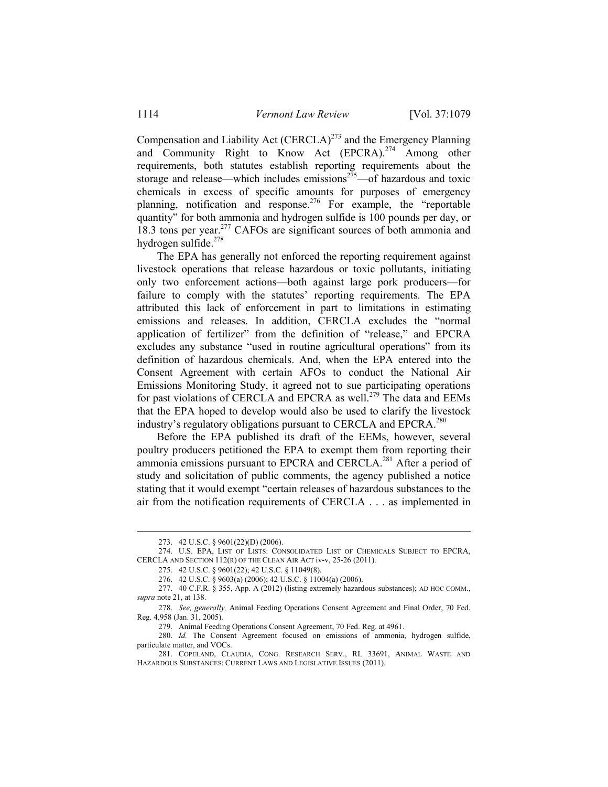Compensation and Liability Act  $(CERCIA)^{273}$  and the Emergency Planning and Community Right to Know Act (EPCRA).<sup>274</sup> Among other requirements, both statutes establish reporting requirements about the storage and release—which includes emissions<sup> $275$ </sup>—of hazardous and toxic chemicals in excess of specific amounts for purposes of emergency planning, notification and response.<sup>276</sup> For example, the "reportable" quantity" for both ammonia and hydrogen sulfide is 100 pounds per day, or 18.3 tons per year.<sup>277</sup> CAFOs are significant sources of both ammonia and hydrogen sulfide.278

 The EPA has generally not enforced the reporting requirement against livestock operations that release hazardous or toxic pollutants, initiating only two enforcement actions—both against large pork producers—for failure to comply with the statutes' reporting requirements. The EPA attributed this lack of enforcement in part to limitations in estimating emissions and releases. In addition, CERCLA excludes the "normal application of fertilizer" from the definition of "release," and EPCRA excludes any substance "used in routine agricultural operations" from its definition of hazardous chemicals. And, when the EPA entered into the Consent Agreement with certain AFOs to conduct the National Air Emissions Monitoring Study, it agreed not to sue participating operations for past violations of CERCLA and EPCRA as well.<sup>279</sup> The data and EEMs that the EPA hoped to develop would also be used to clarify the livestock industry's regulatory obligations pursuant to CERCLA and EPCRA.<sup>280</sup>

 Before the EPA published its draft of the EEMs, however, several poultry producers petitioned the EPA to exempt them from reporting their ammonia emissions pursuant to EPCRA and CERCLA.<sup>281</sup> After a period of study and solicitation of public comments, the agency published a notice stating that it would exempt "certain releases of hazardous substances to the air from the notification requirements of CERCLA . . . as implemented in

 <sup>273. 42</sup> U.S.C. § 9601(22)(D) (2006).

 <sup>274.</sup> U.S. EPA, LIST OF LISTS: CONSOLIDATED LIST OF CHEMICALS SUBJECT TO EPCRA, CERCLA AND SECTION 112(R) OF THE CLEAN AIR ACT iv-v, 25-26 (2011).

 <sup>275. 42</sup> U.S.C. § 9601(22); 42 U.S.C. § 11049(8).

 <sup>276. 42</sup> U.S.C. § 9603(a) (2006); 42 U.S.C. § 11004(a) (2006).

 <sup>277. 40</sup> C.F.R. § 355, App. A (2012) (listing extremely hazardous substances); AD HOC COMM., *supra* note 21, at 138.

 <sup>278.</sup> *See, generally,* Animal Feeding Operations Consent Agreement and Final Order, 70 Fed. Reg. 4,958 (Jan. 31, 2005).

 <sup>279.</sup> Animal Feeding Operations Consent Agreement, 70 Fed. Reg. at 4961.

 <sup>280.</sup> *Id.* The Consent Agreement focused on emissions of ammonia, hydrogen sulfide, particulate matter, and VOCs.

 <sup>281.</sup> COPELAND, CLAUDIA, CONG. RESEARCH SERV., RL 33691, ANIMAL WASTE AND HAZARDOUS SUBSTANCES: CURRENT LAWS AND LEGISLATIVE ISSUES (2011).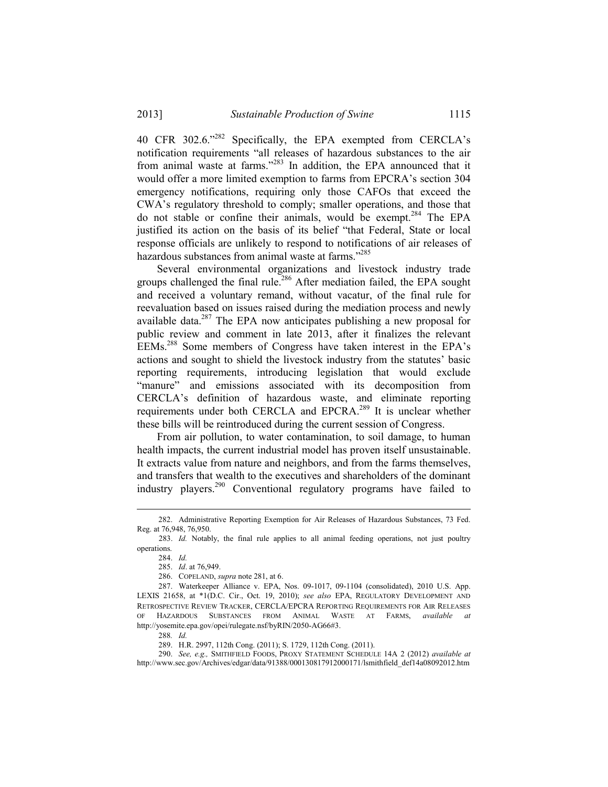40 CFR 302.6."282 Specifically, the EPA exempted from CERCLA's notification requirements "all releases of hazardous substances to the air from animal waste at farms."283 In addition, the EPA announced that it would offer a more limited exemption to farms from EPCRA's section 304 emergency notifications, requiring only those CAFOs that exceed the CWA's regulatory threshold to comply; smaller operations, and those that do not stable or confine their animals, would be exempt.284 The EPA justified its action on the basis of its belief "that Federal, State or local response officials are unlikely to respond to notifications of air releases of hazardous substances from animal waste at farms."<sup>285</sup>

 Several environmental organizations and livestock industry trade groups challenged the final rule.<sup>286</sup> After mediation failed, the EPA sought and received a voluntary remand, without vacatur, of the final rule for reevaluation based on issues raised during the mediation process and newly available data.<sup>287</sup> The EPA now anticipates publishing a new proposal for public review and comment in late 2013, after it finalizes the relevant EEMs.288 Some members of Congress have taken interest in the EPA's actions and sought to shield the livestock industry from the statutes' basic reporting requirements, introducing legislation that would exclude "manure" and emissions associated with its decomposition from CERCLA's definition of hazardous waste, and eliminate reporting requirements under both CERCLA and EPCRA.<sup>289</sup> It is unclear whether these bills will be reintroduced during the current session of Congress.

 From air pollution, to water contamination, to soil damage, to human health impacts, the current industrial model has proven itself unsustainable. It extracts value from nature and neighbors, and from the farms themselves, and transfers that wealth to the executives and shareholders of the dominant industry players.290 Conventional regulatory programs have failed to

1

289. H.R. 2997, 112th Cong. (2011); S. 1729, 112th Cong. (2011).

 290. *See, e.g.,* SMITHFIELD FOODS, PROXY STATEMENT SCHEDULE 14A 2 (2012) *available at*  http://www.sec.gov/Archives/edgar/data/91388/000130817912000171/lsmithfield\_def14a08092012.htm

 <sup>282.</sup> Administrative Reporting Exemption for Air Releases of Hazardous Substances, 73 Fed. Reg. at 76,948, 76,950.

 <sup>283.</sup> *Id.* Notably, the final rule applies to all animal feeding operations, not just poultry operations.

 <sup>284.</sup> *Id.*

 <sup>285.</sup> *Id*. at 76,949.

 <sup>286.</sup> COPELAND, *supra* note 281, at 6.

 <sup>287.</sup> Waterkeeper Alliance v. EPA, Nos. 09-1017, 09-1104 (consolidated), 2010 U.S. App. LEXIS 21658, at \*1(D.C. Cir., Oct. 19, 2010); *see also* EPA, REGULATORY DEVELOPMENT AND RETROSPECTIVE REVIEW TRACKER, CERCLA/EPCRA REPORTING REQUIREMENTS FOR AIR RELEASES OF HAZARDOUS SUBSTANCES FROM ANIMAL WASTE AT FARMS, *available at*  http://yosemite.epa.gov/opei/rulegate.nsf/byRIN/2050-AG66#3.

<sup>288</sup>*. Id.*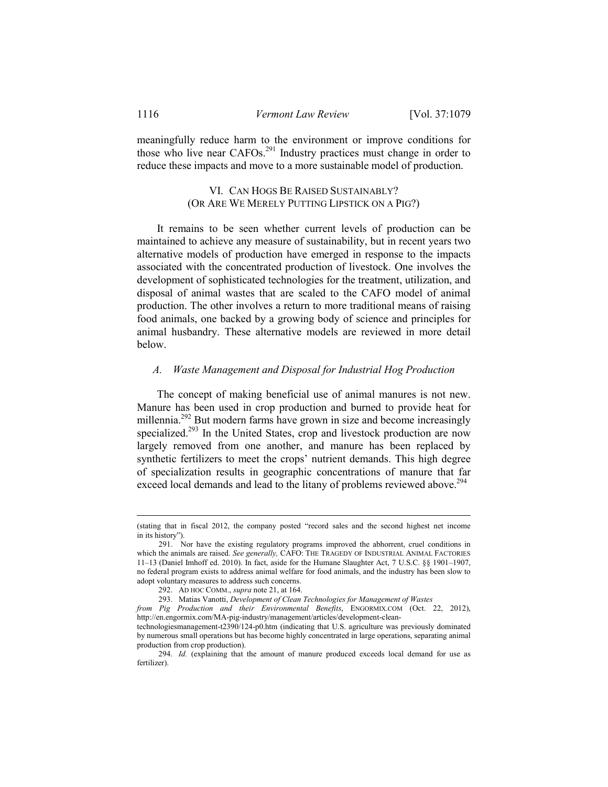meaningfully reduce harm to the environment or improve conditions for those who live near CAFOs.291 Industry practices must change in order to reduce these impacts and move to a more sustainable model of production.

## VI. CAN HOGS BE RAISED SUSTAINABLY? (OR ARE WE MERELY PUTTING LIPSTICK ON A PIG?)

 It remains to be seen whether current levels of production can be maintained to achieve any measure of sustainability, but in recent years two alternative models of production have emerged in response to the impacts associated with the concentrated production of livestock. One involves the development of sophisticated technologies for the treatment, utilization, and disposal of animal wastes that are scaled to the CAFO model of animal production. The other involves a return to more traditional means of raising food animals, one backed by a growing body of science and principles for animal husbandry. These alternative models are reviewed in more detail below.

### *A. Waste Management and Disposal for Industrial Hog Production*

 The concept of making beneficial use of animal manures is not new. Manure has been used in crop production and burned to provide heat for millennia.<sup>292</sup> But modern farms have grown in size and become increasingly specialized.<sup>293</sup> In the United States, crop and livestock production are now largely removed from one another, and manure has been replaced by synthetic fertilizers to meet the crops' nutrient demands. This high degree of specialization results in geographic concentrations of manure that far exceed local demands and lead to the litany of problems reviewed above.<sup>294</sup>

<sup>(</sup>stating that in fiscal 2012, the company posted "record sales and the second highest net income in its history")

 <sup>291.</sup> Nor have the existing regulatory programs improved the abhorrent, cruel conditions in which the animals are raised. *See generally,* CAFO: THE TRAGEDY OF INDUSTRIAL ANIMAL FACTORIES 11–13 (Daniel Imhoff ed. 2010). In fact, aside for the Humane Slaughter Act, 7 U.S.C. §§ 1901–1907, no federal program exists to address animal welfare for food animals, and the industry has been slow to adopt voluntary measures to address such concerns.

 <sup>292.</sup> AD HOC COMM., *supra* note 21, at 164.

 <sup>293.</sup> Matias Vanotti, *Development of Clean Technologies for Management of Wastes* 

*from Pig Production and their Environmental Benefits*, ENGORMIX.COM (Oct. 22, 2012), http://en.engormix.com/MA-pig-industry/management/articles/development-clean-

technologiesmanagement-t2390/124-p0.htm (indicating that U.S. agriculture was previously dominated by numerous small operations but has become highly concentrated in large operations, separating animal production from crop production).

 <sup>294.</sup> *Id.* (explaining that the amount of manure produced exceeds local demand for use as fertilizer).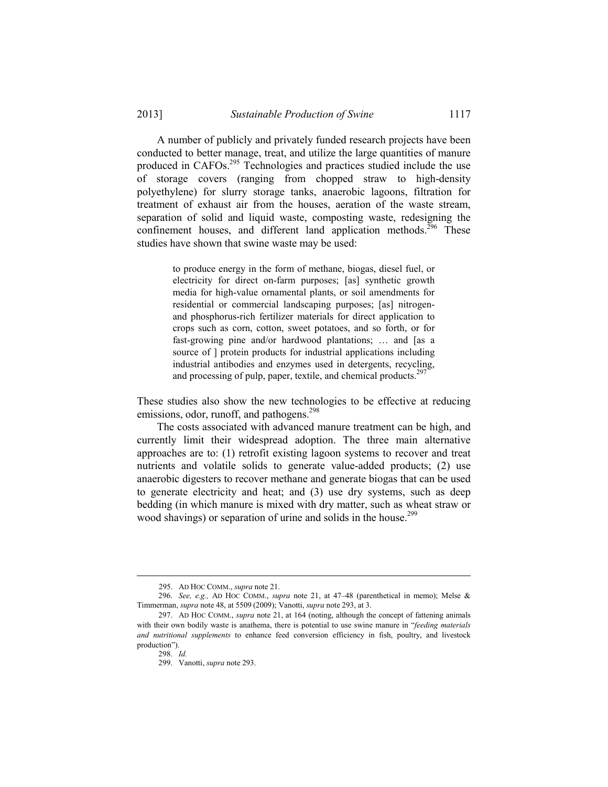A number of publicly and privately funded research projects have been conducted to better manage, treat, and utilize the large quantities of manure produced in CAFOs.<sup>295</sup> Technologies and practices studied include the use of storage covers (ranging from chopped straw to high-density polyethylene) for slurry storage tanks, anaerobic lagoons, filtration for treatment of exhaust air from the houses, aeration of the waste stream, separation of solid and liquid waste, composting waste, redesigning the confinement houses, and different land application methods.<sup>296</sup> These studies have shown that swine waste may be used:

> to produce energy in the form of methane, biogas, diesel fuel, or electricity for direct on-farm purposes; [as] synthetic growth media for high-value ornamental plants, or soil amendments for residential or commercial landscaping purposes; [as] nitrogenand phosphorus-rich fertilizer materials for direct application to crops such as corn, cotton, sweet potatoes, and so forth, or for fast-growing pine and/or hardwood plantations; … and [as a source of  $\vert$  protein products for industrial applications including industrial antibodies and enzymes used in detergents, recycling, and processing of pulp, paper, textile, and chemical products.<sup>297</sup>

These studies also show the new technologies to be effective at reducing emissions, odor, runoff, and pathogens.<sup>298</sup>

 The costs associated with advanced manure treatment can be high, and currently limit their widespread adoption. The three main alternative approaches are to: (1) retrofit existing lagoon systems to recover and treat nutrients and volatile solids to generate value-added products; (2) use anaerobic digesters to recover methane and generate biogas that can be used to generate electricity and heat; and (3) use dry systems, such as deep bedding (in which manure is mixed with dry matter, such as wheat straw or wood shavings) or separation of urine and solids in the house.<sup>299</sup>

 <sup>295.</sup> AD HOC COMM., *supra* note 21.

 <sup>296.</sup> *See, e.g.,* AD HOC COMM., *supra* note 21, at 47–48 (parenthetical in memo); Melse & Timmerman, *supra* note 48, at 5509 (2009); Vanotti, *supra* note 293, at 3.

 <sup>297.</sup> AD HOC COMM., *supra* note 21, at 164 (noting, although the concept of fattening animals with their own bodily waste is anathema, there is potential to use swine manure in "*feeding materials and nutritional supplements* to enhance feed conversion efficiency in fish, poultry, and livestock production").

 <sup>298.</sup> *Id.*

 <sup>299.</sup> Vanotti, *supra* note 293.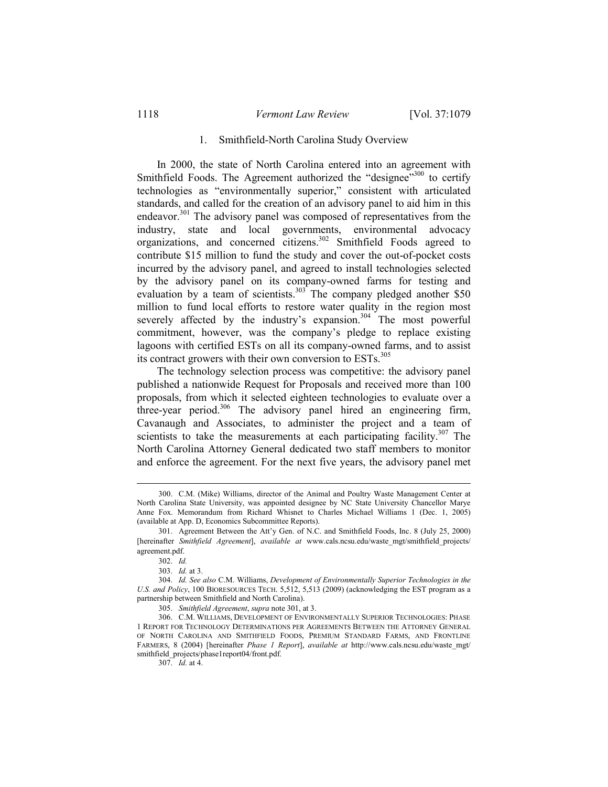### 1. Smithfield-North Carolina Study Overview

 In 2000, the state of North Carolina entered into an agreement with Smithfield Foods. The Agreement authorized the "designee"<sup>300</sup> to certify technologies as "environmentally superior," consistent with articulated standards, and called for the creation of an advisory panel to aid him in this endeavor.<sup>301</sup> The advisory panel was composed of representatives from the industry, state and local governments, environmental advocacy organizations, and concerned citizens.302 Smithfield Foods agreed to contribute \$15 million to fund the study and cover the out-of-pocket costs incurred by the advisory panel, and agreed to install technologies selected by the advisory panel on its company-owned farms for testing and evaluation by a team of scientists. $303$  The company pledged another \$50 million to fund local efforts to restore water quality in the region most severely affected by the industry's expansion.<sup>304</sup> The most powerful commitment, however, was the company's pledge to replace existing lagoons with certified ESTs on all its company-owned farms, and to assist its contract growers with their own conversion to ESTs.<sup>305</sup>

 The technology selection process was competitive: the advisory panel published a nationwide Request for Proposals and received more than 100 proposals, from which it selected eighteen technologies to evaluate over a three-year period.<sup>306</sup> The advisory panel hired an engineering firm, Cavanaugh and Associates, to administer the project and a team of scientists to take the measurements at each participating facility.<sup>307</sup> The North Carolina Attorney General dedicated two staff members to monitor and enforce the agreement. For the next five years, the advisory panel met

 <sup>300.</sup> C.M. (Mike) Williams, director of the Animal and Poultry Waste Management Center at North Carolina State University, was appointed designee by NC State University Chancellor Marye Anne Fox. Memorandum from Richard Whisnet to Charles Michael Williams 1 (Dec. 1, 2005) (available at App. D, Economics Subcommittee Reports).

 <sup>301.</sup> Agreement Between the Att'y Gen. of N.C. and Smithfield Foods, Inc. 8 (July 25, 2000) [hereinafter *Smithfield Agreement*], *available at* www.cals.ncsu.edu/waste\_mgt/smithfield\_projects/ agreement.pdf.

 <sup>302.</sup> *Id.*

 <sup>303.</sup> *Id.* at 3.

 <sup>304.</sup> *Id. See also* C.M. Williams, *Development of Environmentally Superior Technologies in the U.S. and Policy*, 100 BIORESOURCES TECH. 5,512, 5,513 (2009) (acknowledging the EST program as a partnership between Smithfield and North Carolina).

 <sup>305.</sup> *Smithfield Agreement*, *supra* note 301, at 3.

 <sup>306.</sup> C.M. WILLIAMS, DEVELOPMENT OF ENVIRONMENTALLY SUPERIOR TECHNOLOGIES: PHASE 1 REPORT FOR TECHNOLOGY DETERMINATIONS PER AGREEMENTS BETWEEN THE ATTORNEY GENERAL OF NORTH CAROLINA AND SMITHFIELD FOODS, PREMIUM STANDARD FARMS, AND FRONTLINE FARMERS, 8 (2004) [hereinafter *Phase 1 Report*], *available at* http://www.cals.ncsu.edu/waste\_mgt/ smithfield\_projects/phase1report04/front.pdf.

 <sup>307.</sup> *Id.* at 4.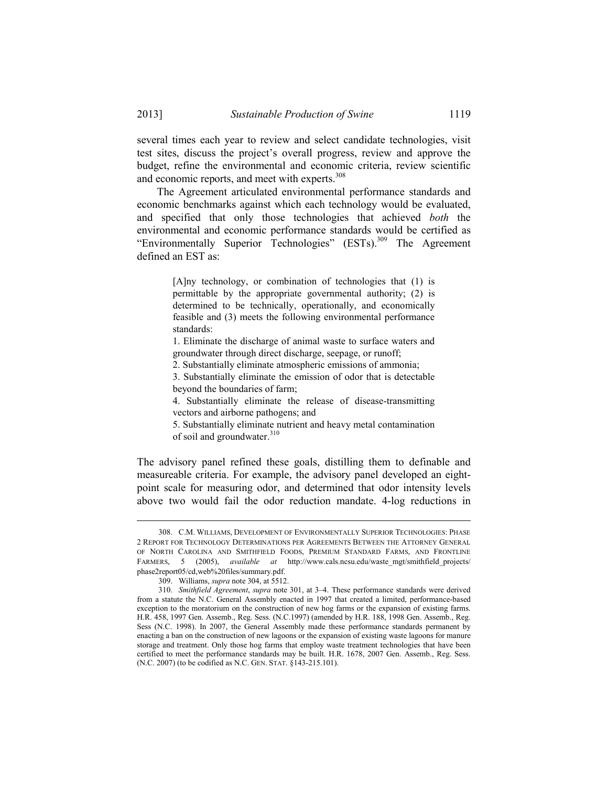several times each year to review and select candidate technologies, visit test sites, discuss the project's overall progress, review and approve the budget, refine the environmental and economic criteria, review scientific and economic reports, and meet with experts.<sup>308</sup>

 The Agreement articulated environmental performance standards and economic benchmarks against which each technology would be evaluated, and specified that only those technologies that achieved *both* the environmental and economic performance standards would be certified as "Environmentally Superior Technologies" (ESTs).<sup>309</sup> The Agreement defined an EST as:

> [A]ny technology, or combination of technologies that (1) is permittable by the appropriate governmental authority; (2) is determined to be technically, operationally, and economically feasible and (3) meets the following environmental performance standards:

> 1. Eliminate the discharge of animal waste to surface waters and groundwater through direct discharge, seepage, or runoff;

2. Substantially eliminate atmospheric emissions of ammonia;

3. Substantially eliminate the emission of odor that is detectable beyond the boundaries of farm;

4. Substantially eliminate the release of disease-transmitting vectors and airborne pathogens; and

5. Substantially eliminate nutrient and heavy metal contamination of soil and groundwater.<sup>310</sup>

The advisory panel refined these goals, distilling them to definable and measureable criteria. For example, the advisory panel developed an eightpoint scale for measuring odor, and determined that odor intensity levels above two would fail the odor reduction mandate. 4-log reductions in

 <sup>308.</sup> C.M. WILLIAMS, DEVELOPMENT OF ENVIRONMENTALLY SUPERIOR TECHNOLOGIES: PHASE 2 REPORT FOR TECHNOLOGY DETERMINATIONS PER AGREEMENTS BETWEEN THE ATTORNEY GENERAL OF NORTH CAROLINA AND SMITHFIELD FOODS, PREMIUM STANDARD FARMS, AND FRONTLINE FARMERS, 5 (2005), *available at* http://www.cals.ncsu.edu/waste\_mgt/smithfield\_projects/ phase2report05/cd,web%20files/summary.pdf.

 <sup>309.</sup> Williams, *supra* note 304, at 5512.

 <sup>310.</sup> *Smithfield Agreement*, *supra* note 301, at 3–4. These performance standards were derived from a statute the N.C. General Assembly enacted in 1997 that created a limited, performance-based exception to the moratorium on the construction of new hog farms or the expansion of existing farms. H.R. 458, 1997 Gen. Assemb., Reg. Sess. (N.C.1997) (amended by H.R. 188, 1998 Gen. Assemb., Reg. Sess (N.C. 1998). In 2007, the General Assembly made these performance standards permanent by enacting a ban on the construction of new lagoons or the expansion of existing waste lagoons for manure storage and treatment. Only those hog farms that employ waste treatment technologies that have been certified to meet the performance standards may be built. H.R. 1678, 2007 Gen. Assemb., Reg. Sess. (N.C. 2007) (to be codified as N.C. GEN. STAT. §143-215.101).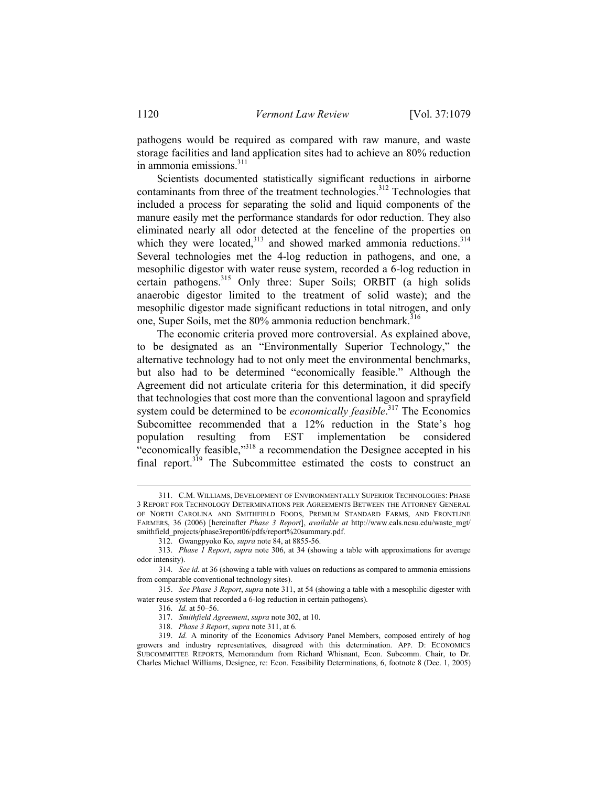pathogens would be required as compared with raw manure, and waste storage facilities and land application sites had to achieve an 80% reduction in ammonia emissions.<sup>311</sup>

 Scientists documented statistically significant reductions in airborne contaminants from three of the treatment technologies.<sup>312</sup> Technologies that included a process for separating the solid and liquid components of the manure easily met the performance standards for odor reduction. They also eliminated nearly all odor detected at the fenceline of the properties on which they were located, $313$  and showed marked ammonia reductions. $314$ Several technologies met the 4-log reduction in pathogens, and one, a mesophilic digestor with water reuse system, recorded a 6-log reduction in certain pathogens.315 Only three: Super Soils; ORBIT (a high solids anaerobic digestor limited to the treatment of solid waste); and the mesophilic digestor made significant reductions in total nitrogen, and only one, Super Soils, met the 80% ammonia reduction benchmark.<sup>316</sup>

 The economic criteria proved more controversial. As explained above, to be designated as an "Environmentally Superior Technology," the alternative technology had to not only meet the environmental benchmarks, but also had to be determined "economically feasible." Although the Agreement did not articulate criteria for this determination, it did specify that technologies that cost more than the conventional lagoon and sprayfield system could be determined to be *economically feasible*. 317 The Economics Subcomittee recommended that a 12% reduction in the State's hog population resulting from EST implementation be considered "economically feasible,"<sup>318</sup> a recommendation the Designee accepted in his final report.<sup>319</sup> The Subcommittee estimated the costs to construct an

 <sup>311.</sup> C.M. WILLIAMS, DEVELOPMENT OF ENVIRONMENTALLY SUPERIOR TECHNOLOGIES: PHASE 3 REPORT FOR TECHNOLOGY DETERMINATIONS PER AGREEMENTS BETWEEN THE ATTORNEY GENERAL OF NORTH CAROLINA AND SMITHFIELD FOODS, PREMIUM STANDARD FARMS, AND FRONTLINE FARMERS, 36 (2006) [hereinafter *Phase 3 Report*], *available at* http://www.cals.ncsu.edu/waste\_mgt/ smithfield\_projects/phase3report06/pdfs/report%20summary.pdf.

 <sup>312.</sup> Gwangpyoko Ko, *supra* note 84, at 8855-56.

 <sup>313.</sup> *Phase 1 Report*, *supra* note 306, at 34 (showing a table with approximations for average odor intensity).

 <sup>314.</sup> *See id.* at 36 (showing a table with values on reductions as compared to ammonia emissions from comparable conventional technology sites).

 <sup>315.</sup> *See Phase 3 Report*, *supra* note 311, at 54 (showing a table with a mesophilic digester with water reuse system that recorded a 6-log reduction in certain pathogens).

 <sup>316.</sup> *Id.* at 50–56.

 <sup>317.</sup> *Smithfield Agreement*, *supra* note 302, at 10.

 <sup>318.</sup> *Phase 3 Report*, *supra* note 311, at 6*.* 

 <sup>319.</sup> *Id.* A minority of the Economics Advisory Panel Members, composed entirely of hog growers and industry representatives, disagreed with this determination. APP. D: ECONOMICS SUBCOMMITTEE REPORTS, Memorandum from Richard Whisnant, Econ. Subcomm. Chair, to Dr. Charles Michael Williams, Designee, re: Econ. Feasibility Determinations, 6, footnote 8 (Dec. 1, 2005)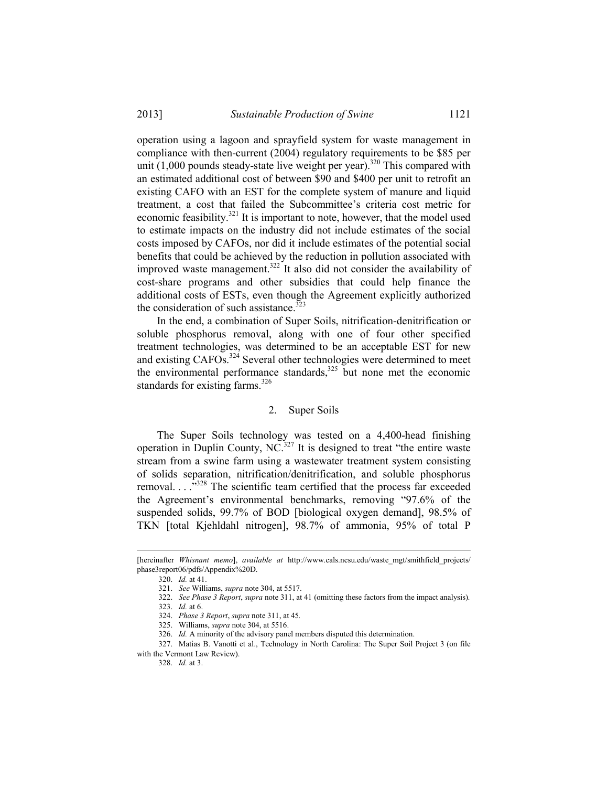operation using a lagoon and sprayfield system for waste management in compliance with then-current (2004) regulatory requirements to be \$85 per unit  $(1,000$  pounds steady-state live weight per year).<sup>320</sup> This compared with an estimated additional cost of between \$90 and \$400 per unit to retrofit an existing CAFO with an EST for the complete system of manure and liquid treatment, a cost that failed the Subcommittee's criteria cost metric for economic feasibility.<sup>321</sup> It is important to note, however, that the model used to estimate impacts on the industry did not include estimates of the social costs imposed by CAFOs, nor did it include estimates of the potential social benefits that could be achieved by the reduction in pollution associated with improved waste management.<sup>322</sup> It also did not consider the availability of cost-share programs and other subsidies that could help finance the additional costs of ESTs, even though the Agreement explicitly authorized the consideration of such assistance. $323$ 

 In the end, a combination of Super Soils, nitrification-denitrification or soluble phosphorus removal, along with one of four other specified treatment technologies, was determined to be an acceptable EST for new and existing CAFOs.<sup>324</sup> Several other technologies were determined to meet the environmental performance standards, $325$  but none met the economic standards for existing farms. $326$ 

## 2. Super Soils

 The Super Soils technology was tested on a 4,400-head finishing operation in Duplin County,  $NC^{327}$  It is designed to treat "the entire waste stream from a swine farm using a wastewater treatment system consisting of solids separation, nitrification/denitrification, and soluble phosphorus removal. . . ."328 The scientific team certified that the process far exceeded the Agreement's environmental benchmarks, removing "97.6% of the suspended solids, 99.7% of BOD [biological oxygen demand], 98.5% of TKN [total Kjehldahl nitrogen], 98.7% of ammonia, 95% of total P

<sup>[</sup>hereinafter *Whisnant memo*], *available at* http://www.cals.ncsu.edu/waste\_mgt/smithfield\_projects/ phase3report06/pdfs/Appendix%20D.

 <sup>320.</sup> *Id.* at 41.

 <sup>321.</sup> *See* Williams, *supra* note 304, at 5517.

 <sup>322.</sup> *See Phase 3 Report*, *supra* note 311, at 41 (omitting these factors from the impact analysis)*.* 

 <sup>323.</sup> *Id.* at 6.

 <sup>324.</sup> *Phase 3 Report*, *supra* note 311, at 45*.* 

 <sup>325.</sup> Williams, *supra* note 304, at 5516.

 <sup>326.</sup> *Id.* A minority of the advisory panel members disputed this determination.

 <sup>327.</sup> Matias B. Vanotti et al., Technology in North Carolina: The Super Soil Project 3 (on file with the Vermont Law Review).

 <sup>328.</sup> *Id.* at 3.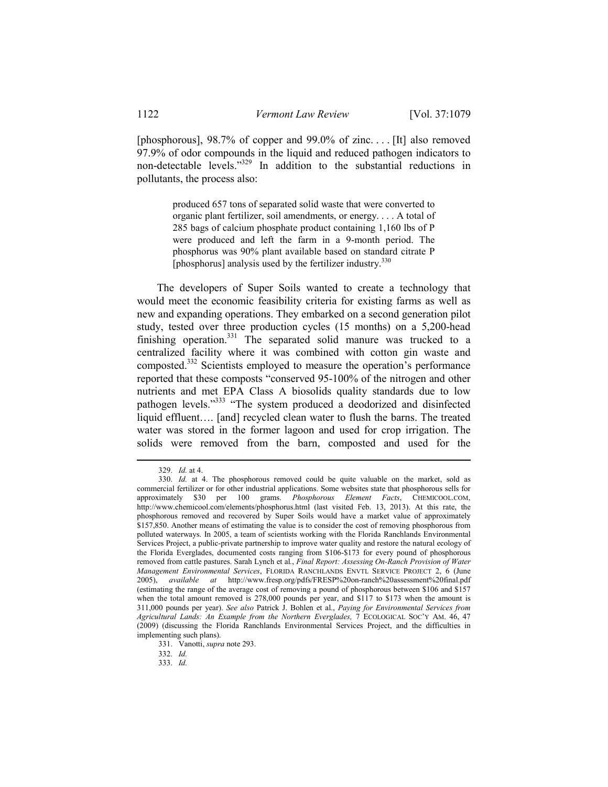[phosphorous], 98.7% of copper and 99.0% of zinc. . . . [It] also removed 97.9% of odor compounds in the liquid and reduced pathogen indicators to non-detectable levels."329 In addition to the substantial reductions in pollutants, the process also:

> produced 657 tons of separated solid waste that were converted to organic plant fertilizer, soil amendments, or energy. . . . A total of 285 bags of calcium phosphate product containing 1,160 lbs of P were produced and left the farm in a 9-month period. The phosphorus was 90% plant available based on standard citrate P [phosphorus] analysis used by the fertilizer industry. $330$

 The developers of Super Soils wanted to create a technology that would meet the economic feasibility criteria for existing farms as well as new and expanding operations. They embarked on a second generation pilot study, tested over three production cycles (15 months) on a 5,200-head finishing operation. $331$  The separated solid manure was trucked to a centralized facility where it was combined with cotton gin waste and composted.332 Scientists employed to measure the operation's performance reported that these composts "conserved 95-100% of the nitrogen and other nutrients and met EPA Class A biosolids quality standards due to low pathogen levels."333 "The system produced a deodorized and disinfected liquid effluent…. [and] recycled clean water to flush the barns. The treated water was stored in the former lagoon and used for crop irrigation. The solids were removed from the barn, composted and used for the

 <sup>329.</sup> *Id.* at 4.

 <sup>330.</sup> *Id.* at 4. The phosphorous removed could be quite valuable on the market, sold as commercial fertilizer or for other industrial applications. Some websites state that phosphorous sells for approximately \$30 per 100 grams. *Phosphorous Element Facts*, CHEMICOOL.COM, http://www.chemicool.com/elements/phosphorus.html (last visited Feb. 13, 2013). At this rate, the phosphorous removed and recovered by Super Soils would have a market value of approximately \$157,850. Another means of estimating the value is to consider the cost of removing phosphorous from polluted waterways. In 2005, a team of scientists working with the Florida Ranchlands Environmental Services Project, a public-private partnership to improve water quality and restore the natural ecology of the Florida Everglades, documented costs ranging from \$106-\$173 for every pound of phosphorous removed from cattle pastures. Sarah Lynch et al*.*, *Final Report: Assessing On-Ranch Provision of Water Management Environmental Services*, FLORIDA RANCHLANDS ENVTL SERVICE PROJECT 2, 6 (June 2005), *available at* http://www.fresp.org/pdfs/FRESP%20on-ranch%20assessment%20final.pdf (estimating the range of the average cost of removing a pound of phosphorous between \$106 and \$157 when the total amount removed is 278,000 pounds per year, and \$117 to \$173 when the amount is 311,000 pounds per year). *See also* Patrick J. Bohlen et al., *Paying for Environmental Services from Agricultural Lands: An Example from the Northern Everglades,* 7 ECOLOGICAL SOC'Y AM. 46, 47 (2009) (discussing the Florida Ranchlands Environmental Services Project, and the difficulties in implementing such plans).

 <sup>331.</sup> Vanotti, *supra* note 293.

 <sup>332.</sup> *Id.*

 <sup>333.</sup> *Id.*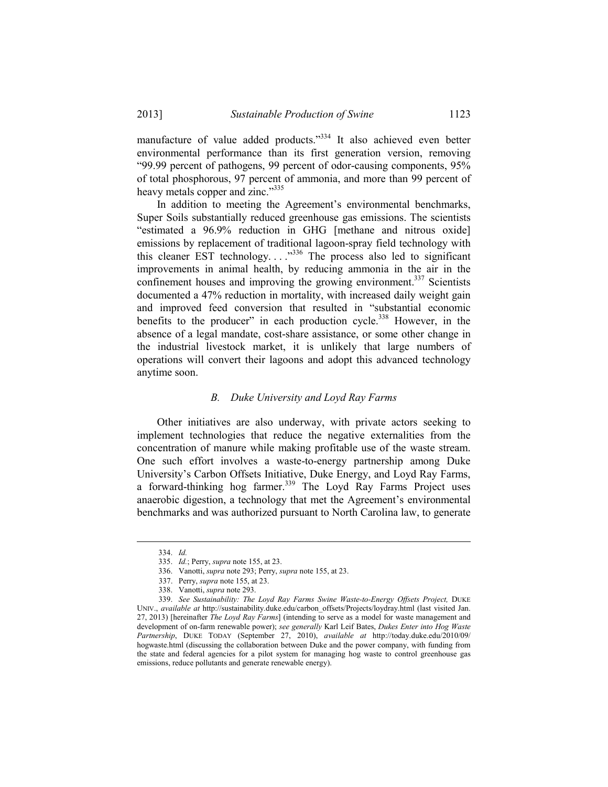manufacture of value added products."<sup>334</sup> It also achieved even better environmental performance than its first generation version, removing "99.99 percent of pathogens, 99 percent of odor-causing components, 95% of total phosphorous, 97 percent of ammonia, and more than 99 percent of heavy metals copper and zinc."335

 In addition to meeting the Agreement's environmental benchmarks, Super Soils substantially reduced greenhouse gas emissions. The scientists "estimated a 96.9% reduction in GHG [methane and nitrous oxide] emissions by replacement of traditional lagoon-spray field technology with this cleaner EST technology. . . ."336 The process also led to significant improvements in animal health, by reducing ammonia in the air in the confinement houses and improving the growing environment.<sup>337</sup> Scientists documented a 47% reduction in mortality, with increased daily weight gain and improved feed conversion that resulted in "substantial economic benefits to the producer" in each production cycle.<sup>338</sup> However, in the absence of a legal mandate, cost-share assistance, or some other change in the industrial livestock market, it is unlikely that large numbers of operations will convert their lagoons and adopt this advanced technology anytime soon.

### *B. Duke University and Loyd Ray Farms*

 Other initiatives are also underway, with private actors seeking to implement technologies that reduce the negative externalities from the concentration of manure while making profitable use of the waste stream. One such effort involves a waste-to-energy partnership among Duke University's Carbon Offsets Initiative, Duke Energy, and Loyd Ray Farms, a forward-thinking hog farmer.<sup>339</sup> The Loyd Ray Farms Project uses anaerobic digestion, a technology that met the Agreement's environmental benchmarks and was authorized pursuant to North Carolina law, to generate

 <sup>334.</sup> *Id.*

 <sup>335.</sup> *Id.*; Perry, *supra* note 155, at 23.

 <sup>336.</sup> Vanotti, *supra* note 293; Perry, *supra* note 155, at 23.

 <sup>337.</sup> Perry, *supra* note 155, at 23.

 <sup>338.</sup> Vanotti, *supra* note 293.

 <sup>339.</sup> *See Sustainability: The Loyd Ray Farms Swine Waste-to-Energy Offsets Project,* DUKE UNIV., *available at* http://sustainability.duke.edu/carbon\_offsets/Projects/loydray.html (last visited Jan. 27, 2013) [hereinafter *The Loyd Ray Farms*] (intending to serve as a model for waste management and development of on-farm renewable power); *see generally* Karl Leif Bates, *Dukes Enter into Hog Waste Partnership*, DUKE TODAY (September 27, 2010), *available at* http://today.duke.edu/2010/09/ hogwaste.html (discussing the collaboration between Duke and the power company, with funding from the state and federal agencies for a pilot system for managing hog waste to control greenhouse gas emissions, reduce pollutants and generate renewable energy).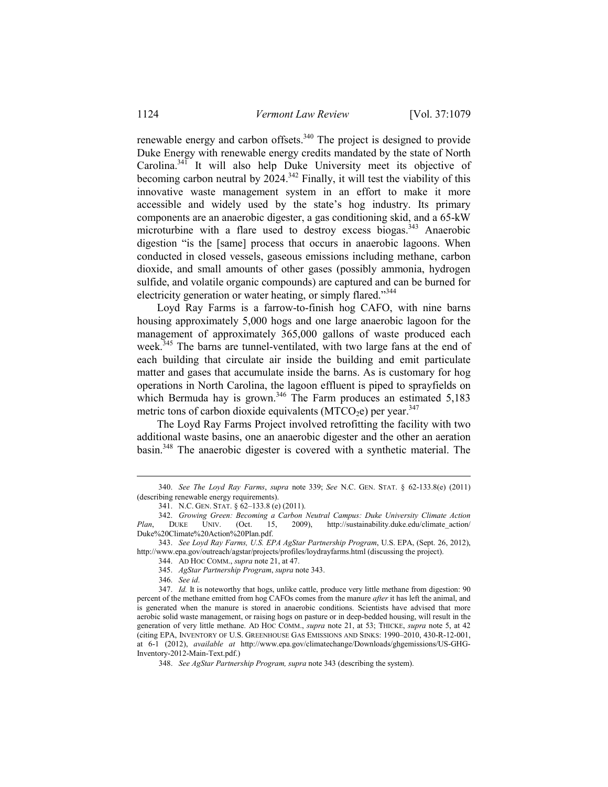renewable energy and carbon offsets.340 The project is designed to provide Duke Energy with renewable energy credits mandated by the state of North Carolina.<sup>341</sup> It will also help Duke University meet its objective of becoming carbon neutral by  $2024$ .<sup>342</sup> Finally, it will test the viability of this innovative waste management system in an effort to make it more accessible and widely used by the state's hog industry. Its primary components are an anaerobic digester, a gas conditioning skid, and a 65-kW microturbine with a flare used to destroy excess biogas.<sup>343</sup> Anaerobic digestion "is the [same] process that occurs in anaerobic lagoons. When conducted in closed vessels, gaseous emissions including methane, carbon dioxide, and small amounts of other gases (possibly ammonia, hydrogen sulfide, and volatile organic compounds) are captured and can be burned for electricity generation or water heating, or simply flared."<sup>344</sup>

 Loyd Ray Farms is a farrow-to-finish hog CAFO, with nine barns housing approximately 5,000 hogs and one large anaerobic lagoon for the management of approximately 365,000 gallons of waste produced each week.<sup>345</sup> The barns are tunnel-ventilated, with two large fans at the end of each building that circulate air inside the building and emit particulate matter and gases that accumulate inside the barns. As is customary for hog operations in North Carolina, the lagoon effluent is piped to sprayfields on which Bermuda hay is grown.<sup>346</sup> The Farm produces an estimated  $5,183$ metric tons of carbon dioxide equivalents (MTCO<sub>2</sub>e) per year.<sup>347</sup>

 The Loyd Ray Farms Project involved retrofitting the facility with two additional waste basins, one an anaerobic digester and the other an aeration basin.348 The anaerobic digester is covered with a synthetic material. The

346. *See id*.

 <sup>340.</sup> *See The Loyd Ray Farms*, *supra* note 339; *See* N.C. GEN. STAT. § 62-133.8(e) (2011) (describing renewable energy requirements).

 <sup>341.</sup> N.C. GEN. STAT. § 62–133.8 (e) (2011).

 <sup>342.</sup> *Growing Green: Becoming a Carbon Neutral Campus: Duke University Climate Action http://sustainability.duke.edu/climate\_action/* Duke%20Climate%20Action%20Plan.pdf.

 <sup>343.</sup> *See Loyd Ray Farms, U.S. EPA AgStar Partnership Program*, U.S. EPA, (Sept. 26, 2012), http://www.epa.gov/outreach/agstar/projects/profiles/loydrayfarms.html (discussing the project).

 <sup>344.</sup> AD HOC COMM., *supra* note 21, at 47.

 <sup>345.</sup> *AgStar Partnership Program*, *supra* note 343.

 <sup>347.</sup> *Id.* It is noteworthy that hogs, unlike cattle, produce very little methane from digestion: 90 percent of the methane emitted from hog CAFOs comes from the manure *after* it has left the animal, and is generated when the manure is stored in anaerobic conditions. Scientists have advised that more aerobic solid waste management, or raising hogs on pasture or in deep-bedded housing, will result in the generation of very little methane. AD HOC COMM., *supra* note 21, at 53; THICKE, *supra* note 5, at 42 (citing EPA, INVENTORY OF U.S. GREENHOUSE GAS EMISSIONS AND SINKS: 1990–2010, 430-R-12-001, at 6-1 (2012), *available at* http://www.epa.gov/climatechange/Downloads/ghgemissions/US-GHG-Inventory-2012-Main-Text.pdf.)

 <sup>348.</sup> *See AgStar Partnership Program, supra* note 343 (describing the system).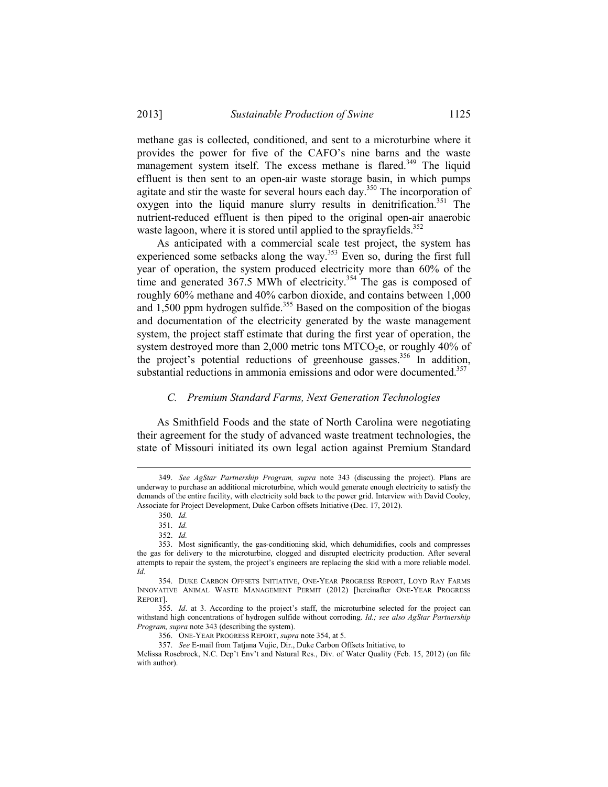methane gas is collected, conditioned, and sent to a microturbine where it provides the power for five of the CAFO's nine barns and the waste management system itself. The excess methane is flared.<sup>349</sup> The liquid effluent is then sent to an open-air waste storage basin, in which pumps agitate and stir the waste for several hours each day.<sup>350</sup> The incorporation of oxygen into the liquid manure slurry results in denitrification.<sup>351</sup> The nutrient-reduced effluent is then piped to the original open-air anaerobic waste lagoon, where it is stored until applied to the sprayfields.<sup>352</sup>

 As anticipated with a commercial scale test project, the system has experienced some setbacks along the way.<sup>353</sup> Even so, during the first full year of operation, the system produced electricity more than 60% of the time and generated  $367.5$  MWh of electricity.<sup>354</sup> The gas is composed of roughly 60% methane and 40% carbon dioxide, and contains between 1,000 and  $1,500$  ppm hydrogen sulfide.<sup>355</sup> Based on the composition of the biogas and documentation of the electricity generated by the waste management system, the project staff estimate that during the first year of operation, the system destroyed more than 2,000 metric tons  $MTCO<sub>2</sub>e$ , or roughly 40% of the project's potential reductions of greenhouse gasses.<sup>356</sup> In addition, substantial reductions in ammonia emissions and odor were documented.<sup>357</sup>

### *C. Premium Standard Farms, Next Generation Technologies*

 As Smithfield Foods and the state of North Carolina were negotiating their agreement for the study of advanced waste treatment technologies, the state of Missouri initiated its own legal action against Premium Standard

 <sup>349.</sup> *See AgStar Partnership Program, supra* note 343 (discussing the project). Plans are underway to purchase an additional microturbine, which would generate enough electricity to satisfy the demands of the entire facility, with electricity sold back to the power grid. Interview with David Cooley, Associate for Project Development, Duke Carbon offsets Initiative (Dec. 17, 2012).

 <sup>350.</sup> *Id.*

 <sup>351.</sup> *Id.*

 <sup>352.</sup> *Id.*

 <sup>353.</sup> Most significantly, the gas-conditioning skid, which dehumidifies, cools and compresses the gas for delivery to the microturbine, clogged and disrupted electricity production. After several attempts to repair the system, the project's engineers are replacing the skid with a more reliable model. *Id.*

 <sup>354.</sup> DUKE CARBON OFFSETS INITIATIVE, ONE-YEAR PROGRESS REPORT, LOYD RAY FARMS INNOVATIVE ANIMAL WASTE MANAGEMENT PERMIT (2012) [hereinafter ONE-YEAR PROGRESS REPORT].

 <sup>355.</sup> *Id*. at 3. According to the project's staff, the microturbine selected for the project can withstand high concentrations of hydrogen sulfide without corroding. *Id.; see also AgStar Partnership Program, supra* note 343 (describing the system).

 <sup>356.</sup> ONE-YEAR PROGRESS REPORT, *supra* note 354, at 5.

 <sup>357.</sup> *See* E-mail from Tatjana Vujic, Dir., Duke Carbon Offsets Initiative, to

Melissa Rosebrock, N.C. Dep't Env't and Natural Res., Div. of Water Quality (Feb. 15, 2012) (on file with author).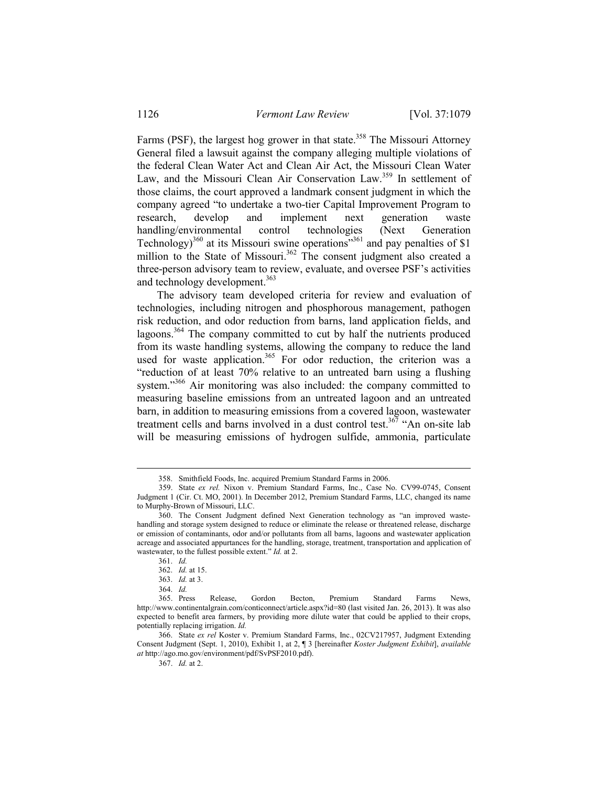Farms (PSF), the largest hog grower in that state.<sup>358</sup> The Missouri Attorney General filed a lawsuit against the company alleging multiple violations of the federal Clean Water Act and Clean Air Act, the Missouri Clean Water Law, and the Missouri Clean Air Conservation Law.<sup>359</sup> In settlement of those claims, the court approved a landmark consent judgment in which the company agreed "to undertake a two-tier Capital Improvement Program to research, develop and implement next generation waste handling/environmental control technologies (Next Generation Technology)<sup>360</sup> at its Missouri swine operations<sup>"361</sup> and pay penalties of \$1 million to the State of Missouri.<sup>362</sup> The consent judgment also created a three-person advisory team to review, evaluate, and oversee PSF's activities and technology development.<sup>363</sup>

 The advisory team developed criteria for review and evaluation of technologies, including nitrogen and phosphorous management, pathogen risk reduction, and odor reduction from barns, land application fields, and lagoons.364 The company committed to cut by half the nutrients produced from its waste handling systems, allowing the company to reduce the land used for waste application.<sup>365</sup> For odor reduction, the criterion was a "reduction of at least 70% relative to an untreated barn using a flushing system."<sup>366</sup> Air monitoring was also included: the company committed to measuring baseline emissions from an untreated lagoon and an untreated barn, in addition to measuring emissions from a covered lagoon, wastewater treatment cells and barns involved in a dust control test.<sup>367</sup> "An on-site lab will be measuring emissions of hydrogen sulfide, ammonia, particulate

1

367. *Id.* at 2.

 <sup>358.</sup> Smithfield Foods, Inc. acquired Premium Standard Farms in 2006.

 <sup>359.</sup> State *ex rel.* Nixon v. Premium Standard Farms, Inc., Case No. CV99-0745, Consent Judgment 1 (Cir. Ct. MO, 2001). In December 2012, Premium Standard Farms, LLC, changed its name to Murphy-Brown of Missouri, LLC.

 <sup>360.</sup> The Consent Judgment defined Next Generation technology as "an improved wastehandling and storage system designed to reduce or eliminate the release or threatened release, discharge or emission of contaminants, odor and/or pollutants from all barns, lagoons and wastewater application acreage and associated appurtances for the handling, storage, treatment, transportation and application of wastewater, to the fullest possible extent." *Id.* at 2.

 <sup>361.</sup> *Id.*

 <sup>362.</sup> *Id.* at 15.

 <sup>363.</sup> *Id.* at 3.

 <sup>364.</sup> *Id.*

 <sup>365.</sup> Press Release, Gordon Becton, Premium Standard Farms News, http://www.continentalgrain.com/conticonnect/article.aspx?id=80 (last visited Jan. 26, 2013). It was also expected to benefit area farmers, by providing more dilute water that could be applied to their crops, potentially replacing irrigation. *Id.*

 <sup>366.</sup> State *ex rel* Koster v. Premium Standard Farms, Inc., 02CV217957, Judgment Extending Consent Judgment (Sept. 1, 2010), Exhibit 1, at 2, ¶ 3 [hereinafter *Koster Judgment Exhibit*], *available at* http://ago.mo.gov/environment/pdf/SvPSF2010.pdf).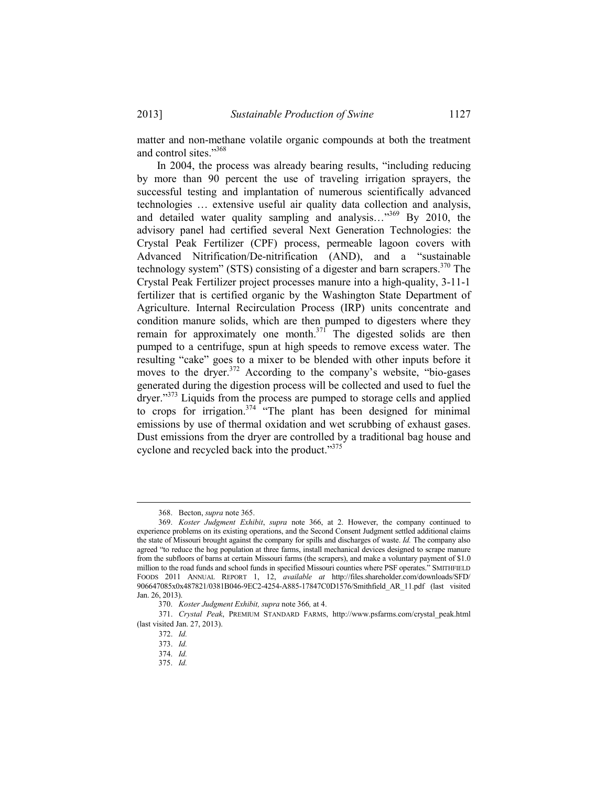matter and non-methane volatile organic compounds at both the treatment and control sites."368

 In 2004, the process was already bearing results, "including reducing by more than 90 percent the use of traveling irrigation sprayers, the successful testing and implantation of numerous scientifically advanced technologies … extensive useful air quality data collection and analysis, and detailed water quality sampling and analysis…"369 By 2010, the advisory panel had certified several Next Generation Technologies: the Crystal Peak Fertilizer (CPF) process, permeable lagoon covers with Advanced Nitrification/De-nitrification (AND), and a "sustainable technology system" (STS) consisting of a digester and barn scrapers.<sup>370</sup> The Crystal Peak Fertilizer project processes manure into a high-quality, 3-11-1 fertilizer that is certified organic by the Washington State Department of Agriculture. Internal Recirculation Process (IRP) units concentrate and condition manure solids, which are then pumped to digesters where they remain for approximately one month.<sup>371</sup> The digested solids are then pumped to a centrifuge, spun at high speeds to remove excess water. The resulting "cake" goes to a mixer to be blended with other inputs before it moves to the dryer.<sup>372</sup> According to the company's website, "bio-gases" generated during the digestion process will be collected and used to fuel the dryer."<sup>373</sup> Liquids from the process are pumped to storage cells and applied to crops for irrigation.<sup> $374$ </sup> "The plant has been designed for minimal emissions by use of thermal oxidation and wet scrubbing of exhaust gases. Dust emissions from the dryer are controlled by a traditional bag house and cyclone and recycled back into the product."375

 <sup>368.</sup> Becton, *supra* note 365.

 <sup>369.</sup> *Koster Judgment Exhibit*, *supra* note 366, at 2. However, the company continued to experience problems on its existing operations, and the Second Consent Judgment settled additional claims the state of Missouri brought against the company for spills and discharges of waste. *Id.* The company also agreed "to reduce the hog population at three farms, install mechanical devices designed to scrape manure from the subfloors of barns at certain Missouri farms (the scrapers), and make a voluntary payment of \$1.0 million to the road funds and school funds in specified Missouri counties where PSF operates." SMITHFIELD FOODS 2011 ANNUAL REPORT 1, 12, *available at* http://files.shareholder.com/downloads/SFD/ 906647085x0x487821/0381B046-9EC2-4254-A885-17847C0D1576/Smithfield\_AR\_11.pdf (last visited Jan. 26, 2013).

 <sup>370.</sup> *Koster Judgment Exhibit, supra* note 366*,* at 4.

 <sup>371.</sup> *Crystal Peak*, PREMIUM STANDARD FARMS, http://www.psfarms.com/crystal\_peak.html (last visited Jan. 27, 2013).

 <sup>372.</sup> *Id.*

 <sup>373.</sup> *Id.*

 <sup>374.</sup> *Id.*

 <sup>375.</sup> *Id.*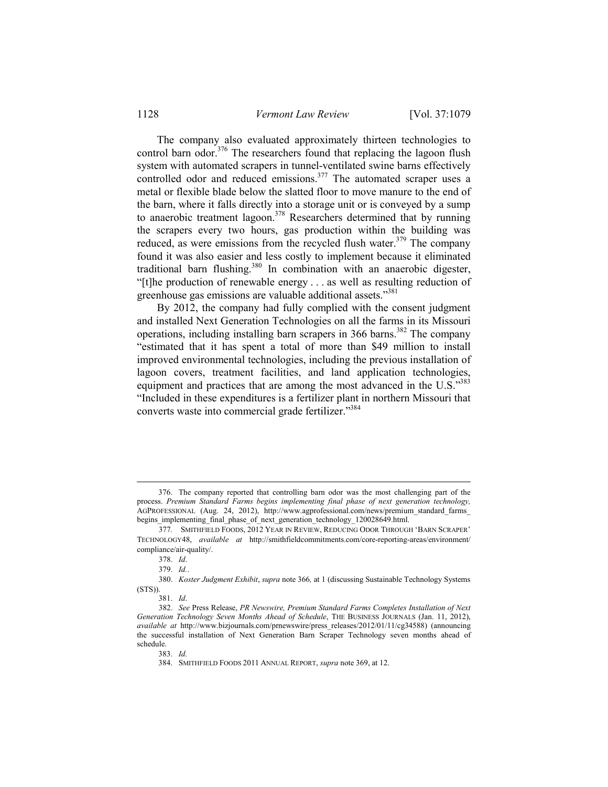The company also evaluated approximately thirteen technologies to control barn odor.<sup>376</sup> The researchers found that replacing the lagoon flush system with automated scrapers in tunnel-ventilated swine barns effectively controlled odor and reduced emissions.<sup>377</sup> The automated scraper uses a metal or flexible blade below the slatted floor to move manure to the end of the barn, where it falls directly into a storage unit or is conveyed by a sump to anaerobic treatment lagoon.<sup>378</sup> Researchers determined that by running the scrapers every two hours, gas production within the building was reduced, as were emissions from the recycled flush water. $379$  The company found it was also easier and less costly to implement because it eliminated traditional barn flushing.380 In combination with an anaerobic digester, "[t]he production of renewable energy . . . as well as resulting reduction of greenhouse gas emissions are valuable additional assets."381

 By 2012, the company had fully complied with the consent judgment and installed Next Generation Technologies on all the farms in its Missouri operations, including installing barn scrapers in  $366$  barns.<sup>382</sup> The company "estimated that it has spent a total of more than \$49 million to install improved environmental technologies, including the previous installation of lagoon covers, treatment facilities, and land application technologies, equipment and practices that are among the most advanced in the U.S."<sup>383</sup> "Included in these expenditures is a fertilizer plant in northern Missouri that converts waste into commercial grade fertilizer."384

 <sup>376.</sup> The company reported that controlling barn odor was the most challenging part of the process. *Premium Standard Farms begins implementing final phase of next generation technology,*  AGPROFESSIONAL (Aug. 24, 2012), http://www.agprofessional.com/news/premium\_standard\_farms\_ begins\_implementing\_final\_phase\_of\_next\_generation\_technology\_120028649.html.

 <sup>377</sup>*.* SMITHFIELD FOODS, 2012 YEAR IN REVIEW, REDUCING ODOR THROUGH 'BARN SCRAPER' TECHNOLOGY48, *available at* http://smithfieldcommitments.com/core-reporting-areas/environment/ compliance/air-quality/.

 <sup>378.</sup> *Id*.

 <sup>379.</sup> *Id.*.

 <sup>380.</sup> *Koster Judgment Exhibit*, *supra* note 366*,* at 1 (discussing Sustainable Technology Systems (STS)).

 <sup>381.</sup> *Id*.

 <sup>382.</sup> *See* Press Release, *PR Newswire, Premium Standard Farms Completes Installation of Next Generation Technology Seven Months Ahead of Schedule*, THE BUSINESS JOURNALS (Jan. 11, 2012), *available at* http://www.bizjournals.com/prnewswire/press\_releases/2012/01/11/cg34588) (announcing the successful installation of Next Generation Barn Scraper Technology seven months ahead of schedule.

 <sup>383.</sup> *Id.* 

 <sup>384.</sup> SMITHFIELD FOODS 2011 ANNUAL REPORT, *supra* note 369, at 12.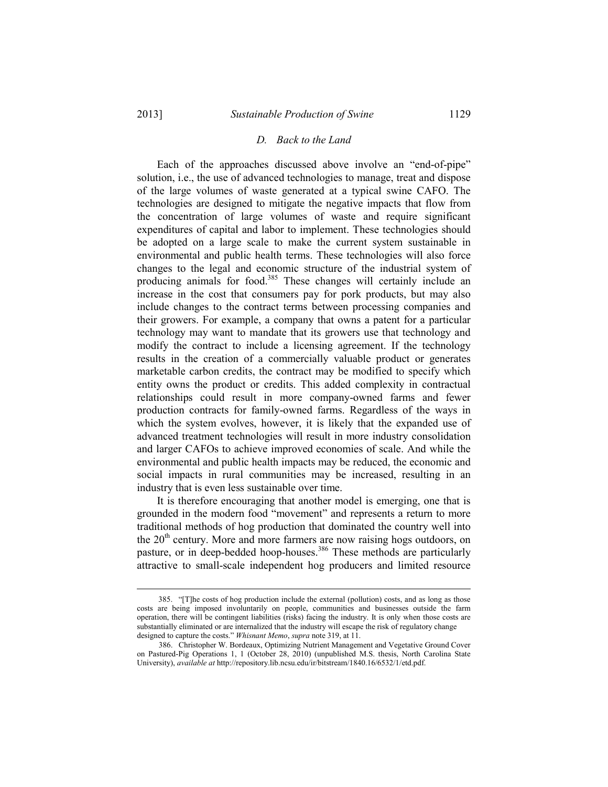### *D. Back to the Land*

 Each of the approaches discussed above involve an "end-of-pipe" solution, i.e., the use of advanced technologies to manage, treat and dispose of the large volumes of waste generated at a typical swine CAFO. The technologies are designed to mitigate the negative impacts that flow from the concentration of large volumes of waste and require significant expenditures of capital and labor to implement. These technologies should be adopted on a large scale to make the current system sustainable in environmental and public health terms. These technologies will also force changes to the legal and economic structure of the industrial system of producing animals for food.<sup>385</sup> These changes will certainly include an increase in the cost that consumers pay for pork products, but may also include changes to the contract terms between processing companies and their growers. For example, a company that owns a patent for a particular technology may want to mandate that its growers use that technology and modify the contract to include a licensing agreement. If the technology results in the creation of a commercially valuable product or generates marketable carbon credits, the contract may be modified to specify which entity owns the product or credits. This added complexity in contractual relationships could result in more company-owned farms and fewer production contracts for family-owned farms. Regardless of the ways in which the system evolves, however, it is likely that the expanded use of advanced treatment technologies will result in more industry consolidation and larger CAFOs to achieve improved economies of scale. And while the environmental and public health impacts may be reduced, the economic and social impacts in rural communities may be increased, resulting in an industry that is even less sustainable over time.

 It is therefore encouraging that another model is emerging, one that is grounded in the modern food "movement" and represents a return to more traditional methods of hog production that dominated the country well into the  $20<sup>th</sup>$  century. More and more farmers are now raising hogs outdoors, on pasture, or in deep-bedded hoop-houses.<sup>386</sup> These methods are particularly attractive to small-scale independent hog producers and limited resource

 <sup>385. &</sup>quot;[T]he costs of hog production include the external (pollution) costs, and as long as those costs are being imposed involuntarily on people, communities and businesses outside the farm operation, there will be contingent liabilities (risks) facing the industry. It is only when those costs are substantially eliminated or are internalized that the industry will escape the risk of regulatory change designed to capture the costs." *Whisnant Memo*, *supra* note 319, at 11.

 <sup>386.</sup> Christopher W. Bordeaux, Optimizing Nutrient Management and Vegetative Ground Cover on Pastured-Pig Operations 1, 1 (October 28, 2010) (unpublished M.S. thesis, North Carolina State University), *available at* http://repository.lib.ncsu.edu/ir/bitstream/1840.16/6532/1/etd.pdf.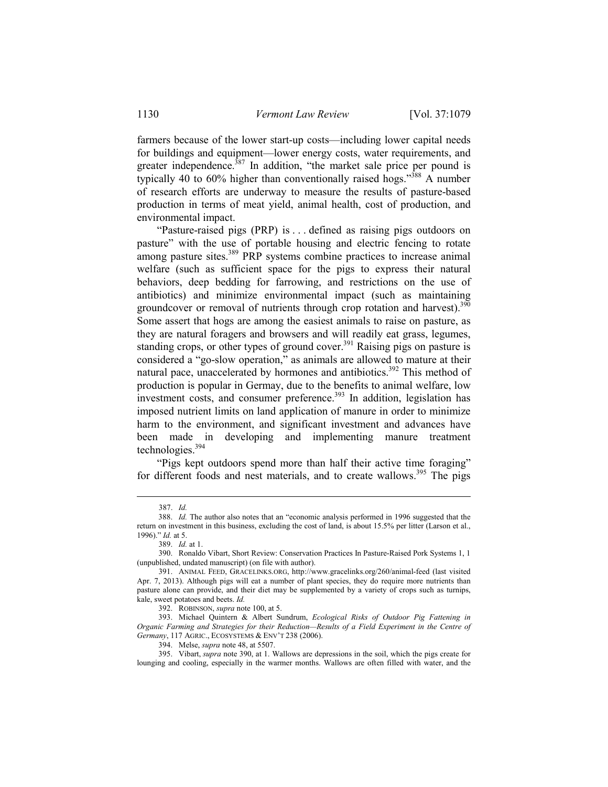farmers because of the lower start-up costs—including lower capital needs for buildings and equipment—lower energy costs, water requirements, and greater independence.<sup>387</sup> In addition, "the market sale price per pound is typically 40 to 60% higher than conventionally raised hogs."<sup>388</sup> A number of research efforts are underway to measure the results of pasture-based production in terms of meat yield, animal health, cost of production, and environmental impact.

 "Pasture-raised pigs (PRP) is . . . defined as raising pigs outdoors on pasture" with the use of portable housing and electric fencing to rotate among pasture sites.<sup>389</sup> PRP systems combine practices to increase animal welfare (such as sufficient space for the pigs to express their natural behaviors, deep bedding for farrowing, and restrictions on the use of antibiotics) and minimize environmental impact (such as maintaining groundcover or removal of nutrients through crop rotation and harvest).<sup>390</sup> Some assert that hogs are among the easiest animals to raise on pasture, as they are natural foragers and browsers and will readily eat grass, legumes, standing crops, or other types of ground cover.<sup>391</sup> Raising pigs on pasture is considered a "go-slow operation," as animals are allowed to mature at their natural pace, unaccelerated by hormones and antibiotics.<sup>392</sup> This method of production is popular in Germay, due to the benefits to animal welfare, low investment costs, and consumer preference.<sup>393</sup> In addition, legislation has imposed nutrient limits on land application of manure in order to minimize harm to the environment, and significant investment and advances have been made in developing and implementing manure treatment technologies. $394$ 

 "Pigs kept outdoors spend more than half their active time foraging" for different foods and nest materials, and to create wallows.<sup>395</sup> The pigs

1

392. ROBINSON, *supra* note 100, at 5.

394. Melse, *supra* note 48, at 5507.

 <sup>387.</sup> *Id.*

 <sup>388.</sup> *Id.* The author also notes that an "economic analysis performed in 1996 suggested that the return on investment in this business, excluding the cost of land, is about 15.5% per litter (Larson et al., 1996)." *Id.* at 5.

 <sup>389.</sup> *Id.* at 1.

 <sup>390.</sup> Ronaldo Vibart, Short Review: Conservation Practices In Pasture-Raised Pork Systems 1, 1 (unpublished, undated manuscript) (on file with author).

 <sup>391.</sup> ANIMAL FEED, GRACELINKS.ORG, http://www.gracelinks.org/260/animal-feed (last visited Apr. 7, 2013). Although pigs will eat a number of plant species, they do require more nutrients than pasture alone can provide, and their diet may be supplemented by a variety of crops such as turnips, kale, sweet potatoes and beets. *Id.* 

 <sup>393.</sup> Michael Quintern & Albert Sundrum, *Ecological Risks of Outdoor Pig Fattening in Organic Farming and Strategies for their Reduction—Results of a Field Experiment in the Centre of Germany*, 117 AGRIC., ECOSYSTEMS & ENV'T 238 (2006).

 <sup>395.</sup> Vibart, *supra* note 390, at 1. Wallows are depressions in the soil, which the pigs create for lounging and cooling, especially in the warmer months. Wallows are often filled with water, and the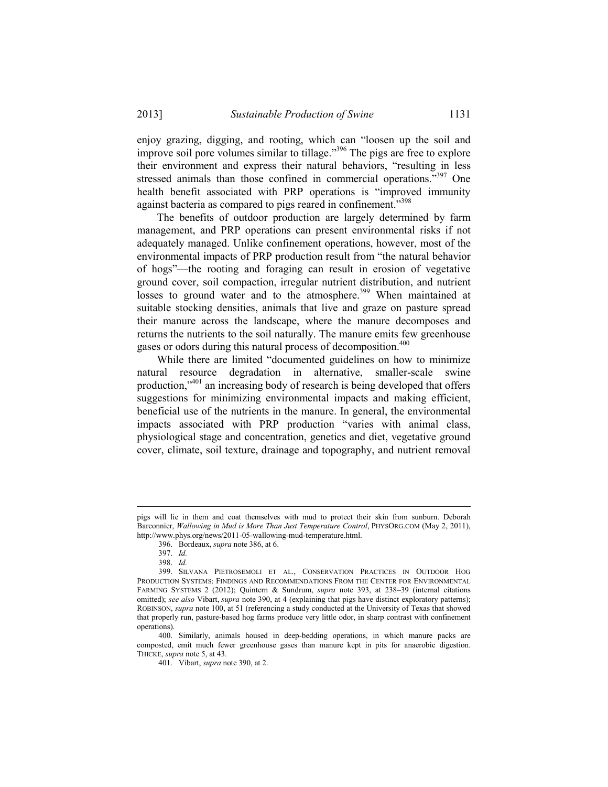enjoy grazing, digging, and rooting, which can "loosen up the soil and improve soil pore volumes similar to tillage."396 The pigs are free to explore their environment and express their natural behaviors, "resulting in less stressed animals than those confined in commercial operations."<sup>397</sup> One health benefit associated with PRP operations is "improved immunity against bacteria as compared to pigs reared in confinement."<sup>398</sup>

 The benefits of outdoor production are largely determined by farm management, and PRP operations can present environmental risks if not adequately managed. Unlike confinement operations, however, most of the environmental impacts of PRP production result from "the natural behavior of hogs"—the rooting and foraging can result in erosion of vegetative ground cover, soil compaction, irregular nutrient distribution, and nutrient losses to ground water and to the atmosphere.<sup>399</sup> When maintained at suitable stocking densities, animals that live and graze on pasture spread their manure across the landscape, where the manure decomposes and returns the nutrients to the soil naturally. The manure emits few greenhouse gases or odors during this natural process of decomposition.<sup>400</sup>

 While there are limited "documented guidelines on how to minimize natural resource degradation in alternative, smaller-scale swine production,"401 an increasing body of research is being developed that offers suggestions for minimizing environmental impacts and making efficient, beneficial use of the nutrients in the manure. In general, the environmental impacts associated with PRP production "varies with animal class, physiological stage and concentration, genetics and diet, vegetative ground cover, climate, soil texture, drainage and topography, and nutrient removal

pigs will lie in them and coat themselves with mud to protect their skin from sunburn. Deborah Barconnier, *Wallowing in Mud is More Than Just Temperature Control*, PHYSORG.COM (May 2, 2011), http://www.phys.org/news/2011-05-wallowing-mud-temperature.html.

 <sup>396.</sup> Bordeaux, *supra* note 386, at 6.

 <sup>397.</sup> *Id.* 

 <sup>398.</sup> *Id.*

 <sup>399.</sup> SILVANA PIETROSEMOLI ET AL., CONSERVATION PRACTICES IN OUTDOOR HOG PRODUCTION SYSTEMS: FINDINGS AND RECOMMENDATIONS FROM THE CENTER FOR ENVIRONMENTAL FARMING SYSTEMS 2 (2012); Quintern & Sundrum, *supra* note 393, at 238–39 (internal citations omitted); *see also* Vibart, *supra* note 390, at 4 (explaining that pigs have distinct exploratory patterns); ROBINSON, *supra* note 100, at 51 (referencing a study conducted at the University of Texas that showed that properly run, pasture-based hog farms produce very little odor, in sharp contrast with confinement operations).

 <sup>400.</sup> Similarly, animals housed in deep-bedding operations, in which manure packs are composted, emit much fewer greenhouse gases than manure kept in pits for anaerobic digestion. THICKE, *supra* note 5, at 43.

 <sup>401.</sup> Vibart, *supra* note 390, at 2.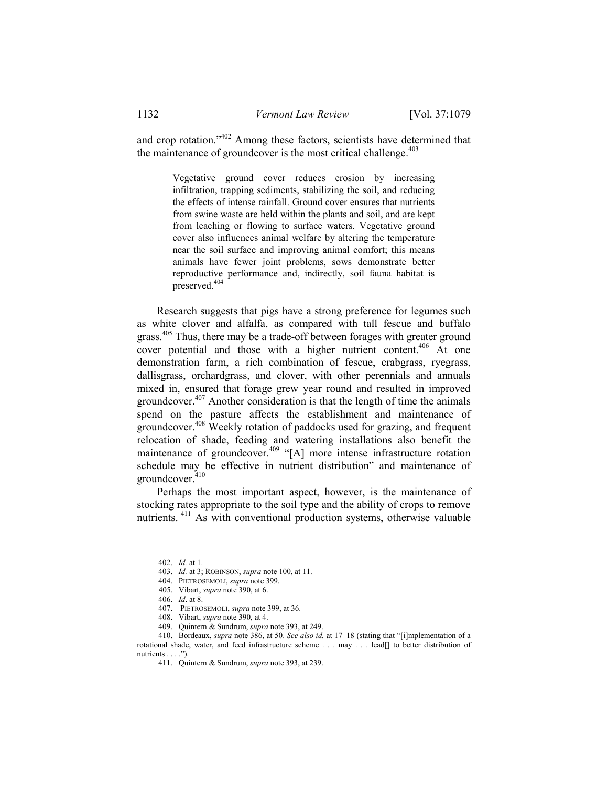and crop rotation."402 Among these factors, scientists have determined that the maintenance of groundcover is the most critical challenge. $403$ 

> Vegetative ground cover reduces erosion by increasing infiltration, trapping sediments, stabilizing the soil, and reducing the effects of intense rainfall. Ground cover ensures that nutrients from swine waste are held within the plants and soil, and are kept from leaching or flowing to surface waters. Vegetative ground cover also influences animal welfare by altering the temperature near the soil surface and improving animal comfort; this means animals have fewer joint problems, sows demonstrate better reproductive performance and, indirectly, soil fauna habitat is preserved.404

 Research suggests that pigs have a strong preference for legumes such as white clover and alfalfa, as compared with tall fescue and buffalo grass.<sup>405</sup> Thus, there may be a trade-off between forages with greater ground cover potential and those with a higher nutrient content.<sup>406</sup> At one demonstration farm, a rich combination of fescue, crabgrass, ryegrass, dallisgrass, orchardgrass, and clover, with other perennials and annuals mixed in, ensured that forage grew year round and resulted in improved groundcover.407 Another consideration is that the length of time the animals spend on the pasture affects the establishment and maintenance of groundcover.<sup>408</sup> Weekly rotation of paddocks used for grazing, and frequent relocation of shade, feeding and watering installations also benefit the maintenance of groundcover.<sup>409</sup> "[A] more intense infrastructure rotation schedule may be effective in nutrient distribution" and maintenance of  $q$ roundcover. $410$ 

 Perhaps the most important aspect, however, is the maintenance of stocking rates appropriate to the soil type and the ability of crops to remove nutrients.<sup>411</sup> As with conventional production systems, otherwise valuable

 <sup>402.</sup> *Id.* at 1.

 <sup>403.</sup> *Id.* at 3; ROBINSON, *supra* note 100, at 11.

 <sup>404.</sup> PIETROSEMOLI, *supra* note 399.

 <sup>405.</sup> Vibart, *supra* note 390, at 6.

 <sup>406.</sup> *Id*. at 8.

 <sup>407.</sup> PIETROSEMOLI, *supra* note 399, at 36.

 <sup>408.</sup> Vibart, *supra* note 390, at 4.

 <sup>409.</sup> Quintern & Sundrum, *supra* note 393, at 249.

 <sup>410.</sup> Bordeaux, *supra* note 386, at 50. *See also id.* at 17–18 (stating that "[i]mplementation of a rotational shade, water, and feed infrastructure scheme . . . may . . . lead[] to better distribution of nutrients . . . .").

 <sup>411.</sup> Quintern & Sundrum, *supra* note 393, at 239.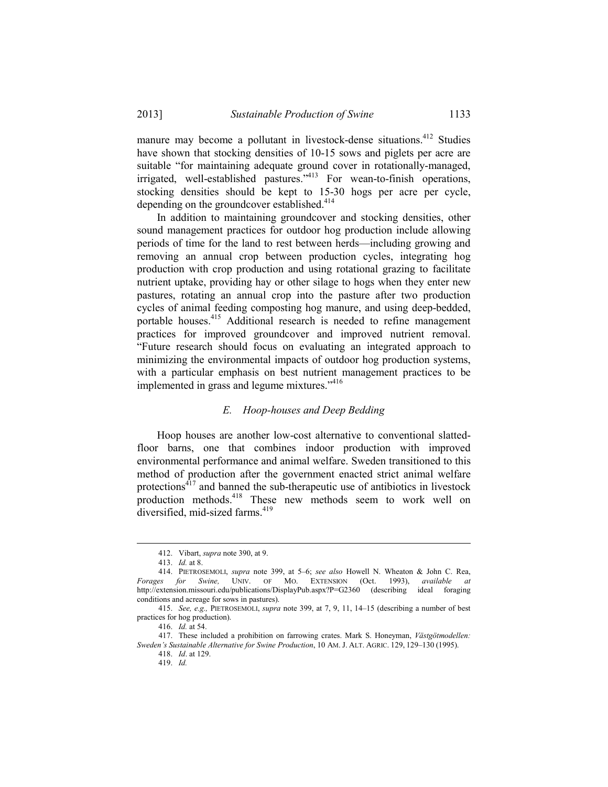manure may become a pollutant in livestock-dense situations.<sup>412</sup> Studies have shown that stocking densities of 10-15 sows and piglets per acre are suitable "for maintaining adequate ground cover in rotationally-managed, irrigated, well-established pastures."413 For wean-to-finish operations, stocking densities should be kept to 15-30 hogs per acre per cycle, depending on the groundcover established.<sup>414</sup>

 In addition to maintaining groundcover and stocking densities, other sound management practices for outdoor hog production include allowing periods of time for the land to rest between herds—including growing and removing an annual crop between production cycles, integrating hog production with crop production and using rotational grazing to facilitate nutrient uptake, providing hay or other silage to hogs when they enter new pastures, rotating an annual crop into the pasture after two production cycles of animal feeding composting hog manure, and using deep-bedded, portable houses.<sup>415</sup> Additional research is needed to refine management practices for improved groundcover and improved nutrient removal. "Future research should focus on evaluating an integrated approach to minimizing the environmental impacts of outdoor hog production systems, with a particular emphasis on best nutrient management practices to be implemented in grass and legume mixtures."416

## *E. Hoop-houses and Deep Bedding*

 Hoop houses are another low-cost alternative to conventional slattedfloor barns, one that combines indoor production with improved environmental performance and animal welfare. Sweden transitioned to this method of production after the government enacted strict animal welfare protections $417$  and banned the sub-therapeutic use of antibiotics in livestock production methods.<sup>418</sup> These new methods seem to work well on diversified, mid-sized farms.<sup>419</sup>

 <sup>412.</sup> Vibart, *supra* note 390, at 9.

 <sup>413.</sup> *Id.* at 8.

 <sup>414.</sup> PIETROSEMOLI, *supra* note 399, at 5–6; *see also* Howell N. Wheaton & John C. Rea, *Forages for Swine,* UNIV. OF MO. EXTENSION (Oct. 1993), *available at* http://extension.missouri.edu/publications/DisplayPub.aspx?P=G2360 (describing ideal foraging conditions and acreage for sows in pastures).

 <sup>415.</sup> *See, e.g.,* PIETROSEMOLI, *supra* note 399, at 7, 9, 11, 14–15 (describing a number of best practices for hog production).

 <sup>416.</sup> *Id.* at 54.

 <sup>417.</sup> These included a prohibition on farrowing crates. Mark S. Honeyman, *Västgötmodellen: Sweden's Sustainable Alternative for Swine Production*, 10 AM. J. ALT. AGRIC. 129, 129–130 (1995).

 <sup>418.</sup> *Id*. at 129.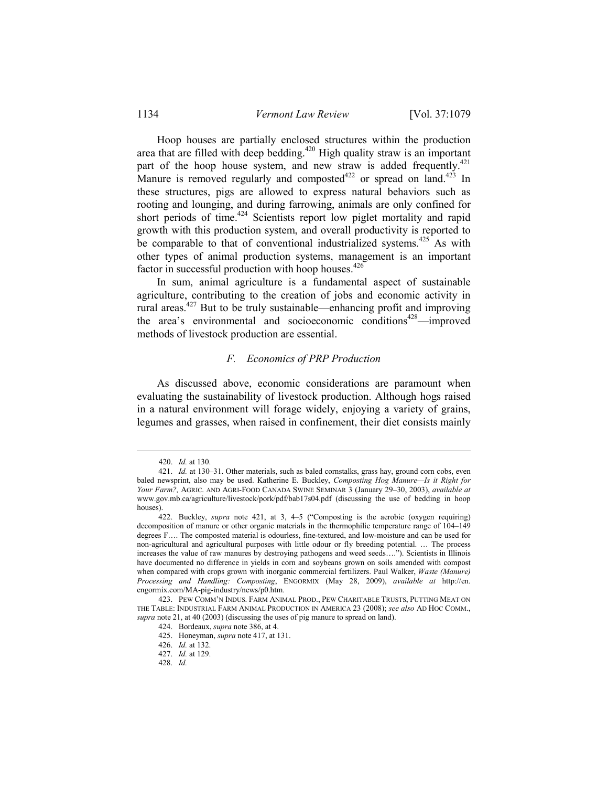Hoop houses are partially enclosed structures within the production area that are filled with deep bedding.<sup> $420$ </sup> High quality straw is an important part of the hoop house system, and new straw is added frequently.<sup>421</sup> Manure is removed regularly and composted<sup>422</sup> or spread on land.<sup>423</sup> In these structures, pigs are allowed to express natural behaviors such as rooting and lounging, and during farrowing, animals are only confined for short periods of time.<sup>424</sup> Scientists report low piglet mortality and rapid growth with this production system, and overall productivity is reported to be comparable to that of conventional industrialized systems.<sup>425</sup> As with other types of animal production systems, management is an important factor in successful production with hoop houses. $426$ 

 In sum, animal agriculture is a fundamental aspect of sustainable agriculture, contributing to the creation of jobs and economic activity in rural areas.427 But to be truly sustainable—enhancing profit and improving the area's environmental and socioeconomic conditions<sup>428</sup>—improved methods of livestock production are essential.

### *F. Economics of PRP Production*

 As discussed above, economic considerations are paramount when evaluating the sustainability of livestock production. Although hogs raised in a natural environment will forage widely, enjoying a variety of grains, legumes and grasses, when raised in confinement, their diet consists mainly

 <sup>420.</sup> *Id.* at 130.

 <sup>421.</sup> *Id.* at 130–31. Other materials, such as baled cornstalks, grass hay, ground corn cobs, even baled newsprint, also may be used. Katherine E. Buckley, *Composting Hog Manure—Is it Right for Your Farm?,* AGRIC. AND AGRI-FOOD CANADA SWINE SEMINAR 3 (January 29–30, 2003), *available at* www.gov.mb.ca/agriculture/livestock/pork/pdf/bab17s04.pdf (discussing the use of bedding in hoop houses).

 <sup>422.</sup> Buckley, *supra* note 421, at 3, 4–5 ("Composting is the aerobic (oxygen requiring) decomposition of manure or other organic materials in the thermophilic temperature range of 104–149 degrees F…. The composted material is odourless, fine-textured, and low-moisture and can be used for non-agricultural and agricultural purposes with little odour or fly breeding potential. … The process increases the value of raw manures by destroying pathogens and weed seeds…."). Scientists in Illinois have documented no difference in yields in corn and soybeans grown on soils amended with compost when compared with crops grown with inorganic commercial fertilizers. Paul Walker, *Waste (Manure) Processing and Handling: Composting*, ENGORMIX (May 28, 2009), *available at* http://en. engormix.com/MA-pig-industry/news/p0.htm.

 <sup>423.</sup> PEW COMM'N INDUS. FARM ANIMAL PROD., PEW CHARITABLE TRUSTS, PUTTING MEAT ON THE TABLE: INDUSTRIAL FARM ANIMAL PRODUCTION IN AMERICA 23 (2008); *see also* AD HOC COMM., *supra* note 21, at 40 (2003) (discussing the uses of pig manure to spread on land).

 <sup>424.</sup> Bordeaux, *supra* note 386, at 4.

 <sup>425.</sup> Honeyman, *supra* note 417, at 131.

 <sup>426.</sup> *Id.* at 132.

 <sup>427.</sup> *Id.* at 129.

 <sup>428.</sup> *Id.*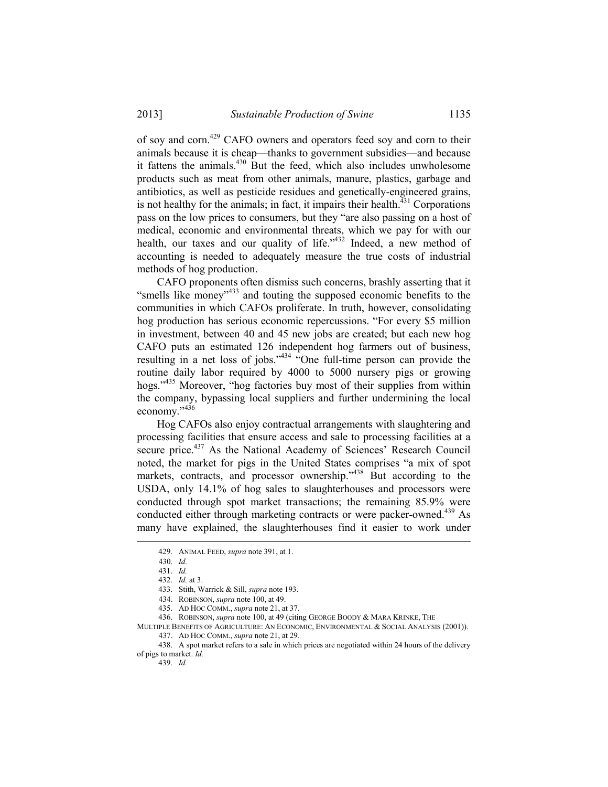of soy and corn.429 CAFO owners and operators feed soy and corn to their animals because it is cheap—thanks to government subsidies—and because it fattens the animals.<sup>430</sup> But the feed, which also includes unwholesome products such as meat from other animals, manure, plastics, garbage and antibiotics, as well as pesticide residues and genetically-engineered grains, is not healthy for the animals; in fact, it impairs their health. $^{431}$  Corporations pass on the low prices to consumers, but they "are also passing on a host of medical, economic and environmental threats, which we pay for with our health, our taxes and our quality of life. $1432$  Indeed, a new method of accounting is needed to adequately measure the true costs of industrial methods of hog production.

 CAFO proponents often dismiss such concerns, brashly asserting that it "smells like money"<sup>433</sup> and touting the supposed economic benefits to the communities in which CAFOs proliferate. In truth, however, consolidating hog production has serious economic repercussions. "For every \$5 million in investment, between 40 and 45 new jobs are created; but each new hog CAFO puts an estimated 126 independent hog farmers out of business, resulting in a net loss of jobs." $434 \text{ °C}$  One full-time person can provide the routine daily labor required by 4000 to 5000 nursery pigs or growing hogs."435 Moreover, "hog factories buy most of their supplies from within the company, bypassing local suppliers and further undermining the local economy."436

 Hog CAFOs also enjoy contractual arrangements with slaughtering and processing facilities that ensure access and sale to processing facilities at a secure price.<sup>437</sup> As the National Academy of Sciences' Research Council noted, the market for pigs in the United States comprises "a mix of spot markets, contracts, and processor ownership."<sup>438</sup> But according to the USDA, only 14.1% of hog sales to slaughterhouses and processors were conducted through spot market transactions; the remaining 85.9% were conducted either through marketing contracts or were packer-owned.<sup>439</sup> As many have explained, the slaughterhouses find it easier to work under

<u>.</u>

436. ROBINSON, *supra* note 100, at 49 (citing GEORGE BOODY & MARA KRINKE, THE

MULTIPLE BENEFITS OF AGRICULTURE: AN ECONOMIC, ENVIRONMENTAL & SOCIAL ANALYSIS (2001)). 437. AD HOC COMM., *supra* note 21, at 29.

 438. A spot market refers to a sale in which prices are negotiated within 24 hours of the delivery of pigs to market. *Id.* 

439. *Id.*

 <sup>429.</sup> ANIMAL FEED, *supra* note 391, at 1.

 <sup>430.</sup> *Id.*

 <sup>431.</sup> *Id.*

 <sup>432.</sup> *Id.* at 3.

 <sup>433.</sup> Stith, Warrick & Sill, *supra* note 193.

 <sup>434.</sup> ROBINSON, *supra* note 100, at 49.

 <sup>435.</sup> AD HOC COMM., *supra* note 21, at 37.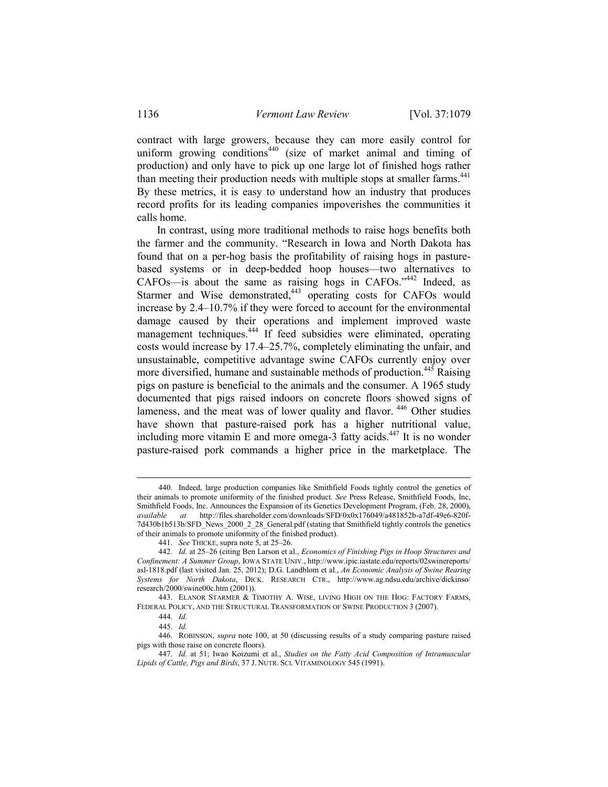contract with large growers, because they can more easily control for uniform growing conditions<sup>440</sup> (size of market animal and timing of production) and only have to pick up one large lot of finished hogs rather than meeting their production needs with multiple stops at smaller farms.<sup>441</sup> By these metrics, it is easy to understand how an industry that produces record profits for its leading companies impoverishes the communities it calls home.

 In contrast, using more traditional methods to raise hogs benefits both the farmer and the community. "Research in Iowa and North Dakota has found that on a per-hog basis the profitability of raising hogs in pasturebased systems or in deep-bedded hoop houses—two alternatives to CAFOs—is about the same as raising hogs in CAFOs."442 Indeed, as Starmer and Wise demonstrated,<sup>443</sup> operating costs for CAFOs would increase by 2.4–10.7% if they were forced to account for the environmental damage caused by their operations and implement improved waste management techniques.444 If feed subsidies were eliminated, operating costs would increase by 17.4–25.7%, completely eliminating the unfair, and unsustainable, competitive advantage swine CAFOs currently enjoy over more diversified, humane and sustainable methods of production.<sup>445</sup> Raising pigs on pasture is beneficial to the animals and the consumer. A 1965 study documented that pigs raised indoors on concrete floors showed signs of lameness, and the meat was of lower quality and flavor. 446 Other studies have shown that pasture-raised pork has a higher nutritional value, including more vitamin E and more omega-3 fatty acids.<sup>447</sup> It is no wonder pasture-raised pork commands a higher price in the marketplace. The

 <sup>440.</sup> Indeed, large production companies like Smithfield Foods tightly control the genetics of their animals to promote uniformity of the finished product. *See* Press Release, Smithfield Foods, Inc, Smithfield Foods, Inc. Announces the Expansion of its Genetics Development Program, (Feb. 28, 2000), *available at* http://files.shareholder.com/downloads/SFD/0x0x176049/a481852b-a7df-49e6-820f-7d430b1b513b/SFD\_News\_2000\_2\_28\_General.pdf (stating that Smithfield tightly controls the genetics of their animals to promote uniformity of the finished product).

 <sup>441.</sup> *See* THICKE, supra note 5, at 25–26.

 <sup>442.</sup> *Id.* at 25–26 (citing Ben Larson et al., *Economics of Finishing Pigs in Hoop Structures and Confinement: A Summer Group*, IOWA STATE UNIV., http://www.ipic.iastate.edu/reports/02swinereports/ asl-1818.pdf (last visited Jan. 25, 2012); D.G. Landblom et al., *An Economic Analysis of Swine Rearing Systems for North Dakota*, DICK. RESEARCH CTR., http://www.ag.ndsu.edu/archive/dickinso/ research/2000/swine00c.htm (2001)).

 <sup>443.</sup> ELANOR STARMER & TIMOTHY A. WISE, LIVING HIGH ON THE HOG: FACTORY FARMS, FEDERAL POLICY, AND THE STRUCTURAL TRANSFORMATION OF SWINE PRODUCTION 3 (2007).

 <sup>444.</sup> *Id.*

 <sup>445.</sup> *Id.* 

 <sup>446.</sup> ROBINSON, *supra* note 100, at 50 (discussing results of a study comparing pasture raised pigs with those raise on concrete floors).

 <sup>447.</sup> *Id.* at 51; Iwao Koizumi et al., *Studies on the Fatty Acid Composition of Intramuscular Lipids of Cattle, Pigs and Birds*, 37 J. NUTR. SCI. VITAMINOLOGY 545 (1991).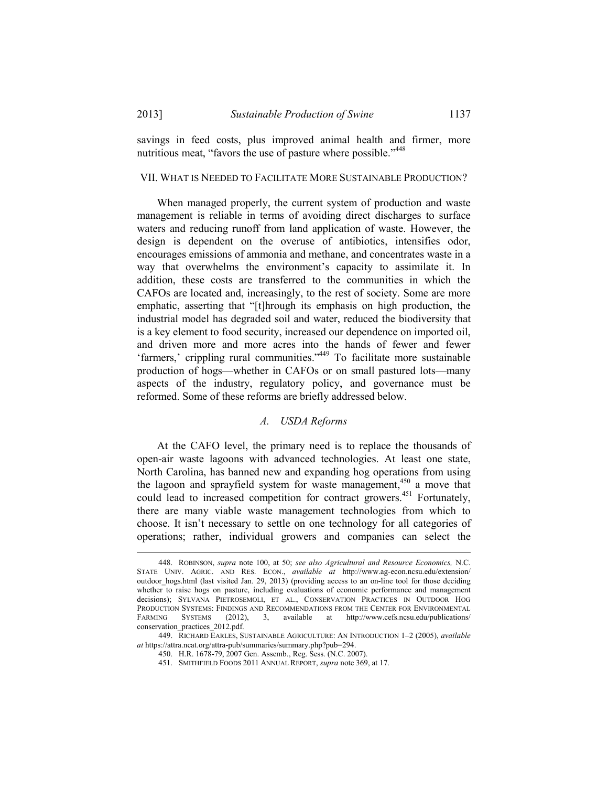savings in feed costs, plus improved animal health and firmer, more nutritious meat, "favors the use of pasture where possible."<sup>448</sup>

#### VII. WHAT IS NEEDED TO FACILITATE MORE SUSTAINABLE PRODUCTION?

 When managed properly, the current system of production and waste management is reliable in terms of avoiding direct discharges to surface waters and reducing runoff from land application of waste. However, the design is dependent on the overuse of antibiotics, intensifies odor, encourages emissions of ammonia and methane, and concentrates waste in a way that overwhelms the environment's capacity to assimilate it. In addition, these costs are transferred to the communities in which the CAFOs are located and, increasingly, to the rest of society. Some are more emphatic, asserting that "[t]hrough its emphasis on high production, the industrial model has degraded soil and water, reduced the biodiversity that is a key element to food security, increased our dependence on imported oil, and driven more and more acres into the hands of fewer and fewer 'farmers,' crippling rural communities."<sup>449</sup> To facilitate more sustainable production of hogs—whether in CAFOs or on small pastured lots—many aspects of the industry, regulatory policy, and governance must be reformed. Some of these reforms are briefly addressed below.

## *A. USDA Reforms*

 At the CAFO level, the primary need is to replace the thousands of open-air waste lagoons with advanced technologies. At least one state, North Carolina, has banned new and expanding hog operations from using the lagoon and sprayfield system for waste management,  $450$  a move that could lead to increased competition for contract growers.<sup>451</sup> Fortunately, there are many viable waste management technologies from which to choose. It isn't necessary to settle on one technology for all categories of operations; rather, individual growers and companies can select the

 <sup>448.</sup> ROBINSON, *supra* note 100, at 50; *see also Agricultural and Resource Economics,* N.C. STATE UNIV. AGRIC. AND RES. ECON., *available at* http://www.ag-econ.ncsu.edu/extension/ outdoor\_hogs.html (last visited Jan. 29, 2013) (providing access to an on-line tool for those deciding whether to raise hogs on pasture, including evaluations of economic performance and management decisions); SYLVANA PIETROSEMOLI, ET AL., CONSERVATION PRACTICES IN OUTDOOR HOG PRODUCTION SYSTEMS: FINDINGS AND RECOMMENDATIONS FROM THE CENTER FOR ENVIRONMENTAL FARMING SYSTEMS (2012), 3, available at http://www.cefs.ncsu.edu/publications/ conservation\_practices\_2012.pdf.

 <sup>449.</sup> RICHARD EARLES, SUSTAINABLE AGRICULTURE: AN INTRODUCTION 1–2 (2005), *available at* https://attra.ncat.org/attra-pub/summaries/summary.php?pub=294.

 <sup>450.</sup> H.R. 1678-79, 2007 Gen. Assemb., Reg. Sess. (N.C. 2007).

 <sup>451.</sup> SMITHFIELD FOODS 2011 ANNUAL REPORT, *supra* note 369, at 17.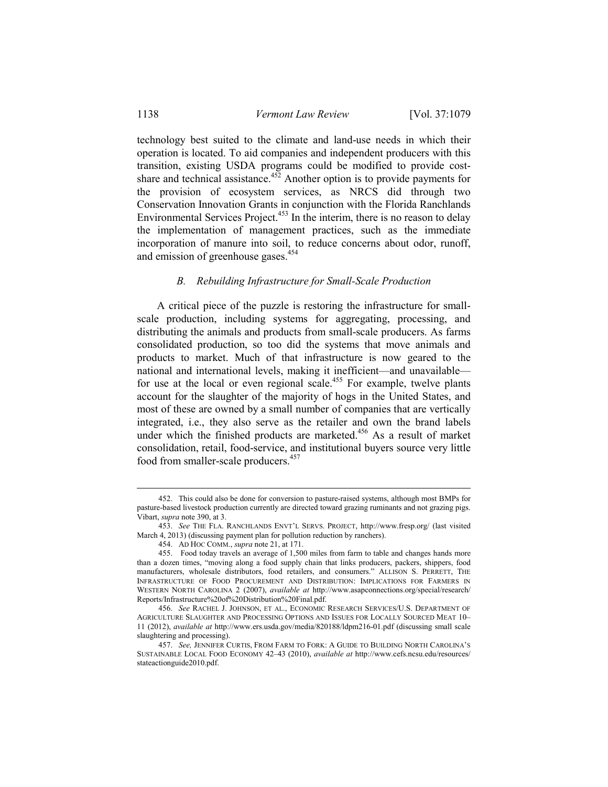technology best suited to the climate and land-use needs in which their operation is located. To aid companies and independent producers with this transition, existing USDA programs could be modified to provide costshare and technical assistance.<sup>452</sup> Another option is to provide payments for the provision of ecosystem services, as NRCS did through two Conservation Innovation Grants in conjunction with the Florida Ranchlands Environmental Services Project.<sup>453</sup> In the interim, there is no reason to delay the implementation of management practices, such as the immediate incorporation of manure into soil, to reduce concerns about odor, runoff, and emission of greenhouse gases.<sup>454</sup>

### *B. Rebuilding Infrastructure for Small-Scale Production*

 A critical piece of the puzzle is restoring the infrastructure for smallscale production, including systems for aggregating, processing, and distributing the animals and products from small-scale producers. As farms consolidated production, so too did the systems that move animals and products to market. Much of that infrastructure is now geared to the national and international levels, making it inefficient—and unavailable for use at the local or even regional scale.<sup>455</sup> For example, twelve plants account for the slaughter of the majority of hogs in the United States, and most of these are owned by a small number of companies that are vertically integrated, i.e., they also serve as the retailer and own the brand labels under which the finished products are marketed.<sup>456</sup> As a result of market consolidation, retail, food-service, and institutional buyers source very little food from smaller-scale producers.<sup>457</sup>

 <sup>452.</sup> This could also be done for conversion to pasture-raised systems, although most BMPs for pasture-based livestock production currently are directed toward grazing ruminants and not grazing pigs. Vibart, *supra* note 390, at 3.

 <sup>453.</sup> *See* THE FLA. RANCHLANDS ENVT'L SERVS. PROJECT, http://www.fresp.org/ (last visited March 4, 2013) (discussing payment plan for pollution reduction by ranchers).

 <sup>454.</sup> AD HOC COMM., *supra* note 21, at 171.

 <sup>455.</sup> Food today travels an average of 1,500 miles from farm to table and changes hands more than a dozen times, "moving along a food supply chain that links producers, packers, shippers, food manufacturers, wholesale distributors, food retailers, and consumers." ALLISON S. PERRETT, THE INFRASTRUCTURE OF FOOD PROCUREMENT AND DISTRIBUTION: IMPLICATIONS FOR FARMERS IN WESTERN NORTH CAROLINA 2 (2007), *available at* http://www.asapconnections.org/special/research/ Reports/Infrastructure%20of%20Distribution%20Final.pdf.

 <sup>456.</sup> *See* RACHEL J. JOHNSON, ET AL., ECONOMIC RESEARCH SERVICES/U.S. DEPARTMENT OF AGRICULTURE SLAUGHTER AND PROCESSING OPTIONS AND ISSUES FOR LOCALLY SOURCED MEAT 10– 11 (2012), *available at* http://www.ers.usda.gov/media/820188/ldpm216-01.pdf (discussing small scale slaughtering and processing).

 <sup>457.</sup> *See,* JENNIFER CURTIS, FROM FARM TO FORK: A GUIDE TO BUILDING NORTH CAROLINA'S SUSTAINABLE LOCAL FOOD ECONOMY 42–43 (2010), *available at* http://www.cefs.ncsu.edu/resources/ stateactionguide2010.pdf.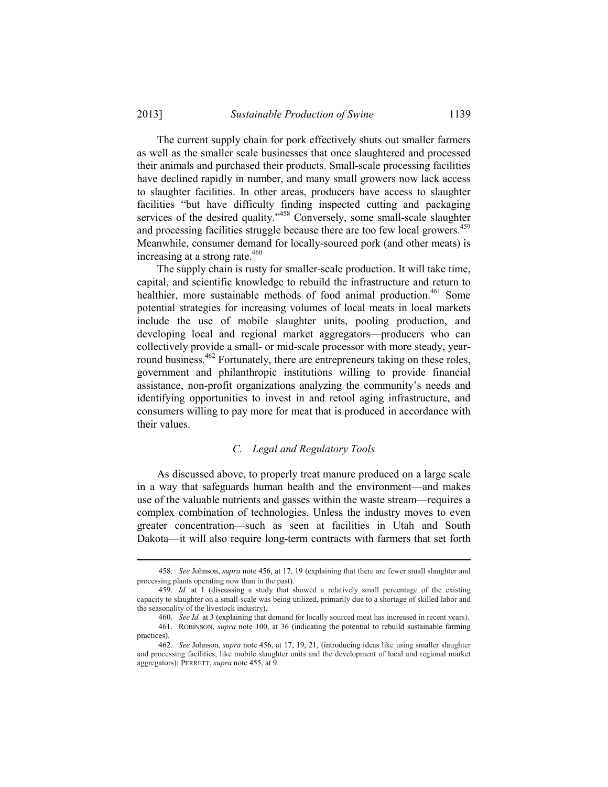The current supply chain for pork effectively shuts out smaller farmers as well as the smaller scale businesses that once slaughtered and processed their animals and purchased their products. Small-scale processing facilities have declined rapidly in number, and many small growers now lack access to slaughter facilities. In other areas, producers have access to slaughter facilities "but have difficulty finding inspected cutting and packaging services of the desired quality."<sup>458</sup> Conversely, some small-scale slaughter and processing facilities struggle because there are too few local growers.<sup>459</sup> Meanwhile, consumer demand for locally-sourced pork (and other meats) is increasing at a strong rate.<sup>460</sup>

 The supply chain is rusty for smaller-scale production. It will take time, capital, and scientific knowledge to rebuild the infrastructure and return to healthier, more sustainable methods of food animal production.<sup>461</sup> Some potential strategies for increasing volumes of local meats in local markets include the use of mobile slaughter units, pooling production, and developing local and regional market aggregators—producers who can collectively provide a small- or mid-scale processor with more steady, yearround business.<sup>462</sup> Fortunately, there are entrepreneurs taking on these roles, government and philanthropic institutions willing to provide financial assistance, non-profit organizations analyzing the community's needs and identifying opportunities to invest in and retool aging infrastructure, and consumers willing to pay more for meat that is produced in accordance with their values.

## *C. Legal and Regulatory Tools*

 As discussed above, to properly treat manure produced on a large scale in a way that safeguards human health and the environment—and makes use of the valuable nutrients and gasses within the waste stream—requires a complex combination of technologies. Unless the industry moves to even greater concentration—such as seen at facilities in Utah and South Dakota—it will also require long-term contracts with farmers that set forth

 <sup>458.</sup> *See* Johnson, *supra* note 456, at 17, 19 (explaining that there are fewer small slaughter and processing plants operating now than in the past).

 <sup>459.</sup> *Id.* at 1 (discussing a study that showed a relatively small percentage of the existing capacity to slaughter on a small-scale was being utilized, primarily due to a shortage of skilled labor and the seasonality of the livestock industry).

<sup>460.</sup> *See Id.* at 3 (explaining that demand for locally sourced meat has increased in recent vears). 461. ROBINSON, *supra* note 100, at 36 (indicating the potential to rebuild sustainable farming practices).

 <sup>462.</sup> *See* Johnson, *supra* note 456, at 17, 19, 21, (introducing ideas like using smaller slaughter and processing facilities, like mobile slaughter units and the development of local and regional market aggregators); PERRETT, *supra* note 455, at 9.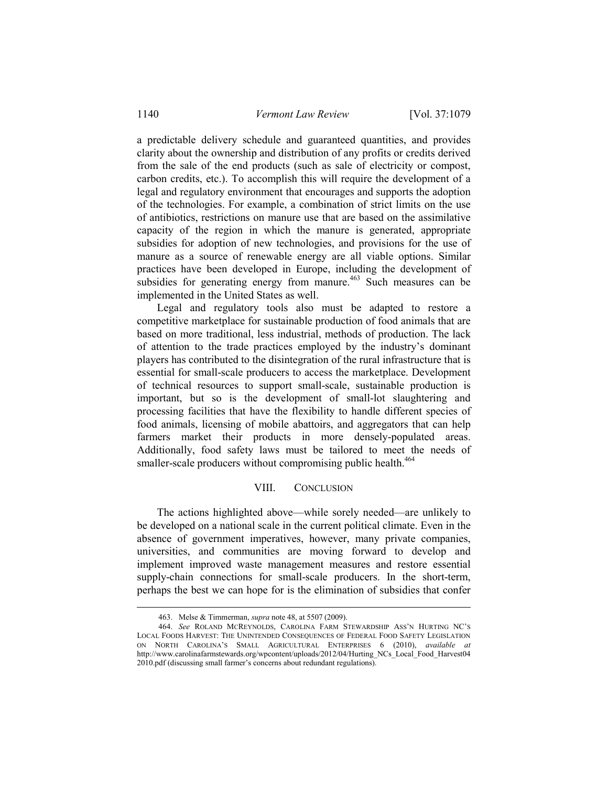a predictable delivery schedule and guaranteed quantities, and provides clarity about the ownership and distribution of any profits or credits derived from the sale of the end products (such as sale of electricity or compost, carbon credits, etc.). To accomplish this will require the development of a legal and regulatory environment that encourages and supports the adoption of the technologies. For example, a combination of strict limits on the use of antibiotics, restrictions on manure use that are based on the assimilative capacity of the region in which the manure is generated, appropriate subsidies for adoption of new technologies, and provisions for the use of manure as a source of renewable energy are all viable options. Similar practices have been developed in Europe, including the development of subsidies for generating energy from manure.<sup>463</sup> Such measures can be implemented in the United States as well.

 Legal and regulatory tools also must be adapted to restore a competitive marketplace for sustainable production of food animals that are based on more traditional, less industrial, methods of production. The lack of attention to the trade practices employed by the industry's dominant players has contributed to the disintegration of the rural infrastructure that is essential for small-scale producers to access the marketplace. Development of technical resources to support small-scale, sustainable production is important, but so is the development of small-lot slaughtering and processing facilities that have the flexibility to handle different species of food animals, licensing of mobile abattoirs, and aggregators that can help farmers market their products in more densely-populated areas. Additionally, food safety laws must be tailored to meet the needs of smaller-scale producers without compromising public health.<sup>464</sup>

## VIII. CONCLUSION

 The actions highlighted above—while sorely needed—are unlikely to be developed on a national scale in the current political climate. Even in the absence of government imperatives, however, many private companies, universities, and communities are moving forward to develop and implement improved waste management measures and restore essential supply-chain connections for small-scale producers. In the short-term, perhaps the best we can hope for is the elimination of subsidies that confer

 <sup>463.</sup> Melse & Timmerman, *supra* note 48, at 5507 (2009).

 <sup>464.</sup> *See* ROLAND MCREYNOLDS, CAROLINA FARM STEWARDSHIP ASS'N HURTING NC'S LOCAL FOODS HARVEST: THE UNINTENDED CONSEQUENCES OF FEDERAL FOOD SAFETY LEGISLATION ON NORTH CAROLINA'S SMALL AGRICULTURAL ENTERPRISES 6 (2010), *available at* http://www.carolinafarmstewards.org/wpcontent/uploads/2012/04/Hurting\_NCs\_Local\_Food\_Harvest04 2010.pdf (discussing small farmer's concerns about redundant regulations).